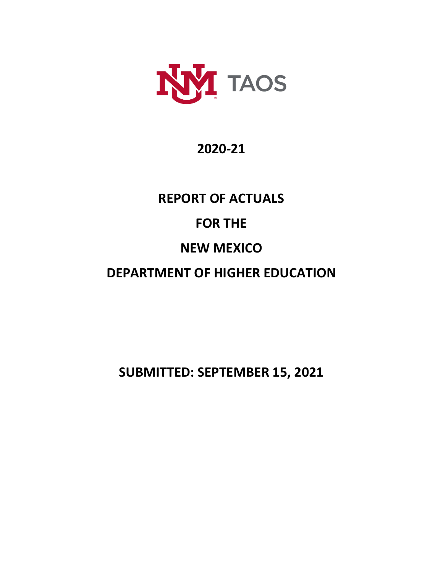

## **2020-21**

# **REPORT OF ACTUALS FOR THE NEW MEXICO DEPARTMENT OF HIGHER EDUCATION**

**SUBMITTED: SEPTEMBER 15, 2021**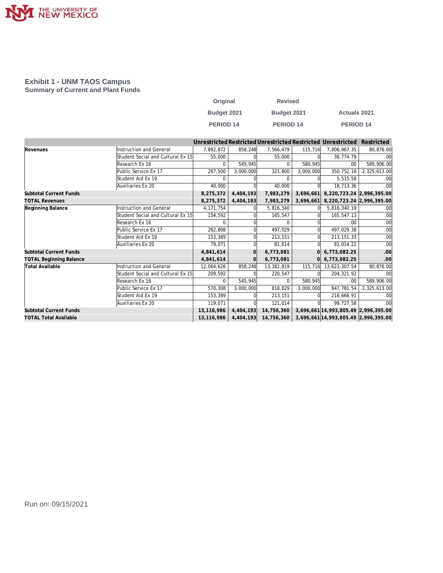

#### **Exhibit 1 - UNM TAOS Campus Summary of Current and Plant Funds**

| Original    | <b>Revised</b>   |                     |
|-------------|------------------|---------------------|
| Budget 2021 | Budget 2021      | <b>Actuals 2021</b> |
| PERIOD 14   | <b>PERIOD 14</b> | <b>PERIOD 14</b>    |

|                                |                                   |             |           |                      |           | Unrestricted Restricted Unrestricted Restricted Unrestricted | Restricted   |
|--------------------------------|-----------------------------------|-------------|-----------|----------------------|-----------|--------------------------------------------------------------|--------------|
| Revenues                       | <b>Instruction and General</b>    | 7.892.872   | 858,248   | 7,566,479            | 115,716   | 7,806,967.35                                                 | 80,876.00    |
|                                | Student Social and Cultural Ex 15 | 55,000      |           | 55,000               |           | 38,774.79                                                    | .00          |
|                                | Research Ex 16                    |             | 545.945   | $\Omega$             | 580,945   | .00                                                          | 589,906.00   |
|                                | Public Service Ex 17              | 287,500     | 3,000,000 | 321,800              | 3,000,000 | 350,752.16                                                   | 2,325,613.00 |
|                                | Student Aid Ex 19                 | $\Omega$    |           | $\Omega$             |           | 5.515.58                                                     | .00          |
|                                | Auxiliaries Ex 20                 | 40,000      |           | 40,000               |           | 18,713.36                                                    | .00          |
| <b>Subtotal Current Funds</b>  |                                   | 8,275,372   | 4,404,193 | 7,983,279            | 3,696,661 | 8,220,723.24 2,996,395.00                                    |              |
| <b>TOTAL Revenues</b>          |                                   | 8.275.372   | 4,404,193 | 7,983,279            | 3,696,661 | 8,220,723.24 2,996,395.00                                    |              |
| Beginning Balance              | <b>Instruction and General</b>    | 4, 171, 754 |           | 5,816,340            |           | 5,816,340.19                                                 | .00          |
|                                | Student Social and Cultural Ex 15 | 154,592     |           | 165,547              |           | 165,547.13                                                   | .00          |
|                                | Research Ex 16                    | $\Omega$    |           | $\Omega$             |           | .00                                                          | .00          |
|                                | Public Service Ex 17              | 282,808     |           | 497,029              |           | 497,029.38                                                   | .00          |
|                                | Student Aid Ex 19                 | 153,389     |           | 213,151              |           | 213, 151. 33                                                 | .00          |
|                                | Auxiliaries Ex 20                 | 79,071      |           | 81,014               |           | 81,014.22                                                    | .00          |
| <b>Subtotal Current Funds</b>  |                                   | 4,841,614   |           | 6,773,081            |           | 6,773,082.25                                                 | .00          |
| <b>TOTAL Beginning Balance</b> |                                   | 4,841,614   |           | 6,773,081            |           | 6,773,082.25                                                 | .00          |
| <b>Total Available</b>         | <b>Instruction and General</b>    | 12,064,626  | 858,248   | 13,382,819           | 115,716   | 13,623,307.54                                                | 80,876.00    |
|                                | Student Social and Cultural Ex 15 | 209,592     |           | 220,547              |           | 204,321.92                                                   | .00          |
|                                | Research Ex 16                    | $\Omega$    | 545,945   | $\Omega$             | 580,945   | .00                                                          | 589,906.00   |
|                                | Public Service Ex 17              | 570,308     | 3,000,000 | 818,829              | 3,000,000 | 847,781.54                                                   | 2,325,613.00 |
|                                | Student Aid Ex 19                 | 153,389     |           | 213,151              |           | 218,666.91                                                   | .00          |
|                                | Auxiliaries Ex 20                 | 119,071     |           | 121,014              |           | 99,727.58                                                    | .00          |
| <b>Subtotal Current Funds</b>  |                                   | 13,116,986  | 4,404,193 | 14,756,360           |           | 3,696,661 14,993,805.49 2,996,395.00                         |              |
| <b>TOTAL Total Available</b>   |                                   | 13,116,986  |           | 4,404,193 14,756,360 |           | 3,696,661 14,993,805.49 2,996,395.00                         |              |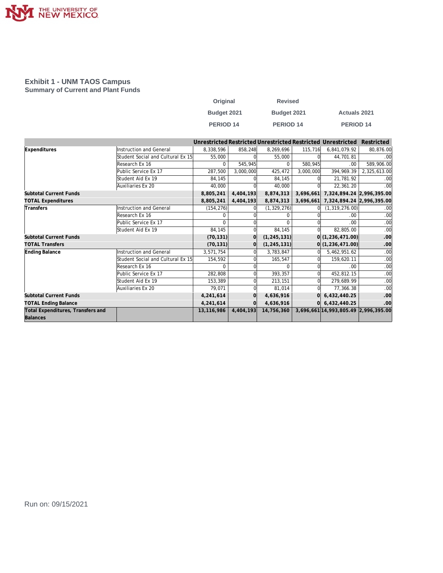

#### **Exhibit 1 - UNM TAOS Campus Summary of Current and Plant Funds**

| Original         | <b>Revised</b> |                     |
|------------------|----------------|---------------------|
| Budget 2021      | Budget 2021    | <b>Actuals 2021</b> |
| <b>PERIOD 14</b> | PERIOD 14      | <b>PERIOD 14</b>    |

|                                   |                                   |              |           |               |           | Unrestricted Restricted Unrestricted Restricted Unrestricted | Restricted   |
|-----------------------------------|-----------------------------------|--------------|-----------|---------------|-----------|--------------------------------------------------------------|--------------|
| Expenditures                      | <b>Instruction and General</b>    | 8,338,596    | 858,248   | 8,269,696     | 115,716   | 6,841,079.92                                                 | 80,876.00    |
|                                   | Student Social and Cultural Ex 15 | 55,000       |           | 55,000        |           | 44,701.81                                                    | .00          |
|                                   | Research Ex 16                    | <sup>n</sup> | 545.945   | $\Omega$      | 580.945   | .00                                                          | 589,906.00   |
|                                   | Public Service Ex 17              | 287,500      | 3,000,000 | 425,472       | 3,000,000 | 394,969.39                                                   | 2,325,613.00 |
|                                   | Student Aid Ex 19                 | 84,145       |           | 84,145        |           | 21.781.92                                                    | .00          |
|                                   | Auxiliaries Ex 20                 | 40.000       |           | 40.000        |           | 22,361.20                                                    | .00          |
| <b>Subtotal Current Funds</b>     |                                   | 8,805,241    | 4,404,193 | 8,874,313     | 3,696,661 | 7,324,894.24 2,996,395.00                                    |              |
| <b>TOTAL Expenditures</b>         |                                   | 8,805,241    | 4,404,193 | 8,874,313     | 3,696,661 | 7,324,894.24 2,996,395.00                                    |              |
| Transfers                         | Instruction and General           | (154, 276)   |           | (1, 329, 276) |           | (1, 319, 276.00)                                             | .00          |
|                                   | Research Ex 16                    | $\Omega$     |           |               |           | .00                                                          | .00          |
|                                   | Public Service Ex 17              | $\Omega$     |           | $\Omega$      |           | .00                                                          | .00          |
|                                   | Student Aid Ex 19                 | 84,145       |           | 84,145        |           | 82,805.00                                                    | .00          |
| <b>Subtotal Current Funds</b>     |                                   | (70, 131)    |           | (1, 245, 131) |           | 0(1, 236, 471.00)                                            | .00          |
| <b>TOTAL Transfers</b>            |                                   | (70, 131)    |           | (1, 245, 131) |           | 0(1, 236, 471.00)                                            | .00          |
| Ending Balance                    | <b>Instruction and General</b>    | 3,571,754    |           | 3,783,847     |           | 5,462,951.62                                                 | .00          |
|                                   | Student Social and Cultural Ex 15 | 154,592      |           | 165,547       |           | 159,620.11                                                   | .00          |
|                                   | Research Ex 16                    | $\Omega$     |           | $\Omega$      |           | .00                                                          | .00          |
|                                   | Public Service Ex 17              | 282,808      |           | 393,357       |           | 452,812.15                                                   | .00          |
|                                   | Student Aid Ex 19                 | 153,389      |           | 213,151       |           | 279,689.99                                                   | .00          |
|                                   | Auxiliaries Ex 20                 | 79,071       |           | 81,014        |           | 77,366.38                                                    | .00          |
| <b>Subtotal Current Funds</b>     |                                   | 4,241,614    |           | 4,636,916     |           | 6,432,440.25                                                 | .00          |
| <b>TOTAL Ending Balance</b>       |                                   | 4,241,614    |           | 4,636,916     |           | 0 6,432,440.25                                               | .00          |
| Total Expenditures, Transfers and |                                   | 13,116,986   | 4,404,193 | 14,756,360    |           | 3,696,661 14,993,805.49 2,996,395.00                         |              |
| Balances                          |                                   |              |           |               |           |                                                              |              |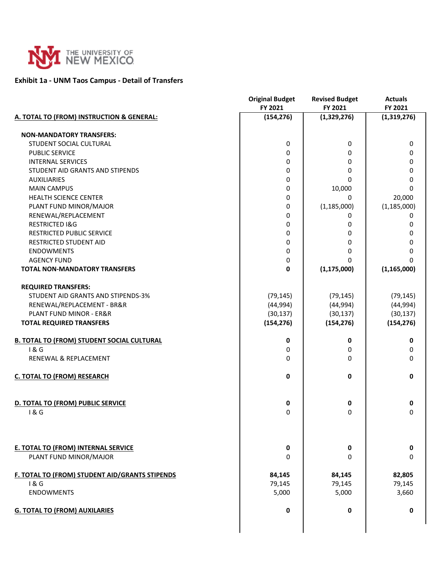

#### **Exhibit 1a - UNM Taos Campus - Detail of Transfers**

|                                                   | <b>Original Budget</b> | <b>Revised Budget</b> | <b>Actuals</b> |
|---------------------------------------------------|------------------------|-----------------------|----------------|
|                                                   | FY 2021                | FY 2021               | FY 2021        |
| A. TOTAL TO (FROM) INSTRUCTION & GENERAL:         | (154, 276)             | (1,329,276)           | (1,319,276)    |
| <b>NON-MANDATORY TRANSFERS:</b>                   |                        |                       |                |
| STUDENT SOCIAL CULTURAL                           | 0                      | 0                     | 0              |
| <b>PUBLIC SERVICE</b>                             | $\Omega$               | 0                     | 0              |
| <b>INTERNAL SERVICES</b>                          | $\Omega$               | 0                     | 0              |
| STUDENT AID GRANTS AND STIPENDS                   | $\mathbf 0$            | 0                     | 0              |
| <b>AUXILIARIES</b>                                | $\mathbf 0$            | 0                     | 0              |
| <b>MAIN CAMPUS</b>                                | $\mathbf 0$            | 10,000                | 0              |
| HEALTH SCIENCE CENTER                             | $\mathbf 0$            | 0                     | 20,000         |
| PLANT FUND MINOR/MAJOR                            | $\mathbf 0$            | (1, 185, 000)         | (1, 185, 000)  |
| RENEWAL/REPLACEMENT                               | $\mathbf 0$            | 0                     | 0              |
| <b>RESTRICTED I&amp;G</b>                         | 0                      | 0                     | 0              |
| <b>RESTRICTED PUBLIC SERVICE</b>                  | 0                      | 0                     | 0              |
| RESTRICTED STUDENT AID                            | $\mathbf 0$            | 0                     | 0              |
| <b>ENDOWMENTS</b>                                 | $\mathbf 0$            | 0                     | 0              |
| <b>AGENCY FUND</b>                                | 0                      | 0                     | $\Omega$       |
| <b>TOTAL NON-MANDATORY TRANSFERS</b>              | $\mathbf{0}$           | (1, 175, 000)         | (1, 165, 000)  |
| <b>REQUIRED TRANSFERS:</b>                        |                        |                       |                |
| STUDENT AID GRANTS AND STIPENDS-3%                | (79, 145)              | (79, 145)             | (79, 145)      |
| RENEWAL/REPLACEMENT - BR&R                        | (44, 994)              | (44, 994)             | (44, 994)      |
| PLANT FUND MINOR - ER&R                           | (30, 137)              | (30, 137)             | (30, 137)      |
| <b>TOTAL REQUIRED TRANSFERS</b>                   | (154, 276)             | (154, 276)            | (154, 276)     |
| <b>B. TOTAL TO (FROM) STUDENT SOCIAL CULTURAL</b> | 0                      | 0                     | 0              |
| 1&6                                               | 0                      | 0                     | 0              |
| RENEWAL & REPLACEMENT                             | $\Omega$               | 0                     | 0              |
| C. TOTAL TO (FROM) RESEARCH                       | $\mathbf 0$            | 0                     | 0              |
| D. TOTAL TO (FROM) PUBLIC SERVICE                 | 0                      | 0                     | 0              |
| 1&6                                               | 0                      | $\Omega$              | 0              |
|                                                   |                        |                       |                |
| <b>E. TOTAL TO (FROM) INTERNAL SERVICE</b>        | 0                      | 0                     | 0              |
| PLANT FUND MINOR/MAJOR                            | 0                      | 0                     | 0              |
|                                                   |                        |                       |                |
| F. TOTAL TO (FROM) STUDENT AID/GRANTS STIPENDS    | 84,145                 | 84,145                | 82,805         |
| 1&6                                               | 79,145                 | 79,145                | 79,145         |
| <b>ENDOWMENTS</b>                                 | 5,000                  | 5,000                 | 3,660          |
| <b>G. TOTAL TO (FROM) AUXILARIES</b>              | 0                      | 0                     | 0              |
|                                                   |                        |                       |                |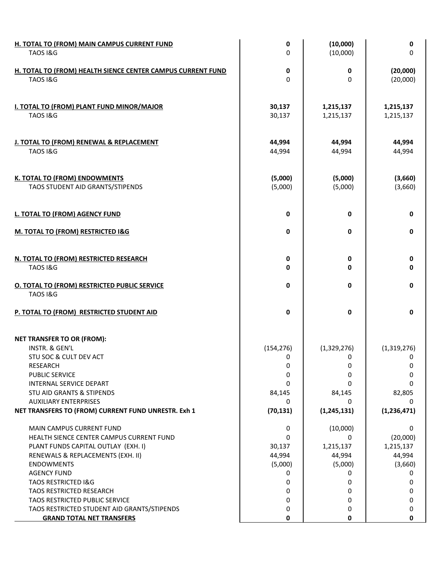| H. TOTAL TO (FROM) MAIN CAMPUS CURRENT FUND<br><b>TAOS I&amp;G</b>                 | 0<br>0             | (10,000)<br>(10,000)   | 0<br>0                 |
|------------------------------------------------------------------------------------|--------------------|------------------------|------------------------|
| H. TOTAL TO (FROM) HEALTH SIENCE CENTER CAMPUS CURRENT FUND<br><b>TAOS I&amp;G</b> | 0<br>$\mathbf 0$   | 0<br>0                 | (20,000)<br>(20,000)   |
| <b>I. TOTAL TO (FROM) PLANT FUND MINOR/MAJOR</b><br><b>TAOS I&amp;G</b>            | 30,137<br>30,137   | 1,215,137<br>1,215,137 | 1,215,137<br>1,215,137 |
| J. TOTAL TO (FROM) RENEWAL & REPLACEMENT<br><b>TAOS I&amp;G</b>                    | 44,994<br>44,994   | 44,994<br>44,994       | 44,994<br>44,994       |
| <b>K. TOTAL TO (FROM) ENDOWMENTS</b><br>TAOS STUDENT AID GRANTS/STIPENDS           | (5,000)<br>(5,000) | (5,000)<br>(5,000)     | (3,660)<br>(3,660)     |
| L. TOTAL TO (FROM) AGENCY FUND                                                     | 0                  | 0                      | 0                      |
| M. TOTAL TO (FROM) RESTRICTED I&G                                                  | 0                  | 0                      | 0                      |
| N. TOTAL TO (FROM) RESTRICTED RESEARCH<br><b>TAOS I&amp;G</b>                      | 0<br>0             | 0<br>0                 | 0<br>0                 |
| <b>O. TOTAL TO (FROM) RESTRICTED PUBLIC SERVICE</b><br><b>TAOS I&amp;G</b>         | 0                  | 0                      | 0                      |
| P. TOTAL TO (FROM) RESTRICTED STUDENT AID                                          | 0                  | 0                      | 0                      |
| <b>NET TRANSFER TO OR (FROM):</b>                                                  |                    |                        |                        |
| INSTR. & GEN'L<br>STU SOC & CULT DEV ACT                                           | (154, 276)<br>0    | (1,329,276)<br>0       | (1,319,276)<br>0       |
| <b>RESEARCH</b>                                                                    | 0                  | 0                      | 0                      |
| PUBLIC SERVICE                                                                     | 0                  | 0                      | 0                      |
| INTERNAL SERVICE DEPART                                                            | 0                  | 0                      | 0                      |
| STU AID GRANTS & STIPENDS                                                          | 84,145             | 84,145                 | 82,805                 |
| <b>AUXILIARY ENTERPRISES</b>                                                       | 0                  | 0                      | 0                      |
| NET TRANSFERS TO (FROM) CURRENT FUND UNRESTR. Exh 1                                | (70, 131)          | (1, 245, 131)          | (1, 236, 471)          |
| <b>MAIN CAMPUS CURRENT FUND</b>                                                    | 0                  | (10,000)               | 0                      |
| HEALTH SIENCE CENTER CAMPUS CURRENT FUND                                           | 0                  | 0                      | (20,000)               |
| PLANT FUNDS CAPITAL OUTLAY (EXH. I)                                                | 30,137             | 1,215,137              | 1,215,137              |
| RENEWALS & REPLACEMENTS (EXH. II)                                                  | 44,994             | 44,994                 | 44,994                 |
| <b>ENDOWMENTS</b>                                                                  | (5,000)            | (5,000)                | (3,660)                |
| <b>AGENCY FUND</b>                                                                 | 0                  | 0                      | 0                      |
| <b>TAOS RESTRICTED I&amp;G</b>                                                     | 0                  | 0                      | 0                      |
| <b>TAOS RESTRICTED RESEARCH</b>                                                    | 0                  | 0                      | 0                      |
| TAOS RESTRICTED PUBLIC SERVICE                                                     | 0                  | 0                      | 0                      |
| TAOS RESTRICTED STUDENT AID GRANTS/STIPENDS<br><b>GRAND TOTAL NET TRANSFERS</b>    | 0<br>0             | 0<br>0                 | 0<br>0                 |
|                                                                                    |                    |                        |                        |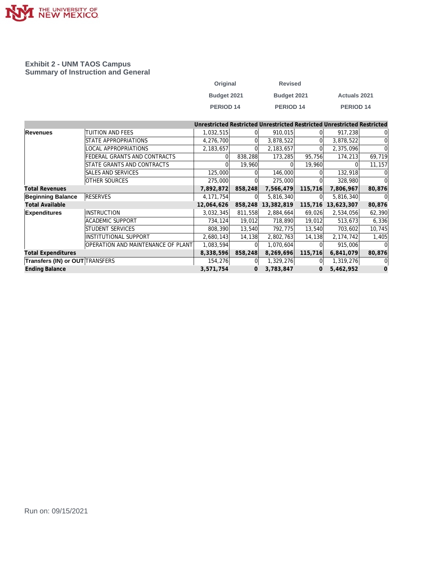

#### **Exhibit 2 - UNM TAOS Campus Summary of Instruction and General**

| Original         | <b>Revised</b> |                      |
|------------------|----------------|----------------------|
| Budget 2021      | Budget 2021    | <b>Actuals 2021</b>  |
| <b>PERIOD 14</b> | PERIOD 14      | PERIOD <sub>14</sub> |

|                                        |                                    |             |         |             |                | Unrestricted Restricted Unrestricted Restricted Unrestricted Restricted |              |
|----------------------------------------|------------------------------------|-------------|---------|-------------|----------------|-------------------------------------------------------------------------|--------------|
| <b>Revenues</b>                        | TUITION AND FEES                   | 1,032,515   |         | 910,015     |                | 917,238                                                                 | <sup>0</sup> |
|                                        | STATE APPROPRIATIONS               | 4,276,700   |         | 3,878,522   |                | 3,878,522                                                               | $\Omega$     |
|                                        | LOCAL APPROPRIATIONS               | 2,183,657   |         | 2, 183, 657 |                | 2,375,096                                                               | $\Omega$     |
|                                        | FEDERAL GRANTS AND CONTRACTS       |             | 838,288 | 173,285     | 95,756         | 174,213                                                                 | 69,719       |
|                                        | STATE GRANTS AND CONTRACTS         |             | 19,960  |             | 19,960         | $\Omega$                                                                | 11,157       |
|                                        | SALES AND SERVICES                 | 125,000     |         | 146,000     |                | 132,918                                                                 |              |
|                                        | <b>OTHER SOURCES</b>               | 275,000     |         | 275,000     |                | 328,980                                                                 | $\Omega$     |
| <b>Total Revenues</b>                  |                                    | 7,892,872   | 858,248 | 7,566,479   | 115,716        | 7,806,967                                                               | 80,876       |
| <b>Beginning Balance</b>               | <b>RESERVES</b>                    | 4, 171, 754 | 01      | 5,816,340   |                | 5,816,340                                                               | $\Omega$     |
| <b>Total Available</b>                 |                                    | 12,064,626  | 858,248 | 13,382,819  | 115,716        | 13,623,307                                                              | 80,876       |
| <b>Expenditures</b>                    | <b>INSTRUCTION</b>                 | 3,032,345   | 811,558 | 2,884,664   | 69,026         | 2,534,056                                                               | 62,390       |
|                                        | <b>ACADEMIC SUPPORT</b>            | 734,124     | 19,012  | 718,890     | 19,012         | 513,673                                                                 | 6,336        |
|                                        | STUDENT SERVICES                   | 808,390     | 13,540  | 792,775     | 13,540         | 703,602                                                                 | 10,745       |
|                                        | <b>INSTITUTIONAL SUPPORT</b>       | 2,680,143   | 14,138  | 2,802,763   | 14,138         | 2,174,742                                                               | 1,405        |
|                                        | OPERATION AND MAINTENANCE OF PLANT | 1,083,594   |         | 1,070,604   |                | 915,006                                                                 |              |
| <b>Total Expenditures</b>              |                                    | 8,338,596   | 858,248 | 8,269,696   | 115,716        | 6,841,079                                                               | 80,876       |
| <b>Transfers (IN) or OUT TRANSFERS</b> |                                    | 154,276     |         | 1,329,276   |                | 1,319,276                                                               | 01           |
| <b>Ending Balance</b>                  |                                    | 3,571,754   | 0       | 3,783,847   | $\overline{0}$ | 5,462,952                                                               | $\mathbf 0$  |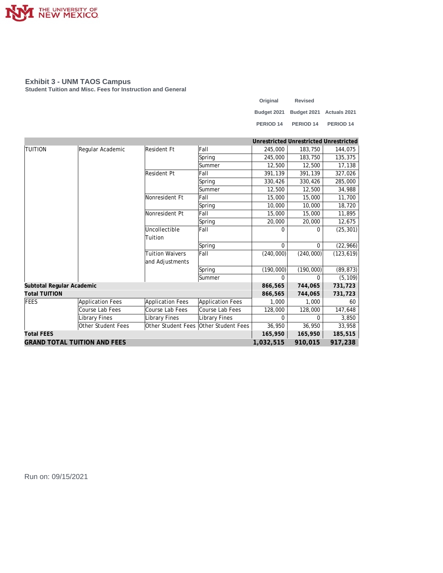

#### **Exhibit 3 - UNM TAOS Campus**

**Student Tuition and Misc. Fees for Instruction and General**

| Original  | <b>Revised</b>                       |                      |
|-----------|--------------------------------------|----------------------|
|           | Budget 2021 Budget 2021 Actuals 2021 |                      |
| PERIOD 14 | PERIOD <sub>14</sub>                 | PERIOD <sub>14</sub> |

|                                     |                         |                         |                                       | Unrestricted Unrestricted Unrestricted |           |            |
|-------------------------------------|-------------------------|-------------------------|---------------------------------------|----------------------------------------|-----------|------------|
| <b>TUITION</b>                      | Regular Academic        | Resident Ft             | Fall                                  | 245,000                                | 183,750   | 144,075    |
|                                     |                         |                         | Spring                                | 245,000                                | 183,750   | 135,375    |
|                                     |                         |                         | Summer                                | 12,500                                 | 12,500    | 17,138     |
|                                     |                         | <b>Resident Pt</b>      | <b>Fall</b>                           | 391,139                                | 391,139   | 327,026    |
|                                     |                         |                         | Spring                                | 330,426                                | 330,426   | 285,000    |
|                                     |                         |                         | lSummer                               | 12,500                                 | 12,500    | 34,988     |
|                                     |                         | Nonresident Ft          | Fall                                  | 15,000                                 | 15,000    | 11,700     |
|                                     |                         |                         | Spring                                | 10,000                                 | 10,000    | 18,720     |
|                                     |                         | Nonresident Pt          | Fall                                  | 15,000                                 | 15,000    | 11,895     |
|                                     |                         |                         | Spring                                | 20,000                                 | 20,000    | 12,675     |
|                                     |                         | Uncollectible           | Fall                                  | $\Omega$                               | $\Omega$  | (25, 301)  |
|                                     |                         | Tuition                 |                                       |                                        |           |            |
|                                     |                         |                         | Spring                                | $\Omega$                               | $\Omega$  | (22, 966)  |
|                                     |                         | <b>Tuition Waivers</b>  | Fall                                  | (240,000)                              | (240,000) | (123, 619) |
|                                     |                         | and Adjustments         |                                       |                                        |           |            |
|                                     |                         |                         | Spring                                | (190,000)                              | (190,000) | (89, 873)  |
|                                     |                         |                         | Summer                                | $\Omega$                               | $\Omega$  | (5, 109)   |
| Subtotal Regular Academic           |                         |                         |                                       | 866,565                                | 744,065   | 731,723    |
| <b>Total TUITION</b>                |                         |                         |                                       | 866,565                                | 744,065   | 731,723    |
| FEES                                | <b>Application Fees</b> | <b>Application Fees</b> | Application Fees                      | 1,000                                  | 1,000     | 60         |
|                                     | Course Lab Fees         | Course Lab Fees         | Course Lab Fees                       | 128,000                                | 128,000   | 147,648    |
|                                     | Library Fines           | Library Fines           | <b>Library Fines</b>                  | $\Omega$                               | $\Omega$  | 3,850      |
|                                     | Other Student Fees      |                         | Other Student Fees Other Student Fees | 36,950                                 | 36,950    | 33,958     |
| <b>Total FEES</b>                   |                         |                         |                                       | 165,950                                | 165,950   | 185,515    |
| <b>GRAND TOTAL TUITION AND FEES</b> |                         |                         |                                       | 1,032,515                              | 910,015   | 917,238    |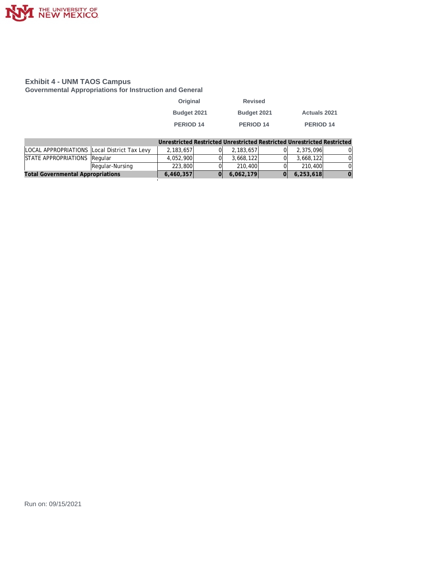

#### **Exhibit 4 - UNM TAOS Campus**

**Governmental Appropriations for Instruction and General**

| Original    | <b>Revised</b> |                     |
|-------------|----------------|---------------------|
| Budget 2021 | Budget 2021    | <b>Actuals 2021</b> |
| PERIOD 14   | PERIOD 14      | <b>PERIOD 14</b>    |

|                                              |                 | Unrestricted Restricted Unrestricted Restricted Unrestricted Restricted |           |           |   |
|----------------------------------------------|-----------------|-------------------------------------------------------------------------|-----------|-----------|---|
| LOCAL APPROPRIATIONS Local District Tax Levy |                 | 2.183.657                                                               | 2,183,657 | 2.375.096 | 0 |
| STATE APPROPRIATIONS Regular                 |                 | 4.052.900                                                               | 3.668.122 | 3.668.122 |   |
|                                              | Regular-Nursing | 223,800                                                                 | 210,400   | 210,400   |   |
| <b>Total Governmental Appropriations</b>     |                 | 6,460,357                                                               | 6,062,179 | 6,253,618 |   |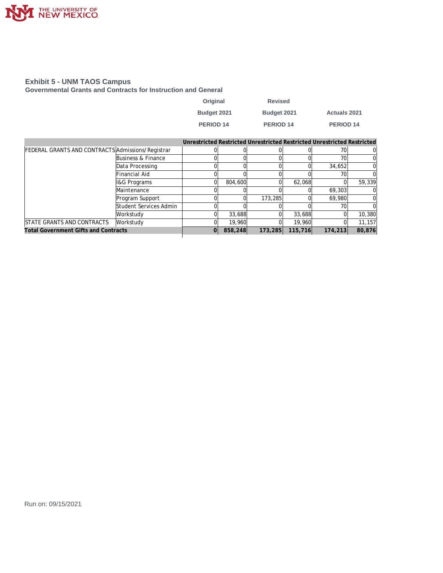

#### **Exhibit 5 - UNM TAOS Campus**

**Governmental Grants and Contracts for Instruction and General**

| Original    | <b>Revised</b> |                     |
|-------------|----------------|---------------------|
| Budget 2021 | Budget 2021    | <b>Actuals 2021</b> |
| PERIOD 14   | PERIOD 14      | PERIOD 14           |

|                                                   |                         |    |         | Unrestricted Restricted Unrestricted Restricted Unrestricted Restricted |         |         |        |
|---------------------------------------------------|-------------------------|----|---------|-------------------------------------------------------------------------|---------|---------|--------|
| FEDERAL GRANTS AND CONTRACTS Admissions/Registrar |                         |    |         |                                                                         |         | 701     |        |
|                                                   | Business & Finance      |    |         |                                                                         |         | 70      |        |
|                                                   | Data Processing         |    |         |                                                                         |         | 34,652  |        |
|                                                   | Financial Aid           |    |         |                                                                         |         | 70      |        |
|                                                   | <b>I&amp;G Programs</b> |    | 804,600 |                                                                         | 62,068  |         | 59,339 |
|                                                   | Maintenance             |    |         |                                                                         |         | 69,303  |        |
|                                                   | Program Support         |    |         | 173,285                                                                 |         | 69,980  |        |
|                                                   | Student Services Admin  |    |         |                                                                         |         | 70      |        |
|                                                   | Workstudy               |    | 33,688  |                                                                         | 33,688  |         | 10,380 |
| STATE GRANTS AND CONTRACTS                        | Workstudy               |    | 19,960  |                                                                         | 19,960  |         | 11,157 |
| <b>Total Government Gifts and Contracts</b>       |                         | 01 | 858,248 | 173,285                                                                 | 115,716 | 174,213 | 80,876 |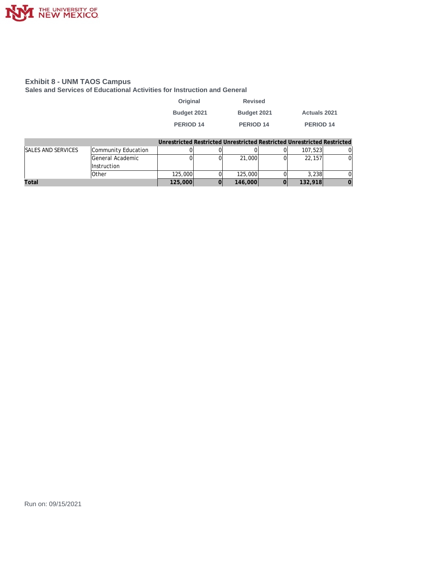

#### **Exhibit 8 - UNM TAOS Campus**

**Sales and Services of Educational Activities for Instruction and General**

| Original    | <b>Revised</b>   |                     |
|-------------|------------------|---------------------|
| Budget 2021 | Budget 2021      | <b>Actuals 2021</b> |
| PERIOD 14   | <b>PERIOD 14</b> | PERIOD 14           |

|                           |                     |         | Unrestricted Restricted Unrestricted Restricted Unrestricted Restricted |         |  |
|---------------------------|---------------------|---------|-------------------------------------------------------------------------|---------|--|
| <b>SALES AND SERVICES</b> | Community Education |         |                                                                         | 107,523 |  |
|                           | General Academic    |         | 21,000                                                                  | 22.157  |  |
|                           | <b>Instruction</b>  |         |                                                                         |         |  |
|                           | Other               | 125,000 | 125,000                                                                 | 3.238   |  |
| Total                     |                     | 125,000 | 146,000                                                                 | 132,918 |  |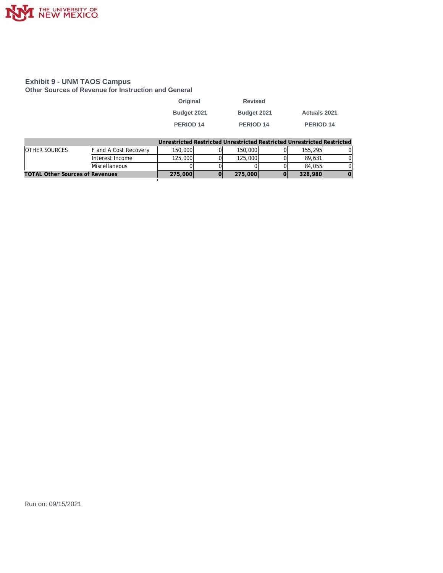

#### **Exhibit 9 - UNM TAOS Campus**

**Other Sources of Revenue for Instruction and General**

| Original             | <b>Revised</b>       |                     |
|----------------------|----------------------|---------------------|
| Budget 2021          | Budget 2021          | <b>Actuals 2021</b> |
| PERIOD <sub>14</sub> | PERIOD <sub>14</sub> | <b>PERIOD 14</b>    |
|                      |                      |                     |

|                                        |                       |         |         | Unrestricted Restricted Unrestricted Restricted Unrestricted Restricted |  |
|----------------------------------------|-----------------------|---------|---------|-------------------------------------------------------------------------|--|
| <b>OTHER SOURCES</b>                   | F and A Cost Recovery | 150,000 | 150,000 | 155,295                                                                 |  |
|                                        | Interest Income       | 125,000 | 125,000 | 89.631                                                                  |  |
|                                        | Miscellaneous         |         |         | 84,055                                                                  |  |
| <b>TOTAL Other Sources of Revenues</b> |                       | 275,000 | 275,000 | 328,980                                                                 |  |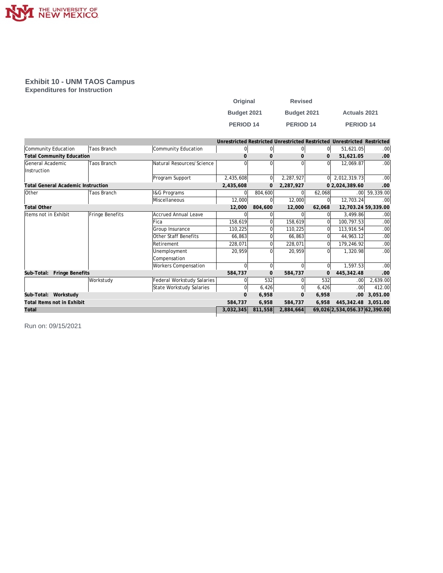

### **Exhibit 10 - UNM TAOS Campus**

**Expenditures for Instruction**

| Original         | <b>Revised</b>   |                     |
|------------------|------------------|---------------------|
| Budget 2021      | Budget 2021      | <b>Actuals 2021</b> |
| <b>PERIOD 14</b> | <b>PERIOD 14</b> | <b>PERIOD 14</b>    |

|                                           |                    |                             |           |                |                |          | Unrestricted Restricted Unrestricted Restricted Unrestricted Restricted |                  |
|-------------------------------------------|--------------------|-----------------------------|-----------|----------------|----------------|----------|-------------------------------------------------------------------------|------------------|
| Community Education                       | <b>Taos Branch</b> | Community Education         | 0         | 0              | $\overline{0}$ | 0        | 51,621.05                                                               | .00              |
| <b>Total Community Education</b>          |                    |                             | $\Omega$  | $\mathbf{0}$   | $\Omega$       | 0        | 51,621.05                                                               | .00.             |
| General Academic                          | Taos Branch        | Natural Resources/Science   |           | $\Omega$       |                | ΩI       | 12,069.87                                                               | .00 <sub>1</sub> |
| <b>Instruction</b>                        |                    |                             |           |                |                |          |                                                                         |                  |
|                                           |                    | Program Support             | 2,435,608 | $\overline{0}$ | 2,287,927      |          | $0$   2,012,319.73                                                      | .00 <sub>1</sub> |
| <b>Total General Academic Instruction</b> |                    |                             | 2,435,608 | $\mathbf{0}$   | 2,287,927      |          | 0 2,024,389.60                                                          | .00              |
| Other                                     | Taos Branch        | I&G Programs                | $\Omega$  | 804,600        |                | 62,068   |                                                                         | $.00$ 59,339.00  |
|                                           |                    | Miscellaneous               | 12,000    | $\overline{0}$ | 12,000         | 01       | 12,703.24                                                               | .00 <sub>1</sub> |
| <b>Total Other</b>                        |                    |                             | 12,000    | 804,600        | 12,000         | 62,068   | 12,703.24 59,339.00                                                     |                  |
| Items not in Exhibit                      | Fringe Benefits    | Accrued Annual Leave        | $\Omega$  | 0              |                | 0l       | 3,499.86                                                                | .00 <sub>1</sub> |
|                                           |                    | <b>Fica</b>                 | 158,619   | 0              | 158,619        | 0l       | 100,797.53                                                              | .00 <sub>1</sub> |
|                                           |                    | Group Insurance             | 110,225   | $\Omega$       | 110,225        | $\Omega$ | 113,916.54                                                              | .00 <sub>1</sub> |
|                                           |                    | Other Staff Benefits        | 66,863    | $\Omega$       | 66,863         | $\Omega$ | 44,963.12                                                               | .00 <sub>1</sub> |
|                                           |                    | <b>Retirement</b>           | 228,071   | 0              | 228,071        | $\Omega$ | 179,246.92                                                              | .00 <sub>1</sub> |
|                                           |                    | Unemployment                | 20,959    | $\Omega$       | 20,959         | $\Omega$ | 1,320.98                                                                | .00 <sub>1</sub> |
|                                           |                    | Compensation                |           |                |                |          |                                                                         |                  |
|                                           |                    | <b>Workers Compensation</b> | $\Omega$  | $\Omega$       |                | 0l       | 1,597.53                                                                | .00              |
| Fringe Benefits<br>Sub-Total:             |                    |                             | 584,737   | $\mathbf{0}$   | 584,737        | 0        | 445, 342.48                                                             | .00              |
|                                           | Workstudy          | Federal Workstudy Salaries  | 01        | 532            |                | 532      | .00 <sub>1</sub>                                                        | 2,639.00         |
|                                           |                    | State Workstudy Salaries    | 0         | 6,426          | $\Omega$       | 6,426    | .00 <sub>1</sub>                                                        | 412.00           |
| Sub-Total: Workstudy                      |                    |                             | $\Omega$  | 6,958          | $\Omega$       | 6,958    | .00.                                                                    | 3,051.00         |
| Total Items not in Exhibit                |                    |                             | 584,737   | 6,958          | 584,737        | 6,958    | 445,342.48                                                              | 3.051.00         |
| Total                                     |                    |                             | 3,032,345 | 811,558        | 2,884,664      |          | 69,026 2,534,056.37 62,390.00                                           |                  |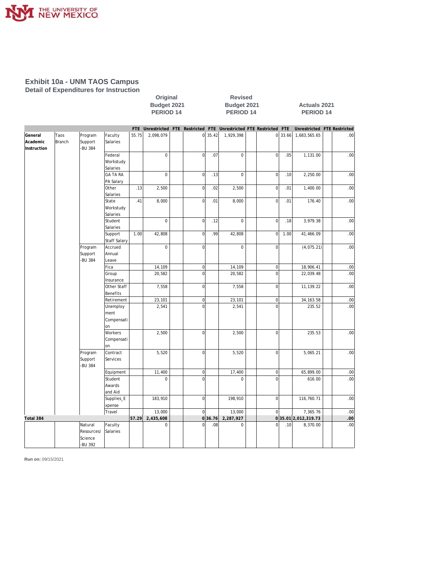

#### **Exhibit 10a - UNM TAOS Campus Detail of Expenditures for Instruction**

|                                    |                |                                             |                                       |       | PERIOD 14   |                |         | PERIOD 14   |                                                                     |       | PERIOD 14                   |     |
|------------------------------------|----------------|---------------------------------------------|---------------------------------------|-------|-------------|----------------|---------|-------------|---------------------------------------------------------------------|-------|-----------------------------|-----|
|                                    |                |                                             |                                       |       |             |                |         |             | FTE Unrestricted FTE Restricted FTE Unrestricted FTE Restricted FTE |       | Unrestricted FTE Restricted |     |
| General<br>Academic<br>Instruction | Taos<br>Branch | Program<br>Support<br>-BU 384               | Faculty<br>Salaries                   | 55.75 | 2,098,079   | 0              | 35.42   | 1,929,398   | ΩI                                                                  | 33.66 | 1,683,565.65                | .00 |
|                                    |                |                                             | Federal<br>Workstudy<br>Salaries      |       | $\mathbf 0$ | $\circ$        | .07     | $\mathbf 0$ | $\overline{0}$                                                      | .05   | 1,131.00                    | .00 |
|                                    |                |                                             | <b>GA TA RA</b><br>PA Salary          |       | 0           | $\circ$        | .13     | $\mathbf 0$ | $\mathbf 0$                                                         | .10   | 2,250.00                    | .00 |
|                                    |                |                                             | Other<br>Salaries                     | .13   | 2,500       | $\overline{0}$ | .02     | 2,500       | $\overline{0}$                                                      | .01   | 1,400.00                    | .00 |
|                                    |                |                                             | State<br>Workstudy<br>Salaries        | .41   | 8,000       | $\overline{0}$ | .01     | 8,000       | $\overline{0}$                                                      | .01   | 176.40                      | .00 |
|                                    |                |                                             | Student<br>Salaries                   |       | $\mathbf 0$ | 0              | .12     | $\mathbf 0$ | $\mathbf 0$                                                         | .18   | 3,979.38                    | .00 |
|                                    |                |                                             | Support<br><b>Staff Salary</b>        | 1.00  | 42,808      | 0              | .99     | 42,808      | $\mathbf{0}$                                                        | 1.00  | 41,466.09                   | .00 |
|                                    |                | Program<br>Support<br>-BU 384               | Accrued<br>Annual<br>Leave            |       | $\mathbf 0$ | $\overline{0}$ |         | $\mathbf 0$ | $\Omega$                                                            |       | (4,075.21)                  | .00 |
|                                    |                |                                             | Fica                                  |       | 14,109      | $\circ$        |         | 14,109      | $\overline{0}$                                                      |       | 18,906.41                   | .00 |
|                                    |                |                                             | Group<br>Insurance                    |       | 20,582      | $\overline{0}$ |         | 20,582      | $\Omega$                                                            |       | 22,039.48                   | .00 |
|                                    |                |                                             | Other Staff<br>Benefits               |       | 7,558       | $\overline{0}$ |         | 7,558       | $\overline{0}$                                                      |       | 11,139.22                   | .00 |
|                                    |                |                                             | Retirement                            |       | 23,101      | 0              |         | 23,101      | $\overline{0}$                                                      |       | 34, 163.58                  | .00 |
|                                    |                |                                             | Unemploy<br>ment<br>Compensati<br>lon |       | 2,541       | $\overline{0}$ |         | 2,541       | $\Omega$                                                            |       | 235.52                      | .00 |
|                                    |                |                                             | Workers<br>Compensati<br>on           |       | 2,500       | $\Omega$       |         | 2,500       | $\Omega$                                                            |       | 235.53                      | .00 |
|                                    |                | Program<br>Support<br>-BU 384               | Contract<br>Services                  |       | 5,520       | $\circ$        |         | 5,520       | $\overline{0}$                                                      |       | 5,065.21                    | .00 |
|                                    |                |                                             | Equipment                             |       | 11,400      | 0              |         | 17,400      | 0                                                                   |       | 65,899.00                   | .00 |
|                                    |                |                                             | Student<br>Awards<br>and Aid          |       | 0           | $\overline{0}$ |         | $\mathbf 0$ | $\Omega$                                                            |       | 616.00                      | .00 |
|                                    |                |                                             | Supplies_E<br>xpense                  |       | 183,910     | 0              |         | 198,910     | $\mathbf 0$                                                         |       | 116,760.71                  | .00 |
|                                    |                |                                             | Travel                                |       | 13,000      | $\circ$        |         | 13,000      | $\mathbf 0$                                                         |       | 7,365.76                    | .00 |
| Total 384                          |                |                                             |                                       | 57.29 | 2,435,608   |                | 0 36.76 | 2,287,927   |                                                                     |       | 035.01 2,012,319.73         | .00 |
|                                    |                | Natural<br>Resources/<br>Science<br>-BU 392 | Faculty<br>Salaries                   |       | $\mathbf 0$ | $\overline{0}$ | .08     | $\mathbf 0$ | $\overline{0}$                                                      | .10   | 8,370.00                    | .00 |

**Original Revised** 

**Budget 2021 Budget 2021 Actuals 2021**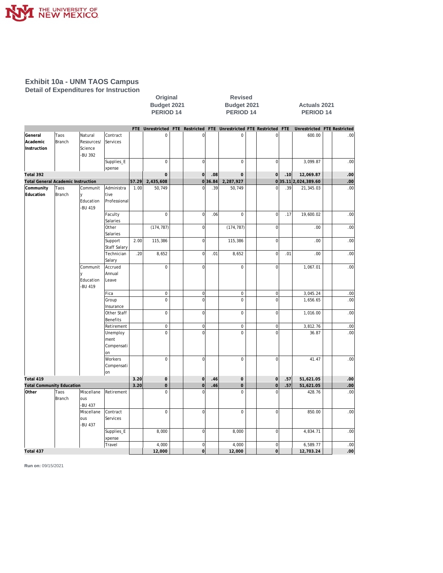

#### **Exhibit 10a - UNM TAOS Campus Detail of Expenditures for Instruction**

|                                           |                |                                             |                                      | Budget 2021<br>PERIOD <sub>14</sub> |                     |  |                            | Budget 2021<br>PERIOD <sub>14</sub> |                                                                     |  |                                | <b>Actuals 2021</b><br>PERIOD <sub>14</sub> |                             |  |                  |  |
|-------------------------------------------|----------------|---------------------------------------------|--------------------------------------|-------------------------------------|---------------------|--|----------------------------|-------------------------------------|---------------------------------------------------------------------|--|--------------------------------|---------------------------------------------|-----------------------------|--|------------------|--|
|                                           |                |                                             |                                      |                                     |                     |  |                            |                                     | FTE Unrestricted FTE Restricted FTE Unrestricted FTE Restricted FTE |  |                                |                                             | Unrestricted FTE Restricted |  |                  |  |
| General<br>Academic<br>Instruction        | Taos<br>Branch | Natural<br>Resources/<br>Science<br>-BU 392 | Contract<br>Services                 |                                     | $\mathbf 0$         |  | $\Omega$                   |                                     | $\mathbf 0$                                                         |  | $\Omega$                       |                                             | 600.00                      |  | .00 <sub>1</sub> |  |
|                                           |                |                                             | Supplies_E<br>xpense                 |                                     | $\mathbf 0$         |  | $\overline{0}$             |                                     | $\mathbf 0$                                                         |  | $\overline{0}$                 |                                             | 3,099.87                    |  | .00              |  |
| Total 392                                 |                |                                             |                                      |                                     | $\mathbf 0$         |  | $\overline{0}$             | .08                                 | 0                                                                   |  | $\overline{0}$                 | .10                                         | 12,069.87                   |  | .00              |  |
| <b>Total General Academic Instruction</b> |                |                                             |                                      | 57.29                               | 2,435,608           |  | 0                          | 36.84                               | 2,287,927                                                           |  |                                |                                             | 035.11 2,024,389.60         |  | .00              |  |
| Community<br>Education                    | Taos<br>Branch | Communit<br>l y<br>Education<br>-BU 419     | Administra<br>tive<br>Professional   | 1.00                                | 50,749              |  | $\Omega$                   | .39                                 | 50,749                                                              |  | $\Omega$                       | .39                                         | 21,345.03                   |  | .00              |  |
|                                           |                |                                             | Faculty<br>Salaries                  |                                     | $\mathbf 0$         |  | $\overline{0}$             | .06                                 | $\mathbf 0$                                                         |  | $\overline{0}$                 | .17                                         | 19,600.02                   |  | .00              |  |
|                                           |                |                                             | Other<br>Salaries                    |                                     | (174, 787)          |  | $\overline{0}$             |                                     | (174, 787)                                                          |  | $\overline{0}$                 |                                             | .00                         |  | .00              |  |
|                                           |                |                                             | Support<br><b>Staff Salary</b>       | 2.00                                | 115,386             |  | $\overline{0}$             |                                     | 115,386                                                             |  | $\overline{0}$                 |                                             | .00.                        |  | .00              |  |
|                                           |                |                                             | Technician<br>Salary                 | .20                                 | 8,652               |  | $\overline{0}$             | .01                                 | 8,652                                                               |  | $\overline{0}$                 | .01                                         | .00.                        |  | .00 <sub>1</sub> |  |
|                                           |                | Communit<br>Education<br>-BU 419            | Accrued<br>Annual<br>Leave           |                                     | $\mathbf 0$         |  | $\overline{0}$             |                                     | $\mathsf 0$                                                         |  | $\overline{0}$                 |                                             | 1,067.01                    |  | .00              |  |
|                                           |                |                                             | Fica                                 |                                     | $\mathbf 0$         |  | $\overline{0}$             |                                     | $\mathsf 0$                                                         |  | $\overline{0}$                 |                                             | 3,045.24                    |  | .00              |  |
|                                           |                |                                             | Group<br>Insurance                   |                                     | $\mathbf 0$         |  | $\overline{0}$             |                                     | $\mathbf 0$                                                         |  | $\overline{0}$                 |                                             | 1,656.65                    |  | .00              |  |
|                                           |                |                                             | Other Staff<br><b>Benefits</b>       |                                     | $\mathbf 0$         |  | $\overline{0}$             |                                     | $\mathbf 0$                                                         |  | $\overline{0}$                 |                                             | 1,016.00                    |  | .00              |  |
|                                           |                |                                             | Retirement                           |                                     | $\mathbf 0$         |  | $\overline{0}$             |                                     | $\mathsf 0$                                                         |  | $\overline{0}$                 |                                             | 3,812.76                    |  | .00              |  |
|                                           |                |                                             | Unemploy<br>ment<br>Compensati<br>on |                                     | $\mathbf 0$         |  | $\mathbf 0$                |                                     | $\mathbf 0$                                                         |  | $\mathbf 0$                    |                                             | 36.87                       |  | .00              |  |
|                                           |                |                                             | Workers<br>Compensati<br> on         |                                     | $\mathbf 0$         |  | $\overline{0}$             |                                     | $\mathbf 0$                                                         |  | $\Omega$                       |                                             | 41.47                       |  | .00              |  |
| Total 419                                 |                |                                             |                                      | 3.20                                | $\mathbf 0$         |  | $\overline{0}$             | .46                                 | 0                                                                   |  | $\Omega$                       | .57                                         | 51,621.05                   |  | .00              |  |
| <b>Total Community Education</b>          |                |                                             |                                      | 3.20                                | $\mathbf 0$         |  | $\overline{0}$             | .46                                 | $\overline{O}$                                                      |  | $\overline{0}$                 | .57                                         | 51,621.05                   |  | .00              |  |
| Other                                     | Taos<br>Branch | Miscellane<br>ous<br>-BU 437                | Retirement                           |                                     | $\mathbf 0$         |  | $\Omega$                   |                                     | $\overline{0}$                                                      |  | $\Omega$                       |                                             | 428.76                      |  | .00              |  |
|                                           |                | Miscellane<br>ous<br>-BU 437                | Contract<br>Services                 |                                     | $\mathsf{O}\xspace$ |  | $\overline{0}$             |                                     | $\mathbf 0$                                                         |  | $\overline{0}$                 |                                             | 850.00                      |  | .00              |  |
|                                           |                |                                             | Supplies_E<br>xpense                 |                                     | 8,000               |  | $\overline{0}$             |                                     | 8,000                                                               |  | $\overline{0}$                 |                                             | 4,834.71                    |  | .00              |  |
| Total 437                                 |                |                                             | Travel                               |                                     | 4,000<br>12,000     |  | $\overline{0}$<br>$\Omega$ |                                     | 4,000<br>12,000                                                     |  | $\overline{0}$<br><sub>0</sub> |                                             | 6,589.77<br>12,703.24       |  | .00<br>.ool      |  |

**Original Revised**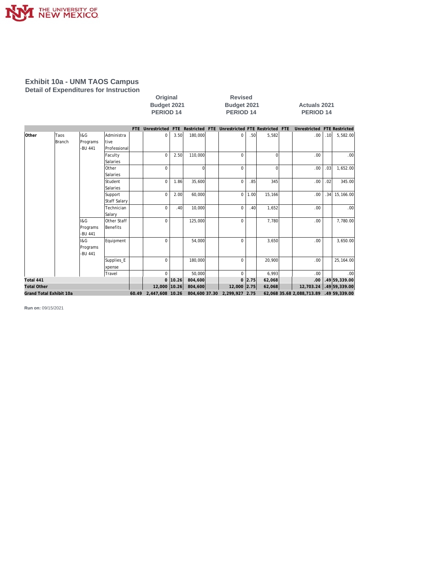

#### **Exhibit 10a - UNM TAOS Campus Detail of Expenditures for Instruction**

| Original           |
|--------------------|
| <b>Budget 2021</b> |
| <b>PERIOD 14</b>   |

**Revised Budget 2021 Budget 2021 Actuals 2021 PERIOD 14 PERIOD 14 PERIOD 14**

|                    |                         |          |                     | FTE Unrestricted FTE Restricted FTE Unrestricted FTE Restricted FTE |                |          |                              |      |          | Unrestricted FTE Restricted             |                  |               |
|--------------------|-------------------------|----------|---------------------|---------------------------------------------------------------------|----------------|----------|------------------------------|------|----------|-----------------------------------------|------------------|---------------|
| <b>Other</b>       | Taos                    | 1&G      | Administra          | $\mathbf 0$                                                         | 3.50           | 180.000  | $\Omega$                     | .50  | 5,582    | .00.                                    | .10 <sub>l</sub> | 5,582.00      |
|                    | Branch                  | Programs | ltive               |                                                                     |                |          |                              |      |          |                                         |                  |               |
|                    |                         | -BU 441  | Professional        |                                                                     |                |          |                              |      |          |                                         |                  |               |
|                    |                         |          | Faculty             | $\Omega$                                                            | 2.50           | 110,000  | $\Omega$                     |      | $\Omega$ | .00                                     |                  | .001          |
|                    |                         |          | Salaries            |                                                                     |                |          |                              |      |          |                                         |                  |               |
|                    |                         |          | Other               | $\Omega$                                                            |                | $\Omega$ | $\Omega$                     |      | $\Omega$ | .00                                     | .03              | 1,652.00      |
|                    |                         |          | Salaries            |                                                                     |                |          |                              |      |          |                                         |                  |               |
|                    |                         |          | Student             | $\Omega$                                                            | 1.86           | 35,600   | $\Omega$                     | .85  | 345      | .00                                     | .02              | 345.00        |
|                    |                         |          | Salaries            |                                                                     |                |          |                              |      |          |                                         |                  |               |
|                    |                         |          | Support             | $\mathbf 0$                                                         | 2.00           | 60.000   | $\mathbf 0$                  | 1.00 | 15,166   | .00                                     | .34              | 15,166.00     |
|                    |                         |          | <b>Staff Salary</b> |                                                                     |                |          |                              |      |          |                                         |                  |               |
|                    |                         |          | Technician          | $\mathbf 0$                                                         | .40            | 10,000   | $\Omega$                     | .40  | 1,652    | .00                                     |                  | .00           |
|                    |                         |          | Salary              |                                                                     |                |          |                              |      |          |                                         |                  |               |
|                    |                         | 1&G      | Other Staff         | $\Omega$                                                            |                | 125,000  | $\Omega$                     |      | 7,780    | .00                                     |                  | 7,780.00      |
|                    |                         | Programs | Benefits            |                                                                     |                |          |                              |      |          |                                         |                  |               |
|                    |                         | -BU 441  |                     |                                                                     |                |          |                              |      |          |                                         |                  |               |
|                    |                         | 1&G      | Equipment           | $\Omega$                                                            |                | 54.000   | $\Omega$                     |      | 3,650    | .00                                     |                  | 3,650.00      |
|                    |                         | Programs |                     |                                                                     |                |          |                              |      |          |                                         |                  |               |
|                    |                         | -BU 441  |                     |                                                                     |                |          |                              |      |          |                                         |                  |               |
|                    |                         |          | Supplies_E          | 0                                                                   |                | 180,000  | $\Omega$                     |      | 20,900   | .00                                     |                  | 25, 164.00    |
|                    |                         |          | xpense              |                                                                     |                |          |                              |      |          |                                         |                  |               |
|                    |                         |          | Travel              | $\Omega$                                                            |                | 50,000   | $\Omega$                     |      | 6,993    | .00                                     |                  | .00           |
| Total 441          |                         |          |                     |                                                                     | $0 \mid 10.26$ | 804,600  | $\mathbf{0}$                 | 2.75 | 62,068   | .00                                     |                  | 49 59, 339.00 |
| <b>Total Other</b> |                         |          |                     | 12,000 10.26                                                        |                | 804,600  | 12,000 2.75                  |      | 62,068   | 12,703.24 .49 59,339.00                 |                  |               |
|                    | Grand Total Exhibit 10a |          |                     | 60.49 2,447,608 10.26                                               |                |          | 804,600 37.30 2,299,927 2.75 |      |          | 62,068 35.68 2,088,713.89 .49 59,339.00 |                  |               |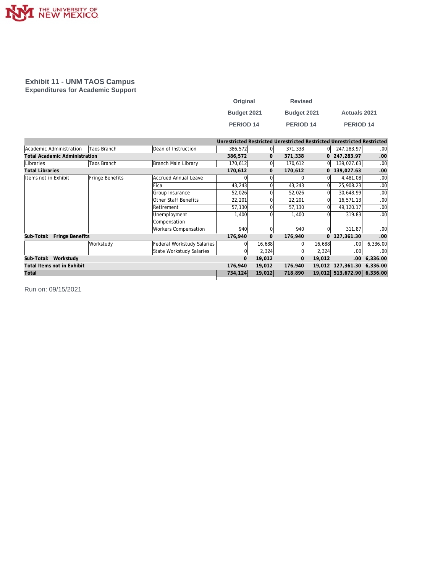

#### **Exhibit 11 - UNM TAOS Campus Expenditures for Academic Support**

| Original         | <b>Revised</b>   |                      |
|------------------|------------------|----------------------|
| Budget 2021      | Budget 2021      | <b>Actuals 2021</b>  |
| <b>PERIOD 14</b> | <b>PERIOD 14</b> | PERIOD <sub>14</sub> |

|                                      |                 |                             |              |              | Unrestricted Restricted Unrestricted Restricted Unrestricted Restricted |              |                            |                  |
|--------------------------------------|-----------------|-----------------------------|--------------|--------------|-------------------------------------------------------------------------|--------------|----------------------------|------------------|
| Academic Administration              | Taos Branch     | Dean of Instruction         | 386,572      | 0l           | 371,338                                                                 | 0            | 247,283.97                 | .00 <sub>1</sub> |
| <b>Total Academic Administration</b> |                 |                             | 386,572      | $\mathbf{0}$ | 371,338                                                                 |              | 0 247,283.97               | .00              |
| Libraries                            | Taos Branch     | Branch Main Library         | 170,612      | 0            | 170,612                                                                 | 01           | 139,027.63                 | .00              |
| <b>Total Libraries</b>               |                 |                             | 170,612      | 0            | 170,612                                                                 | $\mathbf{0}$ | 139,027.63                 | .00              |
| Items not in Exhibit                 | Fringe Benefits | Accrued Annual Leave        |              |              |                                                                         |              | 4,481.08                   | .00              |
|                                      |                 | Fica                        | 43,243       |              | 43,243                                                                  |              | 25,908.23                  | .00              |
|                                      |                 | Group Insurance             | 52,026       |              | 52,026                                                                  |              | 30,648.99                  | .00              |
|                                      |                 | Other Staff Benefits        | 22,201       |              | 22,201                                                                  |              | 16,571.13                  | .00              |
|                                      |                 | Retirement                  | 57,130       |              | 57,130                                                                  | 0            | 49,120.17                  | .00              |
|                                      |                 | Unemployment                | 1,400        |              | 1.400                                                                   |              | 319.83                     | .00 <sub>1</sub> |
|                                      |                 | Compensation                |              |              |                                                                         |              |                            |                  |
|                                      |                 | <b>Workers Compensation</b> | 940          | $\Omega$     | 940                                                                     | $\Omega$     | 311.87                     | .00              |
| Fringe Benefits<br>Sub-Total:        |                 |                             | 176,940      | $\mathbf{0}$ | 176,940                                                                 | $\mathbf{0}$ | 127,361.30                 | .00              |
|                                      | Workstudy       | Federal Workstudy Salaries  | $\Omega$     | 16,688       | $\Omega$                                                                | 16,688       | .00                        | 6,336.00         |
|                                      |                 | State Workstudy Salaries    | $\Omega$     | 2,324        |                                                                         | 2,324        | .00                        | .00              |
| Workstudy<br>Sub-Total:              |                 |                             | $\mathbf{O}$ | 19,012       | $\mathbf{0}$                                                            | 19,012       | .00.                       | 6,336.00         |
| Total Items not in Exhibit           |                 |                             | 176,940      | 19,012       | 176,940                                                                 |              | 19,012 127,361.30 6,336.00 |                  |
| Total                                |                 |                             | 734,124      | 19,012       | 718,890                                                                 |              | 19,012 513,672.90          | 6,336.00         |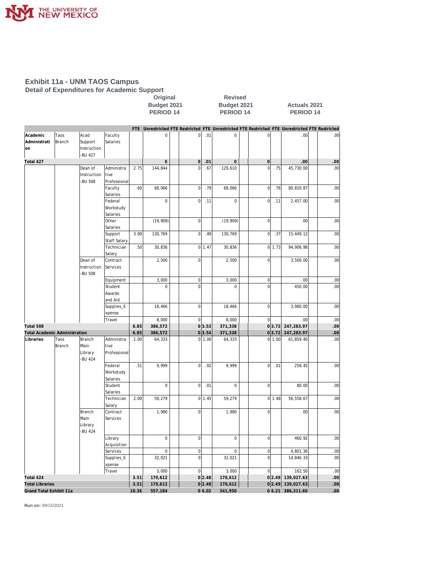

#### **Exhibit 11a - UNM TAOS Campus Detail of Expenditures for Academic Support**

**Coriginal** Revised<br>Budget 2021 **Budget 2021 Budget 2021 Budget 2021 Actuals 2021 PERIOD 14** 

|                                      |               |             |                        |       | FTE Unrestricted FTE Restricted FTE Unrestricted FTE Restricted FTE Unrestricted FTE Restricted |                  |        |                     |                     |        |                   |                 |
|--------------------------------------|---------------|-------------|------------------------|-------|-------------------------------------------------------------------------------------------------|------------------|--------|---------------------|---------------------|--------|-------------------|-----------------|
| Academic                             | Taos          | Acad        | Faculty                |       | 0                                                                                               | $\mathbf 0$      | .01    | 0                   | 0                   |        | .00               | .00             |
| Administrati                         | Branch        | Support     | Salaries               |       |                                                                                                 |                  |        |                     |                     |        |                   |                 |
| on                                   |               | Instruction |                        |       |                                                                                                 |                  |        |                     |                     |        |                   |                 |
|                                      |               | -BU 427     |                        |       |                                                                                                 |                  |        |                     |                     |        |                   |                 |
| Total 427                            |               |             |                        |       | $\mathbf 0$                                                                                     | $\mathbf 0$      | .01    | $\mathsf{O}\xspace$ | $\mathsf{O}\xspace$ |        | .00               | .00             |
|                                      |               | Dean of     | Administra             | 2.75  | 144,844                                                                                         | $\overline{0}$   | .67    | 129,610             | $\overline{0}$      | .75    | 45,730.00         | .00             |
|                                      |               | Instruction | tive                   |       |                                                                                                 |                  |        |                     |                     |        |                   |                 |
|                                      |               | -BU 508     | Professional           |       |                                                                                                 |                  |        |                     |                     |        |                   |                 |
|                                      |               |             | Faculty                | .60   | 68,066                                                                                          | $\mathbf 0$      | .79    | 68,066              | $\mathbf 0$         | .76    | 80,810.87         | .00             |
|                                      |               |             | Salaries<br>Federal    |       | $\mathbf 0$                                                                                     | $\overline{0}$   | .11    | $\mathsf 0$         | $\overline{0}$      | .11    | 2,457.00          | .00             |
|                                      |               |             | Workstudy              |       |                                                                                                 |                  |        |                     |                     |        |                   |                 |
|                                      |               |             | Salaries               |       |                                                                                                 |                  |        |                     |                     |        |                   |                 |
|                                      |               |             | Other                  |       | (19, 909)                                                                                       | $\mathbf 0$      |        | (19, 909)           | $\mathsf{O}\xspace$ |        | .00               | .00             |
|                                      |               |             | Salaries               |       |                                                                                                 |                  |        |                     |                     |        |                   |                 |
|                                      |               |             | Support                | 3.00  | 130,769                                                                                         | $\mathbf 0$      | .49    | 130,769             | $\mathbf 0$         | .37    | 15,449.12         | .00             |
|                                      |               |             | Staff Salary           |       |                                                                                                 |                  |        |                     |                     |        |                   |                 |
|                                      |               |             | Technician             | .50   | 30,836                                                                                          | 0                | 1.47   | 30,836              |                     | 0 1.73 | 94,906.98         | .00             |
|                                      |               |             | Salary                 |       |                                                                                                 |                  |        |                     |                     |        |                   |                 |
|                                      |               | Dean of     | Contract               |       | 2,500                                                                                           | $\overline{0}$   |        | 2,500               | $\overline{0}$      |        | 3,500.00          | .00             |
|                                      |               | Instruction | Services               |       |                                                                                                 |                  |        |                     |                     |        |                   |                 |
|                                      |               | -BU 508     |                        |       |                                                                                                 |                  |        |                     |                     |        |                   |                 |
|                                      |               |             | Equipment              |       | 3,000                                                                                           | $\boldsymbol{0}$ |        | 3,000               | $\mathsf{O}\xspace$ |        | .00               | .00             |
|                                      |               |             | Student                |       | $\mathbf 0$                                                                                     | $\overline{0}$   |        | 0                   | $\overline{0}$      |        | 450.00            | .00             |
|                                      |               |             | Awards                 |       |                                                                                                 |                  |        |                     |                     |        |                   |                 |
|                                      |               |             | and Aid                |       |                                                                                                 |                  |        |                     |                     |        |                   |                 |
|                                      |               |             | Supplies_E             |       | 18,466                                                                                          | $\mathbf 0$      |        | 18,466              | $\mathbf 0$         |        | 3,980.00          | .00             |
|                                      |               |             | xpense                 |       | 8,000                                                                                           | $\overline{0}$   |        | 8,000               | $\overline{0}$      |        | .00               | .00             |
| Total 508                            |               |             | Travel                 | 6.85  | 386,572                                                                                         |                  | 0 3.53 | 371,338             |                     | 0 3.72 | 247,283.97        | .00             |
| <b>Total Academic Administration</b> |               |             |                        | 6.85  | 386,572                                                                                         |                  | 0 3.54 | 371,338             |                     | 0 3.72 | 247,283.97        | .00             |
| Libraries                            | Taos          | Branch      | Administra             | 1.00  | 64,333                                                                                          | <sub>0</sub>     | 1.00   | 64,333              |                     | 0 1.00 | 61,859.40         | .00             |
|                                      | <b>Branch</b> | Main        | tive                   |       |                                                                                                 |                  |        |                     |                     |        |                   |                 |
|                                      |               | Library     | Professional           |       |                                                                                                 |                  |        |                     |                     |        |                   |                 |
|                                      |               | -BU 424     |                        |       |                                                                                                 |                  |        |                     |                     |        |                   |                 |
|                                      |               |             | Federal                | .51   | 9,999                                                                                           | $\overline{0}$   | .02    | 9,999               | $\mathbf 0$         | .01    | 258.45            | .00             |
|                                      |               |             | Workstudy              |       |                                                                                                 |                  |        |                     |                     |        |                   |                 |
|                                      |               |             | Salaries               |       |                                                                                                 |                  |        |                     |                     |        |                   |                 |
|                                      |               |             | Student                |       | $\mathsf 0$                                                                                     | $\mathbf 0$      | .01    | $\mathsf{O}\xspace$ | $\mathbf 0$         |        | 80.00             | .00             |
|                                      |               |             | Salaries               |       |                                                                                                 |                  |        |                     |                     |        |                   |                 |
|                                      |               |             | Technician             | 2.00  | 59,279                                                                                          |                  | 0 1.45 | 59,279              |                     | 0 1.48 | 56,558.67         | .00             |
|                                      |               |             | Salary                 |       |                                                                                                 |                  |        |                     |                     |        |                   |                 |
|                                      |               | Branch      | Contract               |       | 1,980                                                                                           | $\overline{0}$   |        | 1,980               | $\mathbf 0$         |        | .00               | .00             |
|                                      |               | Main        | Services               |       |                                                                                                 |                  |        |                     |                     |        |                   |                 |
|                                      |               | Library     |                        |       |                                                                                                 |                  |        |                     |                     |        |                   |                 |
|                                      |               | -BU 424     |                        |       | $\mathbf 0$                                                                                     | $\mathbf 0$      |        | $\mathsf{O}\xspace$ | $\mathbf 0$         |        | 460.92            |                 |
|                                      |               |             | Library<br>Acquisition |       |                                                                                                 |                  |        |                     |                     |        |                   | .00             |
|                                      |               |             | Services               |       | $\mathsf 0$                                                                                     | $\boldsymbol{0}$ |        | 0                   | $\mathsf{O}\xspace$ |        | 4,801.36          | .00             |
|                                      |               |             | Supplies_E             |       | 32,021                                                                                          | $\overline{0}$   |        | 32,021              | $\overline{0}$      |        | 14,846.33         | .00             |
|                                      |               |             | xpense                 |       |                                                                                                 |                  |        |                     |                     |        |                   |                 |
|                                      |               |             | Travel                 |       | 3,000                                                                                           | $\overline{0}$   |        | 3,000               | $\overline{0}$      |        | 162.50            | .00             |
| Total 424                            |               |             |                        | 3.51  | 170,612                                                                                         |                  | 0 2.48 | 170,612             |                     | 0 2.49 | 139,027.63        | .00             |
| <b>Total Libraries</b>               |               |             |                        | 3.51  | 170,612                                                                                         |                  | 0 2.48 | 170,612             |                     |        | 02.49 139,027.63  | .00             |
| Grand Total Exhibit 11a              |               |             |                        | 10.36 | 557,184                                                                                         |                  | 06.02  | 541,950             |                     |        | 0 6.21 386,311.60 | 00 <sub>1</sub> |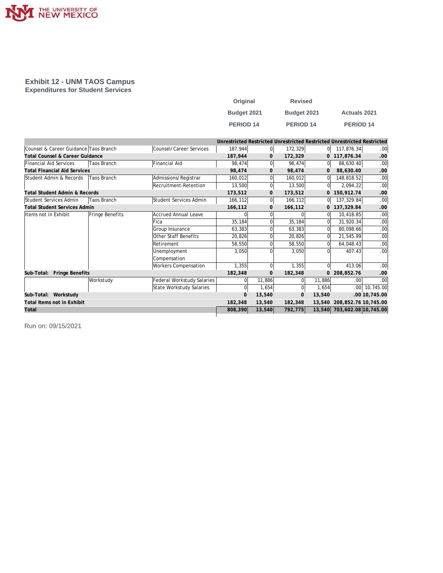

#### **Exhibit 12 - UNM TAOS Campus Expenditures for Student Services**

| Original         | <b>Revised</b>   |                     |
|------------------|------------------|---------------------|
| Budget 2021      | Budget 2021      | <b>Actuals 2021</b> |
| <b>PERIOD 14</b> | <b>PERIOD 14</b> | <b>PERIOD 14</b>    |

|                                          |                    |                             |          |                |              |                | Unrestricted Restricted Unrestricted Restricted Unrestricted Restricted |                  |
|------------------------------------------|--------------------|-----------------------------|----------|----------------|--------------|----------------|-------------------------------------------------------------------------|------------------|
| Counsel & Career Guidance Taos Branch    |                    | Counsel/Career Services     | 187,944  | 0              | 172,329      | 0              | 117,876.34                                                              | .00 <sub>1</sub> |
| Total Counsel & Career Guidance          |                    |                             | 187,944  | 0              | 172,329      | 0              | 117,876.34                                                              | .00              |
| Financial Aid Services                   | Taos Branch        | Financial Aid               | 98,474   | $\Omega$       | 98,474       | 0l             | 88,630.40                                                               | .00 <sub>1</sub> |
| <b>Total Financial Aid Services</b>      |                    |                             | 98,474   | $\mathbf{0}$   | 98,474       | $\mathbf{0}$   | 88,630.40                                                               | .00              |
| Student Admin & Records                  | Taos Branch        | Admissions/Registrar        | 160,012  | $\Omega$       | 160,012      | $\Omega$       | 148,818.52                                                              | .00 <sub>1</sub> |
|                                          |                    | Recruitment-Retention       | 13,500   | $\mathbf 0$    | 13,500       | 0l             | 2,094.22                                                                | .00 <sub>1</sub> |
| <b>Total Student Admin &amp; Records</b> |                    |                             | 173,512  | $\mathbf{O}$   | 173,512      | 0              | 150,912.74                                                              | .00              |
| Student Services Admin                   | <b>Taos Branch</b> | Student Services Admin      | 166,112  | $\overline{0}$ | 166,112      | 0l             | 137,329.84                                                              | .00              |
| <b>Total Student Services Admin</b>      |                    |                             | 166,112  | $\mathbf 0$    | 166,112      | $\overline{0}$ | 137,329.84                                                              | .00              |
| Items not in Exhibit                     | Fringe Benefits    | <b>Accrued Annual Leave</b> |          | $\Omega$       | 0            | $\Omega$       | 10,418.85                                                               | .00              |
|                                          |                    | Fica                        | 35,184   | $\Omega$       | 35,184       | $\Omega$       | 31,920.34                                                               | .00 <sub>1</sub> |
|                                          |                    | Group Insurance             | 63,383   | $\Omega$       | 63,383       | $\Omega$       | 80,098.66                                                               | .00 <sub>1</sub> |
|                                          |                    | Other Staff Benefits        | 20,826   | 0              | 20,826       |                | 21,545.99                                                               | .00              |
|                                          |                    | Retirement                  | 58,550   | $\Omega$       | 58,550       | $\Omega$       | 64,048.43                                                               | .00              |
|                                          |                    | Unemployment                | 3,050    | $\Omega$       | 3,050        |                | 407.43                                                                  | .00 <sub>1</sub> |
|                                          |                    | Compensation                |          |                |              |                |                                                                         |                  |
|                                          |                    | Workers Compensation        | 1,355    | $\Omega$       | 1,355        | $\Omega$       | 413.06                                                                  | .00 <sub>1</sub> |
| Sub-Total: Fringe Benefits               |                    |                             | 182,348  | $\mathbf{O}$   | 182,348      | $\overline{0}$ | 208,852.76                                                              | .00              |
|                                          | Workstudy          | Federal Workstudy Salaries  | $\Omega$ | 11,886         | $\Omega$     | 11,886         | .00                                                                     | .00 <sub>1</sub> |
|                                          |                    | State Workstudy Salaries    | $\Omega$ | 1,654          | $\Omega$     | 1,654          | .00 <sub>1</sub>                                                        | 10,745.00        |
| Sub-Total: Workstudy                     |                    |                             | $\Omega$ | 13,540         | $\mathbf{0}$ | 13,540         |                                                                         | .00 10,745.00    |
| Total Items not in Exhibit               |                    |                             | 182,348  | 13,540         | 182,348      | 13,540         | 208, 852. 76 10, 745.00                                                 |                  |
| Total                                    |                    |                             | 808,390  | 13,540         | 792,775      |                | 13,540 703,602.08 10,745.00                                             |                  |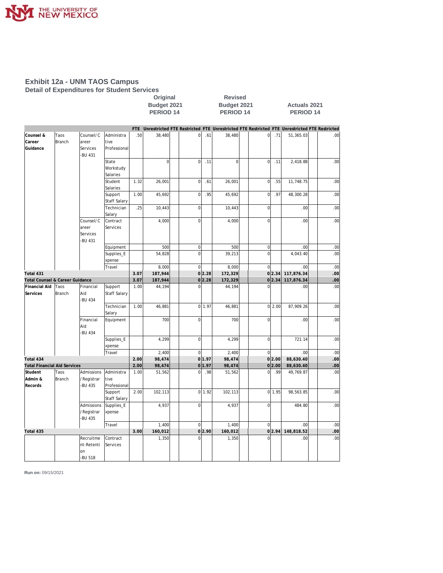

#### **Exhibit 12a - UNM TAOS Campus Detail of Expenditures for Student Services**

Original Revised<br>Budget 2021 Budget 202 **Budget 2021**<br>**Budget 2021**<br>**PERIOD 14**<br>**PERIOD 14**<br>**PERIOD 14**<br>**PERIOD 14 PERIOD 14 PERIOD 14 PERIOD 14**

|                                     |               |                     |                      |      |                  |                |        | FTE Unrestricted FTE Restricted FTE Unrestricted FTE Restricted FTE Unrestricted FTE Restricted |                |        |                    |                         |
|-------------------------------------|---------------|---------------------|----------------------|------|------------------|----------------|--------|-------------------------------------------------------------------------------------------------|----------------|--------|--------------------|-------------------------|
| Counsel &                           | Taos          | Counsel/C           | Administra           | .50  | 38,480           | $\circ$        | .61    | 38,480                                                                                          | $\overline{0}$ | .71    | 51,365.03          | .00 <sub>1</sub>        |
| Career                              | <b>Branch</b> | areer               | tive                 |      |                  |                |        |                                                                                                 |                |        |                    |                         |
| Guidance                            |               | Services<br>-BU 431 | Professional         |      |                  |                |        |                                                                                                 |                |        |                    |                         |
|                                     |               |                     | State                |      | $\overline{0}$   | $\overline{0}$ | .11    | $\mathbf{0}$                                                                                    | $\overline{0}$ | .11    | 2,418.88           | .00 <sub>1</sub>        |
|                                     |               |                     | Workstudy            |      |                  |                |        |                                                                                                 |                |        |                    |                         |
|                                     |               |                     | Salaries             |      |                  |                |        |                                                                                                 |                |        |                    |                         |
|                                     |               |                     | Student              | 1.32 | 26,001           | $\mathbf 0$    | .61    | 26,001                                                                                          | $\overline{0}$ | .55    | 11,748.75          | .00 <sub>l</sub>        |
|                                     |               |                     | Salaries             |      |                  |                |        |                                                                                                 |                |        |                    |                         |
|                                     |               |                     | Support              | 1.00 | 45,692           | $\mathbf 0$    | .95    | 45,692                                                                                          | $\overline{0}$ | .97    | 48,300.28          | .00 <sub>1</sub>        |
|                                     |               |                     | <b>Staff Salary</b>  |      |                  |                |        |                                                                                                 |                |        |                    |                         |
|                                     |               |                     | Technician<br>Salary | .25  | 10,443           | $\mathbf 0$    |        | 10,443                                                                                          | $\mathbf 0$    |        | .00                | .00 <sub>1</sub>        |
|                                     |               | Counsel/C           | Contract             |      | 4,000            | $\Omega$       |        | 4,000                                                                                           | $\Omega$       |        | .00                | .00 <sub>1</sub>        |
|                                     |               | areer               | Services             |      |                  |                |        |                                                                                                 |                |        |                    |                         |
|                                     |               | Services            |                      |      |                  |                |        |                                                                                                 |                |        |                    |                         |
|                                     |               | -BU 431             |                      |      |                  |                |        |                                                                                                 |                |        |                    |                         |
|                                     |               |                     | Equipment            |      | 500              | $\overline{0}$ |        | 500                                                                                             | $\mathbf 0$    |        | .00 <sub>1</sub>   | .00 <sub>1</sub>        |
|                                     |               |                     | Supplies_E           |      | 54,828           | $\mathbf 0$    |        | 39,213                                                                                          | $\overline{0}$ |        | 4,043.40           | .00 <sub>1</sub>        |
|                                     |               |                     | xpense               |      |                  |                |        |                                                                                                 |                |        |                    |                         |
|                                     |               |                     | Travel               |      | 8,000            | $\overline{0}$ |        | 8,000                                                                                           | $\Omega$       |        | .00.               | .00 <sub>1</sub>        |
| Total 431                           |               |                     |                      | 3.07 | 187,944          |                | 0 2.28 | 172,329                                                                                         |                | 0 2.34 | 117,876.34         | .00                     |
| Total Counsel & Career Guidance     |               |                     |                      | 3.07 | 187,944          |                | 0 2.28 | 172,329                                                                                         |                |        | 0 2.34 117,876.34  | .00                     |
| Financial Aid                       | Taos          | Financial           | Support              | 1.00 | 44,194           | $\mathbf 0$    |        | 44,194                                                                                          | $\mathbf 0$    |        | .00                | .00 <sub>1</sub>        |
| Services                            | Branch        | Aid                 | <b>Staff Salary</b>  |      |                  |                |        |                                                                                                 |                |        |                    |                         |
|                                     |               | -BU 434             |                      |      |                  |                |        |                                                                                                 |                |        |                    |                         |
|                                     |               |                     | Technician           | 1.00 | 46,881           |                | 0 1.97 | 46,881                                                                                          |                | 0 2.00 | 87,909.26          | .00 <sub>1</sub>        |
|                                     |               | Financial           | Salary               |      | 700              | $\mathbf 0$    |        | 700                                                                                             | $\overline{0}$ |        | .00.               | .00 <sub>1</sub>        |
|                                     |               | Aid                 | Equipment            |      |                  |                |        |                                                                                                 |                |        |                    |                         |
|                                     |               | -BU 434             |                      |      |                  |                |        |                                                                                                 |                |        |                    |                         |
|                                     |               |                     | Supplies_E           |      | 4,299            | $\overline{0}$ |        | 4,299                                                                                           | $\overline{0}$ |        | 721.14             | .00 <sub>1</sub>        |
|                                     |               |                     | xpense               |      |                  |                |        |                                                                                                 |                |        |                    |                         |
|                                     |               |                     | Travel               |      | 2,400            | $\mathbf 0$    |        | 2,400                                                                                           | $\Omega$       |        | .00.               | .00 <sub>1</sub>        |
| Total 434                           |               |                     |                      | 2.00 | 98,474           |                | 0 1.97 | 98,474                                                                                          |                | 0 2.00 | 88,630.40          | .00                     |
| <b>Total Financial Aid Services</b> |               |                     |                      | 2.00 | 98,474           | $\overline{0}$ | 1.97   | 98,474                                                                                          |                | 0 2.00 | 88,630.40          | .00                     |
| Student                             | Taos          | Admissions          | Administra           | 1.00 | 51,562           | $\mathbf 0$    | .98    | 51,562                                                                                          | $\overline{0}$ | .99    | 49,769.87          | .00 <sub>1</sub>        |
| Admin &                             | <b>Branch</b> | /Registrar          | tive                 |      |                  |                |        |                                                                                                 |                |        |                    |                         |
| Records                             |               | <b>BU 435</b>       | Professional         |      |                  |                |        |                                                                                                 |                |        |                    |                         |
|                                     |               |                     | Support              | 2.00 | 102,113          |                | 0 1.92 | 102,113                                                                                         |                | 0 1.95 | 98,563.85          | .00 <sub>1</sub>        |
|                                     |               |                     | Staff Salary         |      |                  |                |        |                                                                                                 |                |        |                    |                         |
|                                     |               | Admissions          | Supplies_E           |      | 4,937            | $\mathbf 0$    |        | 4,937                                                                                           | $\overline{0}$ |        | 484.80             | .00 <sub>1</sub>        |
|                                     |               | /Registrar          | xpense               |      |                  |                |        |                                                                                                 |                |        |                    |                         |
|                                     |               | -BU 435             |                      |      |                  |                |        |                                                                                                 |                |        |                    |                         |
|                                     |               |                     | Travel               |      | 1,400            | $\mathbf 0$    |        | 1,400                                                                                           | $\overline{0}$ | 0 2.94 | .00.               | .00 <sub>1</sub>        |
| Total 435                           |               | Recruitme           | Contract             | 3.00 | 160,012<br>1,350 | $\Omega$       | 0 2.90 | 160,012<br>1,350                                                                                | $\Omega$       |        | 148,818.52<br>.00. | .00<br>.00 <sub>1</sub> |
|                                     |               | nt-Retenti          | Services             |      |                  |                |        |                                                                                                 |                |        |                    |                         |
|                                     |               | on                  |                      |      |                  |                |        |                                                                                                 |                |        |                    |                         |
|                                     |               | -BU 518             |                      |      |                  |                |        |                                                                                                 |                |        |                    |                         |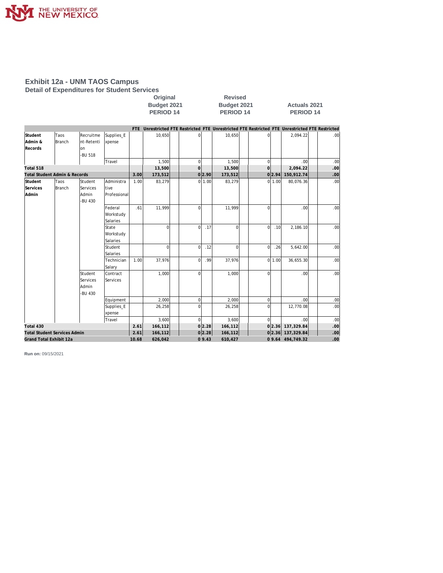

#### **Exhibit 12a - UNM TAOS Campus Detail of Expenditures for Student Services**

|                               |                                     |                                                |                                    | Budget 2021<br>PERIOD <sub>14</sub> |                                                                                                 |       |             | Budget 2021<br>PERIOD <sub>14</sub> |             |                | <b>Actuals 2021</b><br>PERIOD <sub>14</sub> |                   |     |                  |  |
|-------------------------------|-------------------------------------|------------------------------------------------|------------------------------------|-------------------------------------|-------------------------------------------------------------------------------------------------|-------|-------------|-------------------------------------|-------------|----------------|---------------------------------------------|-------------------|-----|------------------|--|
|                               |                                     |                                                |                                    |                                     |                                                                                                 |       |             |                                     |             |                |                                             |                   |     |                  |  |
|                               |                                     |                                                |                                    |                                     | FTE Unrestricted FTE Restricted FTE Unrestricted FTE Restricted FTE Unrestricted FTE Restricted |       |             |                                     |             |                |                                             |                   |     |                  |  |
| Student<br>Admin &<br>Records | Taos<br><b>Branch</b>               | Recruitme<br>nt-Retenti<br>on<br>-BU 518       | Supplies_E<br>xpense               |                                     | 10,650                                                                                          |       | $\Omega$    | 10,650                              |             | $\Omega$       |                                             | 2,094.22          |     | .00.             |  |
|                               |                                     |                                                | Travel                             |                                     | 1.500                                                                                           |       | $\Omega$    | 1,500                               |             | $\overline{0}$ |                                             | .00               |     | .00              |  |
| Total 518                     |                                     |                                                |                                    |                                     | 13,500                                                                                          |       | $\Omega$    | 13,500                              |             | $\overline{0}$ |                                             | 2,094.22          |     | .00              |  |
|                               | Total Student Admin & Records       |                                                |                                    | 3.00                                | 173,512                                                                                         |       | 0 2.90      | 173,512                             |             |                | 0 2.94                                      | 150,912.74        |     | .00              |  |
| Student<br>Services<br>Admin  | Taos<br>Branch                      | Student<br>Services<br>Admin<br>-BU 430        | Administra<br>tive<br>Professional | 1.00                                | 83,279                                                                                          |       | 0 1.00      | 83,279                              |             |                | 011.00                                      | 80,076.36         |     | .00              |  |
|                               |                                     |                                                | Federal<br>Workstudy<br>Salaries   | .61                                 | 11,999                                                                                          |       | $\Omega$    | 11.999                              |             | $\Omega$       |                                             | .00.              |     | .00              |  |
|                               |                                     |                                                | State<br>Workstudy<br>Salaries     |                                     | $\Omega$                                                                                        |       | $\Omega$    | .17                                 | $\Omega$    | $\Omega$       | .10                                         | 2,186.10          |     | .00              |  |
|                               |                                     |                                                | Student<br>Salaries                |                                     | 0l                                                                                              |       | $\mathbf 0$ | .12                                 | $\mathbf 0$ | $\Omega$       | .26                                         | 5,642.00          |     | .00              |  |
|                               |                                     |                                                | Technician<br>Salary               | 1.00                                | 37,976                                                                                          |       | $\Omega$    | .99<br>37,976                       |             |                | 0 1.00                                      | 36,655.30         |     | .00              |  |
|                               |                                     | Student<br><b>Services</b><br>Admin<br>-BU 430 | Contract<br>Services               |                                     | 1.000                                                                                           |       | $\Omega$    | 1.000                               |             | $\Omega$       |                                             | .00 <sub>l</sub>  |     | .00              |  |
|                               |                                     |                                                | Equipment                          |                                     | 2,000                                                                                           |       | $\Omega$    | 2,000                               |             | $\overline{0}$ |                                             | .00               |     | .00              |  |
|                               |                                     |                                                | Supplies_E<br>xpense               |                                     | 26,258                                                                                          |       | $\Omega$    | 26,258                              |             | $\Omega$       |                                             | 12,770.08         |     | .00              |  |
|                               |                                     |                                                | Travel                             |                                     | 3,600                                                                                           |       | $\Omega$    | 3,600                               |             | $\Omega$       |                                             | .00               |     | .00              |  |
| Total 430                     |                                     |                                                |                                    | 2.61                                | 166,112                                                                                         |       | 0 2.28      | 166,112                             |             |                |                                             | 0 2.36 137,329.84 |     | .00              |  |
|                               | <b>Total Student Services Admin</b> |                                                |                                    | 2.61                                | 166,112                                                                                         |       | 0 2.28      | 166,112                             |             |                |                                             | 0 2.36 137,329.84 |     | .00 <sub>1</sub> |  |
|                               | Grand Total Exhibit 12a             |                                                | 10.68                              | 626,042                             |                                                                                                 | 09.43 | 610,427     |                                     |             |                | 0 9.64 494,749.32                           |                   | .00 |                  |  |

**Original Revised**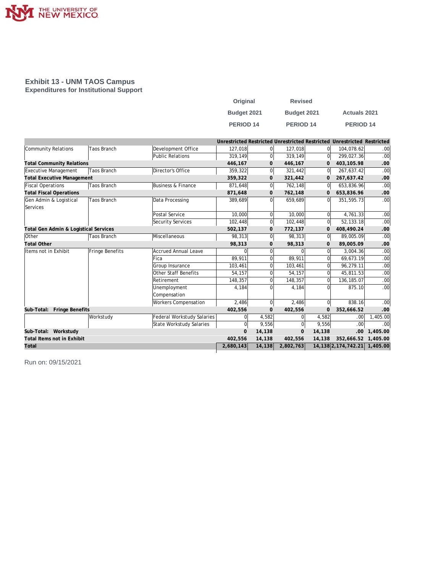

#### **Exhibit 13 - UNM TAOS Campus Expenditures for Institutional Support**

| Original    | <b>Revised</b> |                      |
|-------------|----------------|----------------------|
| Budget 2021 | Budget 2021    | <b>Actuals 2021</b>  |
| PERIOD 14   | PERIOD 14      | PERIOD <sub>14</sub> |

|                                       |                 |                                   |              |                |           |                | Unrestricted Restricted Unrestricted Restricted Unrestricted Restricted |                  |
|---------------------------------------|-----------------|-----------------------------------|--------------|----------------|-----------|----------------|-------------------------------------------------------------------------|------------------|
| Community Relations                   | Taos Branch     | Development Office                | 127,018      | $\Omega$       | 127,018   | $\overline{0}$ | 104,078.62                                                              | .001             |
|                                       |                 | Public Relations                  | 319,149      | $\Omega$       | 319,149   | 0              | 299,027.36                                                              | .00              |
| <b>Total Community Relations</b>      |                 |                                   | 446,167      | $\mathbf{0}$   | 446,167   | 0              | 403,105.98                                                              | .00              |
| Executive Management                  | Taos Branch     | Director's Office                 | 359,322      | $\overline{0}$ | 321,442   | 0l             | 267,637.42                                                              | .00              |
| <b>Total Executive Management</b>     |                 |                                   | 359,322      | 0              | 321,442   | 0              | 267,637.42                                                              | .00              |
| Fiscal Operations                     | Taos Branch     | Business & Finance                | 871,648      | $\overline{0}$ | 762,148   | $\overline{0}$ | 653,836.96                                                              | .00              |
| <b>Total Fiscal Operations</b>        |                 |                                   | 871,648      | $\mathbf{0}$   | 762,148   | $\overline{0}$ | 653,836.96                                                              | .00              |
| Gen Admin & Logistical                | Taos Branch     | Data Processing                   | 389,689      | $\overline{0}$ | 659,689   | $\overline{0}$ | 351,595.73                                                              | .00 <sub>l</sub> |
| Services                              |                 |                                   |              |                |           |                |                                                                         |                  |
|                                       |                 | Postal Service                    | 10,000       | $\Omega$       | 10,000    | $\Omega$       | 4,761.33                                                                | .00              |
|                                       |                 | Security Services                 | 102,448      | $\overline{0}$ | 102,448   | $\overline{0}$ | 52, 133. 18                                                             | .00              |
| Total Gen Admin & Logistical Services |                 |                                   | 502,137      | 0              | 772,137   | 0              | 408,490.24                                                              | .00              |
| Other                                 | Taos Branch     | Miscellaneous                     | 98,313       | $\Omega$       | 98,313    | 0              | 89,005.09                                                               | .00              |
| <b>Total Other</b>                    |                 |                                   | 98,313       | 0              | 98,313    | 0              | 89,005.09                                                               | .00              |
| Items not in Exhibit                  | Fringe Benefits | Accrued Annual Leave              | 0            | 0              |           | 0              | 3,004.36                                                                | .00              |
|                                       |                 | Fica                              | 89,911       | 0              | 89.911    | 0              | 69,673.19                                                               | .00              |
|                                       |                 | Group Insurance                   | 103,461      | $\Omega$       | 103,461   | 0              | 96,279.11                                                               | .00              |
|                                       |                 | Other Staff Benefits              | 54,157       | 0              | 54,157    | 0              | 45,811.53                                                               | .00              |
|                                       |                 | Retirement                        | 148,357      | $\Omega$       | 148,357   | 0              | 136,185.07                                                              | .00              |
|                                       |                 | Unemployment                      | 4,184        | $\Omega$       | 4,184     | 0              | 875.10                                                                  | .00              |
|                                       |                 | Compensation                      |              |                |           |                |                                                                         |                  |
|                                       |                 | <b>Workers Compensation</b>       | 2,486        | $\overline{0}$ | 2,486     | $\overline{0}$ | 838.16                                                                  | .00              |
| Fringe Benefits<br>Sub-Total:         |                 |                                   | 402,556      | $\mathbf{0}$   | 402,556   | 0              | 352,666.52                                                              | .00              |
|                                       | Workstudy       | <b>Federal Workstudy Salaries</b> | $\Omega$     | 4,582          |           | 4,582          | .00.                                                                    | 1,405.00         |
|                                       |                 | State Workstudy Salaries          | $\mathbf{0}$ | 9,556          | $\Omega$  | 9,556          | .00.                                                                    | .00              |
| Sub-Total: Workstudy                  |                 |                                   | $\Omega$     | 14,138         | $\Omega$  | 14,138         | .00                                                                     | 1,405.00         |
| Total Items not in Exhibit            |                 |                                   | 402,556      | 14,138         | 402,556   | 14,138         | 352,666.52                                                              | 1,405.00         |
| Total                                 |                 |                                   | 2,680,143    | 14,138         | 2,802,763 |                | 14, 138 2, 174, 742. 21 1, 405. 00                                      |                  |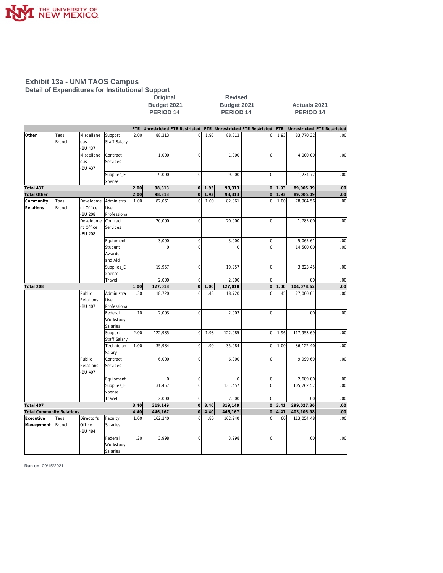

#### **Exhibit 13a - UNM TAOS Campus Detail of Expenditures for Institutional Support Original Revised**

PERIOD 14 PERIOD 14 PERIOD 14 **FTE Unrestricted FTE Restricted FTE Unrestricted FTE Restricted FTE Unrestricted FTE Restricted Other** Taos Miscellane Support 2.00 88,313 0 1.93 88,313 0 1.93 83,770.32 .00  $\begin{vmatrix} \text{Branch} \\ \text{ous} \end{vmatrix}$  Staff Salary -BU 437<br>Miscellane 00. 1, Miscellane |Contract | | 1,000 | 0 | 1,000 | 0 ous Services -BU 437 00. | Supplies\_E | | 9,000 | 0 | 9,000 | 9,000 | 0 | 1,234.77 | 9 xpense **Total 437 2.00 98,313 0 1.93 98,313 0 1.93 89,005.09 .00 Total Other 2.00 98,313 0 1.93 98,313 0 1.93 89,005.09 .00 Community** Taos Developme Administra 1.00 82,061 0 1.00 82,061 0 1.00 78,904.56 .00 Relations **Branch** nt Office tive Professional 00. Developme |Contract | | 20,000 | 0 | 20,000 | 0 | 20,000 | 1,785.00 | 20,00  $n$ t Office Services -BU 208 Equipment | | 3,000 | 0 | 3,000 | 0 | 5,065.61 | .00 Student 0 0 0 0 14,500.00 .00 Awards and Aid Supplies\_E | | 19,957 | | 0| | 19,957 | | 0| | 3,823.45 | .00 xpense Travel 2,000 0 2,000 0 .00 .00 **Total 208 1.00 127,018 0 1.00 127,018 0 1.00 104,078.62 .00** 00. | Public |Administra | .30 18,720 | 0 .43 18,720 | 0 .45 27,000.01 | .00  $\left|$  Relations  $\left|$  tive -BU 407 Professional Federal .10 2,003 0 2,003 0 .00 .00 Workstudy Salaries Support | 2.00 | 122,985 | 0 | 1.98 | 122,985 | 0 | 1.96 | 117,953.69 | .00 Staff Salar Technician 1.00 35,984 0 .99 35,984 0 1.00 36,122.40 .00 Salary 00. | Public |Contract | | 6,000 | 0 | 6,000 | 0 | 9,999.69 | 0 Relations Services -BU 407 Equipment 0 0 0 0 2,689.00 .00 Supplies\_E | | 131,457 | | 0 | 131,457 | | 0 | 105,262.57 | .00 xpense Travel 2,000 0 2,000 0 .00 .00 **Total 407 3.40 319,149 0 3.40 319,149 0 3.41 299,027.36 .00 Total Community Relations 4.40 446,167 0 4.40 446,167 0 4.41 403,105.98 .00** 00. | Executive |Taos |Director's |Faculty | 1.00| 162,240| | 0| .80| 162,240 | 0| .60| 113,054.48| | .00 Management Branch Office Salaries -BU 484 Federal .20 3,998 0 3,998 0 .00 .00 Workstudy Salaries

**Budget 2021 Budget 2021 Actuals 2021**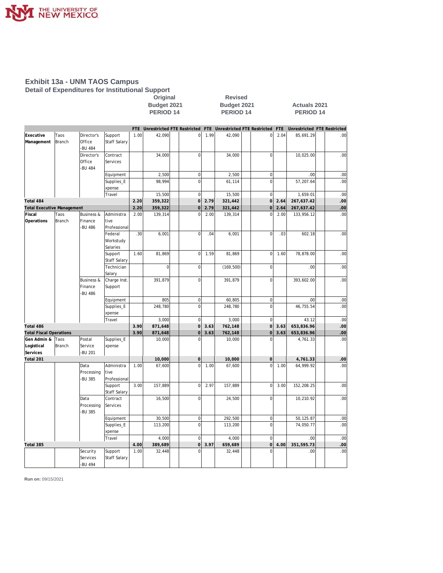

#### **Exhibit 13a - UNM TAOS Campus Detail of Expenditures for Institutional Support**

**Original Revised** 

**Budget 2021 Budget 2021 Actuals 2021** PERIOD 14 PERIOD 14 PERIOD 14

|                                   |                |                             |                                |      | FTE Unrestricted FTE Restricted |                |      | FTE Unrestricted FTE Restricted |                | <b>FTE</b> | Unrestricted FTE Restricted |     |
|-----------------------------------|----------------|-----------------------------|--------------------------------|------|---------------------------------|----------------|------|---------------------------------|----------------|------------|-----------------------------|-----|
| Executive<br>Management           | Taos<br>Branch | Director's<br>Office        | Support<br>Staff Salary        | 1.00 | 42,090                          | $\overline{0}$ | 1.99 | 42,090                          | $\mathbf{0}$   | 2.04       | 85,691.29                   | .00 |
|                                   |                | <b>BU 484</b>               |                                |      |                                 |                |      |                                 |                |            |                             |     |
|                                   |                | Director's                  | Contract                       |      | 34,000                          | $\mathbf 0$    |      | 34,000                          | $\mathbf 0$    |            | 10,025.00                   | .00 |
|                                   |                | Office                      | Services                       |      |                                 |                |      |                                 |                |            |                             |     |
|                                   |                | <b>BU 484</b>               |                                |      |                                 |                |      |                                 |                |            |                             |     |
|                                   |                |                             | Equipment                      |      | 2,500                           | $\overline{0}$ |      | 2,500                           | $\overline{0}$ |            | .00                         | .00 |
|                                   |                |                             | Supplies_E                     |      | 98,994                          | $\mathbf 0$    |      | 61,114                          | $\overline{0}$ |            | 57,207.64                   | .00 |
|                                   |                |                             | xpense                         |      |                                 |                |      |                                 |                |            |                             |     |
|                                   |                |                             | Travel                         |      | 15,500                          | $\mathbf 0$    |      | 15,500                          | $\mathbf 0$    |            | 1,659.01                    | .00 |
| Total 484                         |                |                             |                                | 2.20 | 359,322                         | $\overline{O}$ | 2.79 | 321,442                         | $\overline{O}$ | 2.64       | 267,637.42                  | .00 |
| <b>Total Executive Management</b> |                |                             |                                | 2.20 | 359,322                         | $\overline{0}$ | 2.79 | 321,442                         | $\overline{O}$ | 2.64       | 267,637.42                  | .00 |
| Fiscal                            | Taos           | <b>Business &amp;</b>       | Administra                     | 2.00 | 139,314                         | $\overline{0}$ | 2.00 | 139,314                         | $\Omega$       | 2.00       | 133,956.12                  | .00 |
| Operations                        | Branch         | Finance<br><b>BU 486</b>    | tive<br>Professional           |      |                                 |                |      |                                 |                |            |                             |     |
|                                   |                |                             | Federal                        | .30  | 6,001                           | $\overline{0}$ | .04  | 6,001                           | $\overline{0}$ | .03        | 602.18                      | .00 |
|                                   |                |                             | Workstudy<br>Salaries          |      |                                 |                |      |                                 |                |            |                             |     |
|                                   |                |                             | Support                        | 1.60 | 81,869                          | $\mathbf 0$    | 1.59 | 81,869                          | 0              | 1.60       | 78,878.00                   | .00 |
|                                   |                |                             | <b>Staff Salary</b>            |      |                                 |                |      |                                 |                |            |                             |     |
|                                   |                |                             | Technician                     |      | $\overline{0}$                  | $\mathbf 0$    |      | (169, 500)                      | $\overline{0}$ |            | .00                         | .00 |
|                                   |                |                             | Salary                         |      |                                 |                |      |                                 |                |            |                             |     |
|                                   |                | <b>Business &amp;</b>       | Charge Inst.                   |      | 391,879                         | $\mathbf 0$    |      | 391,879                         | $\overline{0}$ |            | 393,602.00                  | .00 |
|                                   |                | Finance<br><b>BU 486</b>    | Support                        |      |                                 |                |      |                                 |                |            |                             |     |
|                                   |                |                             | Equipment                      |      | 805                             | $\overline{0}$ |      | 60,805                          | $\mathbf 0$    |            | .00                         | .00 |
|                                   |                |                             | Supplies_E<br>xpense           |      | 248,780                         | $\overline{0}$ |      | 248,780                         | $\overline{0}$ |            | 46,755.54                   | .00 |
|                                   |                |                             | Travel                         |      | 3,000                           | $\mathbf 0$    |      | 3,000                           | $\overline{0}$ |            | 43.12                       | .00 |
| Total 486                         |                |                             |                                | 3.90 | 871,648                         | $\overline{O}$ | 3.63 | 762,148                         | $\mathbf 0$    | 3.63       | 653,836.96                  | .00 |
| <b>Total Fiscal Operations</b>    |                |                             |                                | 3.90 | 871,648                         | $\overline{0}$ | 3.63 | 762,148                         | $\overline{0}$ | 3.63       | 653,836.96                  | .00 |
| Gen Admin &                       | Taos           | Postal                      | Supplies_E                     |      | 10,000                          | $\Omega$       |      | 10,000                          | $\Omega$       |            | 4,761.33                    | .00 |
| Logistical                        | <b>Branch</b>  | Service                     | xpense                         |      |                                 |                |      |                                 |                |            |                             |     |
| Services                          |                | -BU 201                     |                                |      |                                 |                |      |                                 |                |            |                             |     |
| Total 201                         |                |                             |                                |      | 10,000                          | $\mathbf 0$    |      | 10,000                          | $\mathsf{O}$   |            | 4,761.33                    | .00 |
|                                   |                | Data                        | Administra                     | 1.00 | 67,600                          | $\overline{0}$ | 1.00 | 67,600                          | $\overline{0}$ | 1.00       | 64,999.92                   | .00 |
|                                   |                | Processing                  | tive                           |      |                                 |                |      |                                 |                |            |                             |     |
|                                   |                | <b>BU 385</b>               | Professional                   |      |                                 |                |      |                                 |                |            |                             |     |
|                                   |                |                             | Support<br><b>Staff Salary</b> | 3.00 | 157.889                         | $\mathbf 0$    | 2.97 | 157.889                         | $\overline{0}$ | 3.00       | 152,208.25                  | .00 |
|                                   |                | Data                        | Contract                       |      | 16,500                          | $\mathbf 0$    |      | 24,500                          | $\overline{0}$ |            | 10,210.92                   | .00 |
|                                   |                | Processing<br><b>BU 385</b> | Services                       |      |                                 |                |      |                                 |                |            |                             |     |
|                                   |                |                             | Equipment                      |      | 30,500                          | $\overline{0}$ |      | 292,500                         | $\mathbf 0$    |            | 50,125.87                   | .00 |
|                                   |                |                             | Supplies_E                     |      | 113,200                         | $\overline{0}$ |      | 113,200                         | $\overline{0}$ |            | 74,050.77                   | .00 |
|                                   |                |                             | xpense                         |      |                                 |                |      |                                 |                |            |                             |     |
|                                   |                |                             | Travel                         |      | 4,000                           | $\mathbf 0$    |      | 4,000                           | $\overline{0}$ |            | .00                         | .00 |
| Total 385                         |                |                             |                                | 4.00 | 389,689                         | $\mathbf 0$    | 3.97 | 659,689                         | $\mathbf 0$    | 4.00       | 351,595.73                  | .00 |
|                                   |                | Security                    | Support                        | 1.00 | 32,448                          | $\Omega$       |      | 32,448                          | $\Omega$       |            | .00                         | .00 |
|                                   |                | Services<br><b>BU 494</b>   | Staff Salary                   |      |                                 |                |      |                                 |                |            |                             |     |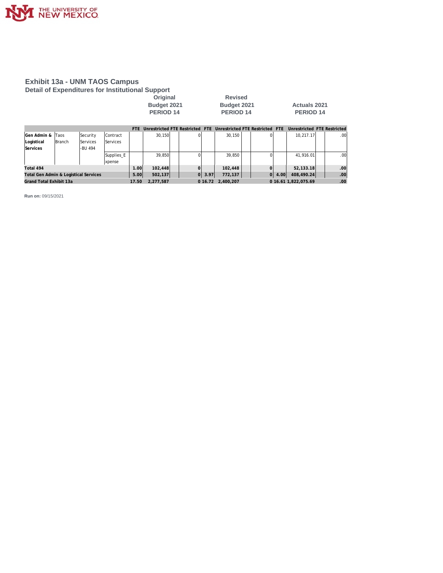

#### **Exhibit 13a - UNM TAOS Campus Detail of Expenditures for Institutional Support**

**Original** Revised<br> **Budget 2021** Budget 202 **PERIOD 14 PERIOD 14 PERIOD 14**

**Budget 2021 Budget 2021 Actuals 2021**

|                                       |                         |          |                 | <b>FTF</b> | Unrestricted FTF Restricted FTF |  |            | Unrestricted FTE Restricted FTE |                |      | Unrestricted FTE Restricted |                  |
|---------------------------------------|-------------------------|----------|-----------------|------------|---------------------------------|--|------------|---------------------------------|----------------|------|-----------------------------|------------------|
| <b>IGen Admin &amp;</b>               | Taos                    | Security | <b>Contract</b> |            | 30,150                          |  |            | 30,150                          |                |      | 10.217.17                   | .00 <sub>1</sub> |
| Logistical                            | <b>Branch</b>           | Services | <b>Services</b> |            |                                 |  |            |                                 |                |      |                             |                  |
| Services                              |                         | -BU 494  |                 |            |                                 |  |            |                                 |                |      |                             |                  |
|                                       |                         |          | Supplies E      |            | 39.850                          |  |            | 39.850                          |                |      | 41.916.01                   | .00.             |
|                                       |                         |          | xpense          |            |                                 |  |            |                                 |                |      |                             |                  |
| Total 494                             |                         |          |                 | 1.00l      | 102,448                         |  |            | 102.448                         |                |      | 52.133.18                   | .00              |
| Total Gen Admin & Logistical Services |                         |          |                 | 5.00       | 502,137                         |  | $ 0 $ 3.97 | 772.137                         | $\overline{O}$ | 4.00 | 408.490.24                  | .00              |
|                                       | Grand Total Exhibit 13a |          |                 |            | 2.277.587<br>17.50              |  |            | 0 16.72 2.400.207               |                |      | 0 16.61 1.822.075.69        | .00 <sub>1</sub> |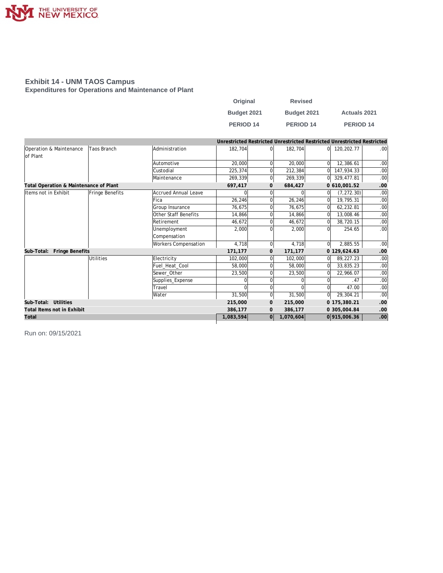

#### **Exhibit 14 - UNM TAOS Campus Expenditures for Operations and Maintenance of Plant**

| Original         | <b>Revised</b>       |                      |
|------------------|----------------------|----------------------|
| Budget 2021      | Budget 2021          | <b>Actuals 2021</b>  |
| <b>PERIOD 14</b> | PERIOD <sub>14</sub> | PERIOD <sub>14</sub> |

|                                        |                    |                             |           |              | Unrestricted Restricted Unrestricted Restricted Unrestricted Restricted |              |              |                  |
|----------------------------------------|--------------------|-----------------------------|-----------|--------------|-------------------------------------------------------------------------|--------------|--------------|------------------|
| Operation & Maintenance<br>lof Plant   | <b>Taos Branch</b> | Administration              | 182,704   |              | 182,704                                                                 | 01           | 120, 202. 77 | .00              |
|                                        |                    | Automotive                  | 20,000    |              | 20,000                                                                  | $\Omega$     | 12,386.61    | .00              |
|                                        |                    | Custodial                   | 225,374   |              | 212,384                                                                 |              | 147,934.33   | .00              |
|                                        |                    | Maintenance                 | 269,339   | $\Omega$     | 269,339                                                                 | ΩI           | 329,477.81   | .00              |
| Total Operation & Maintenance of Plant |                    |                             | 697,417   | $\mathbf{0}$ | 684,427                                                                 |              | 0 610,001.52 | .00              |
| Items not in Exhibit                   | Fringe Benefits    | Accrued Annual Leave        | $\Omega$  |              | 0                                                                       | $\Omega$     | (7, 272.30)  | .00              |
|                                        |                    | Fica                        | 26,246    |              | 26,246                                                                  | <sup>0</sup> | 19,795.31    | .00              |
|                                        |                    | Group Insurance             | 76,675    |              | 76,675                                                                  | 0            | 62,232.81    | .00              |
|                                        |                    | Other Staff Benefits        | 14,866    |              | 14,866                                                                  | 0            | 13,008.46    | .00              |
|                                        |                    | Retirement                  | 46,672    |              | 46.672                                                                  | 0            | 38.720.15    | .00 <sub>1</sub> |
|                                        |                    | Unemployment                | 2,000     |              | 2,000                                                                   | 0            | 254.65       | .00 <sub>1</sub> |
|                                        |                    | Compensation                |           |              |                                                                         |              |              |                  |
|                                        |                    | <b>Workers Compensation</b> | 4,718     | $\Omega$     | 4,718                                                                   | $\Omega$     | 2,885.55     | .00              |
| Fringe Benefits<br>Sub-Total:          |                    |                             | 171,177   | $\mathbf{0}$ | 171,177                                                                 |              | 0 129,624.63 | .00              |
|                                        | <b>Utilities</b>   | Electricity                 | 102.000   |              | 102,000                                                                 | <sup>0</sup> | 89.227.23    | .00              |
|                                        |                    | Fuel_Heat_Cool              | 58,000    |              | 58,000                                                                  | $\Omega$     | 33,835.23    | .00              |
|                                        |                    | Sewer Other                 | 23,500    |              | 23,500                                                                  | $\Omega$     | 22,966.07    | .00              |
|                                        |                    | Supplies_Expense            |           |              |                                                                         |              | .47          | .00              |
|                                        |                    | Travel                      |           |              |                                                                         |              | 47.00        | .00              |
|                                        |                    | <b>Water</b>                | 31,500    |              | 31,500                                                                  | $\Omega$     | 29,304.21    | .00 <sub>1</sub> |
| Sub-Total: Utilities                   |                    |                             | 215,000   | $\mathbf{0}$ | 215,000                                                                 |              | 0 175,380.21 | .00              |
| Total Items not in Exhibit             |                    |                             | 386,177   | $\mathbf{0}$ | 386.177                                                                 |              | 0 305,004.84 | .00              |
| Total                                  |                    |                             | 1,083,594 | 0            | 1,070,604                                                               |              | 0915,006.36  | .00              |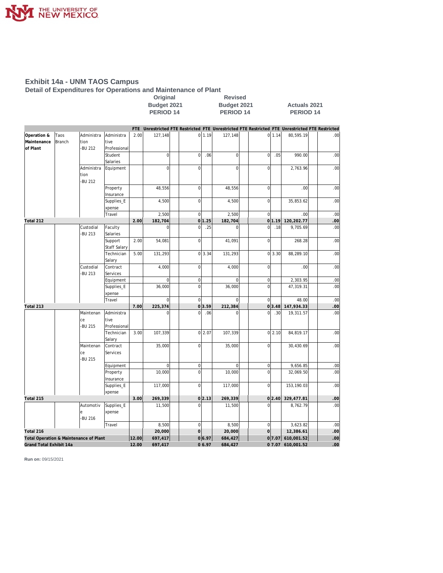

#### **Exhibit 14a - UNM TAOS Campus**

**Detail of Expenditures for Operations and Maintenance of Plant**

|                                        |        |               |                       |       |                          | Original<br><b>Revised</b> |                               |        |                        |                     |                          |          |                                                                                                 |  |            |
|----------------------------------------|--------|---------------|-----------------------|-------|--------------------------|----------------------------|-------------------------------|--------|------------------------|---------------------|--------------------------|----------|-------------------------------------------------------------------------------------------------|--|------------|
|                                        |        |               |                       |       | Budget 2021              | Budget 2021                |                               |        |                        | <b>Actuals 2021</b> |                          |          |                                                                                                 |  |            |
|                                        |        |               |                       |       | <b>PERIOD 14</b>         |                            |                               |        | <b>PERIOD 14</b>       |                     |                          |          | <b>PERIOD 14</b>                                                                                |  |            |
|                                        |        |               |                       |       |                          |                            |                               |        |                        |                     |                          |          |                                                                                                 |  |            |
|                                        |        |               |                       |       |                          |                            |                               |        |                        |                     |                          |          | FTE Unrestricted FTE Restricted FTE Unrestricted FTE Restricted FTE Unrestricted FTE Restricted |  |            |
| Operation &                            | Taos   | Administra    | Administra            | 2.00  | 127,148                  |                            |                               | 0 1.19 | 127,148                |                     |                          | $0$ 1.14 | 80,595.19                                                                                       |  | .00        |
| Maintenance                            | Branch | tion          | tive                  |       |                          |                            |                               |        |                        |                     |                          |          |                                                                                                 |  |            |
| of Plant                               |        | -BU 212       | Professional          |       |                          |                            |                               |        |                        |                     |                          |          |                                                                                                 |  |            |
|                                        |        |               | Student               |       | $\overline{0}$           |                            | $\overline{0}$                | .06    | $\bf 0$                |                     | $\overline{0}$           | .05      | 990.00                                                                                          |  | .00        |
|                                        |        |               | Salaries              |       |                          |                            |                               |        |                        |                     |                          |          |                                                                                                 |  |            |
|                                        |        | Administra    | Equipment             |       | $\mathbf{0}$             |                            | $\overline{0}$                |        | $\mathbf{0}$           |                     | $\overline{0}$           |          | 2,763.96                                                                                        |  | .00        |
|                                        |        | tion          |                       |       |                          |                            |                               |        |                        |                     |                          |          |                                                                                                 |  |            |
|                                        |        | -BU 212       |                       |       |                          |                            |                               |        |                        |                     |                          |          |                                                                                                 |  |            |
|                                        |        |               | Property              |       | 48,556                   |                            | $\mathbf 0$                   |        | 48,556                 |                     | $\overline{0}$           |          | .00                                                                                             |  | .00        |
|                                        |        |               | Insurance             |       |                          |                            |                               |        |                        |                     |                          |          |                                                                                                 |  |            |
|                                        |        |               | Supplies_E            |       | 4,500                    |                            | $\mathbf 0$                   |        | 4,500                  |                     | $\overline{0}$           |          | 35,853.62                                                                                       |  | .00        |
|                                        |        |               | xpense                |       |                          |                            | $\mathbf 0$                   |        |                        |                     | $\overline{0}$           |          | .00                                                                                             |  | .00        |
| Total 212                              |        |               | Travel                | 2.00  | 2,500<br>182,704         |                            |                               | 0 1.25 | 2,500<br>182,704       |                     |                          | 0 1.19   | 120,202.77                                                                                      |  | .00        |
|                                        |        | Custodial     | Faculty               |       | $\overline{0}$           |                            | $\mathbf 0$                   | .25    | $\mathbf{0}$           |                     | $\overline{0}$           | .18      | 9,705.69                                                                                        |  | .00        |
|                                        |        | <b>BU 213</b> | Salaries              |       |                          |                            |                               |        |                        |                     |                          |          |                                                                                                 |  |            |
|                                        |        |               | Support               | 2.00  | 54,081                   |                            | $\mathbf 0$                   |        | 41,091                 |                     | $\overline{0}$           |          | 268.28                                                                                          |  | .00        |
|                                        |        |               | Staff Salary          |       |                          |                            |                               |        |                        |                     |                          |          |                                                                                                 |  |            |
|                                        |        |               | Technician            | 5.00  | 131,293                  |                            |                               | 0 3.34 | 131,293                |                     |                          | 0 3.30   | 88,289.10                                                                                       |  | .00        |
|                                        |        |               | Salary                |       |                          |                            |                               |        |                        |                     |                          |          |                                                                                                 |  |            |
|                                        |        | Custodial     | Contract              |       | 4,000                    |                            | $\mathbf 0$                   |        | 4,000                  |                     | $\overline{0}$           |          | .00                                                                                             |  | .00        |
|                                        |        | <b>BU 213</b> | Services              |       |                          |                            |                               |        |                        |                     |                          |          |                                                                                                 |  |            |
|                                        |        |               | Equipment             |       | $\overline{0}$           |                            | $\mathbf 0$                   |        | $\mathbf 0$            |                     | $\mathbf 0$              |          | 2,303.95                                                                                        |  | .00        |
|                                        |        |               | Supplies_E            |       | 36,000                   |                            | $\overline{0}$                |        | 36,000                 |                     | $\overline{0}$           |          | 47,319.31                                                                                       |  | .00        |
|                                        |        |               | xpense                |       |                          |                            |                               |        |                        |                     |                          |          |                                                                                                 |  |            |
|                                        |        |               | Travel                |       | $\Omega$                 |                            | $\mathbf 0$                   |        | $\Omega$               |                     | $\Omega$                 |          | 48.00                                                                                           |  | .00        |
| Total 213                              |        |               |                       | 7.00  | 225,374                  |                            |                               | 0 3.59 | 212,384                |                     |                          | 0 3.48   | 147,934.33                                                                                      |  | .00        |
|                                        |        | Maintenan     | Administra            |       | $\Omega$                 |                            | $\Omega$                      | .06    | $\mathbf{0}$           |                     | $\Omega$                 | .30      | 19,311.57                                                                                       |  | .00        |
|                                        |        | ce            | tive                  |       |                          |                            |                               |        |                        |                     |                          |          |                                                                                                 |  |            |
|                                        |        | <b>BU 215</b> | Professional          |       |                          |                            |                               |        |                        |                     |                          |          |                                                                                                 |  |            |
|                                        |        |               | Technician            | 3.00  | 107,339                  |                            |                               | 0 2.07 | 107,339                |                     |                          | 0 2.10   | 84,819.17                                                                                       |  | .00        |
|                                        |        |               | Salary                |       |                          |                            |                               |        |                        |                     |                          |          |                                                                                                 |  |            |
|                                        |        | Maintenan     | Contract              |       | 35,000                   |                            | $\mathbf 0$                   |        | 35,000                 |                     | $\Omega$                 |          | 30,430.69                                                                                       |  | .00        |
|                                        |        | ce            | Services              |       |                          |                            |                               |        |                        |                     |                          |          |                                                                                                 |  |            |
|                                        |        | <b>BU 215</b> |                       |       |                          |                            |                               |        |                        |                     |                          |          |                                                                                                 |  |            |
|                                        |        |               | Equipment             |       | $\overline{0}$<br>10,000 |                            | $\mathbf 0$<br>$\overline{0}$ |        | $\mathbf{0}$<br>10,000 |                     | $\mathsf{O}\xspace$<br>0 |          | 9,656.85<br>32,069.50                                                                           |  | .00<br>.00 |
|                                        |        |               | Property<br>Insurance |       |                          |                            |                               |        |                        |                     |                          |          |                                                                                                 |  |            |
|                                        |        |               | Supplies_E            |       | 117,000                  |                            | $\mathbf 0$                   |        | 117,000                |                     | $\overline{0}$           |          | 153,190.03                                                                                      |  | .00        |
|                                        |        |               | xpense                |       |                          |                            |                               |        |                        |                     |                          |          |                                                                                                 |  |            |
| Total 215                              |        |               |                       | 3.00  | 269,339                  |                            |                               | 0 2.13 | 269,339                |                     |                          | 0 2.40   | 329,477.81                                                                                      |  | .00        |
|                                        |        | Automotiv     | Supplies_E            |       | 11,500                   |                            | $\mathbf 0$                   |        | 11,500                 |                     | $\overline{0}$           |          | 8,762.79                                                                                        |  | .00.       |
|                                        |        | le            | xpense                |       |                          |                            |                               |        |                        |                     |                          |          |                                                                                                 |  |            |
|                                        |        | -BU 216       |                       |       |                          |                            |                               |        |                        |                     |                          |          |                                                                                                 |  |            |
|                                        |        |               | Travel                |       | 8,500                    |                            | $\overline{0}$                |        | 8,500                  |                     | $\mathsf{O}\xspace$      |          | 3,623.82                                                                                        |  | .00        |
| Total 216                              |        |               |                       |       | 20,000                   |                            | $\circ$                       |        | 20,000                 |                     | $\overline{O}$           |          | 12,386.61                                                                                       |  | .00        |
| Total Operation & Maintenance of Plant |        |               |                       | 12.00 | 697,417                  |                            |                               | 0 6.97 | 684,427                |                     |                          |          | 07.07 610,001.52                                                                                |  | .00        |
| Grand Total Exhibit 14a                |        |               |                       | 12.00 | 697,417                  |                            |                               | 06.97  | 684,427                |                     |                          |          | 0 7.07 610,001.52                                                                               |  | .00        |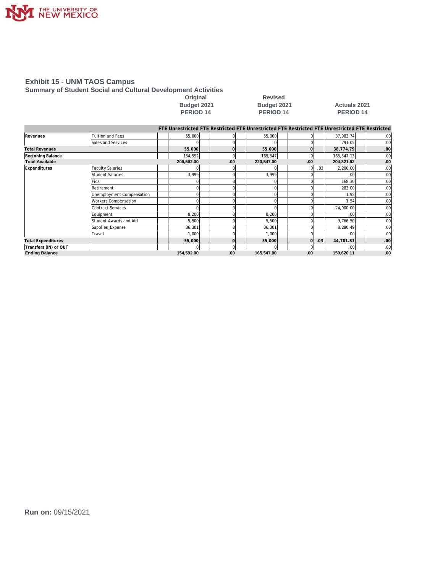

#### **Exhibit 15 - UNM TAOS Campus**

**Summary of Student Social and Cultural Development Activities**

| Uriginal           |
|--------------------|
| <b>Budget 2021</b> |
| <b>PERIOD 14</b>   |

**Original Revised PERIOD 14 PERIOD 14 PERIOD 14**

## **Budget 2021 Actuals 2021**<br>**PERIOD 14 PERIOD 14**

|                           |                           |            |     |              | FTE Unrestricted FTE Restricted FTE Unrestricted FTE Restricted FTE Unrestricted FTE Restricted |                |     |                  |                  |
|---------------------------|---------------------------|------------|-----|--------------|-------------------------------------------------------------------------------------------------|----------------|-----|------------------|------------------|
| Revenues                  | Tuition and Fees          | 55,000     |     |              | 55,000                                                                                          |                |     | 37,983.74        | .00              |
|                           | Sales and Services        |            |     |              |                                                                                                 |                |     | 791.05           | .00              |
| <b>Total Revenues</b>     |                           | 55,000     |     | $\Omega$     | 55,000                                                                                          |                |     | 38,774.79        | .00              |
| Beginning Balance         |                           | 154,592    |     | $\mathbf{0}$ | 165,547                                                                                         | $\Omega$       |     | 165,547.13       | .00              |
| <b>Total Available</b>    |                           | 209,592.00 | .00 |              | 220,547.00                                                                                      | .00.           |     | 204,321.92       | .00              |
| Expenditures              | <b>Faculty Salaries</b>   |            |     |              |                                                                                                 | 0              | .03 | 2,200.00         | .00              |
|                           | Student Salaries          | 3,999      |     | $\Omega$     | 3,999                                                                                           |                |     | .00              | .00              |
|                           | Fica                      |            |     | <sup>0</sup> |                                                                                                 |                |     | 168.30           | .00              |
|                           | Retirement                |            |     |              |                                                                                                 |                |     | 283.00           | .00              |
|                           | Unemployment Compensation |            |     |              |                                                                                                 |                |     | 1.98             | .00              |
|                           | Workers Compensation      |            |     |              |                                                                                                 |                |     | 1.54             | .00              |
|                           | Contract Services         |            |     |              |                                                                                                 |                |     | 24,000.00        | .00              |
|                           | Equipment                 | 8,200      |     |              | 8,200                                                                                           |                |     | .00              | .00              |
|                           | Student Awards and Aid    | 5,500      |     |              | 5,500                                                                                           |                |     | 9,766.50         | .00              |
|                           | Supplies_Expense          | 36,301     |     | n            | 36,301                                                                                          |                |     | 8,280.49         | .00              |
|                           | Travel                    | 1,000      |     |              | 1,000                                                                                           |                |     | .00              | .00              |
| <b>Total Expenditures</b> |                           | 55,000     |     | $\Omega$     | 55,000                                                                                          | $\overline{0}$ | .03 | 44,701.81        | .00              |
| Transfers (IN) or OUT     |                           |            |     | $\Omega$     |                                                                                                 |                |     | .00 <sub>l</sub> | .00 <sub>1</sub> |
| <b>Ending Balance</b>     |                           | 154,592.00 | .00 |              | 165,547.00                                                                                      | .00.           |     | 159,620.11       | .00              |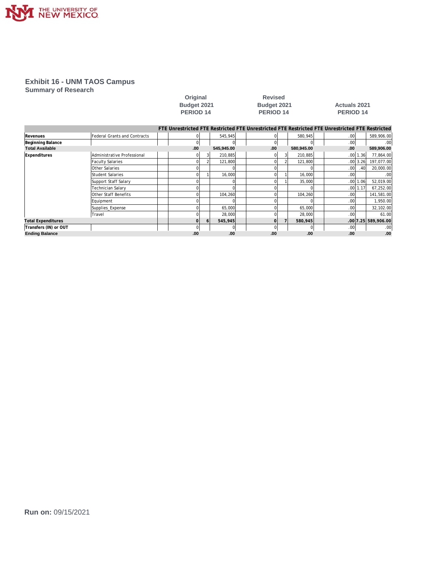

### **Exhibit 16 - UNM TAOS Campus**

**Summary of Research**

|                           |                              |  |                                                                                                 | Budget 2021<br><b>PERIOD 14</b> |            |  |     |  | Budget 2021<br>PERIOD <sub>14</sub> |  | <b>Actuals 2021</b><br>PERIOD <sub>14</sub> |              |                     |
|---------------------------|------------------------------|--|-------------------------------------------------------------------------------------------------|---------------------------------|------------|--|-----|--|-------------------------------------|--|---------------------------------------------|--------------|---------------------|
|                           |                              |  | FTE Unrestricted FTE Restricted FTE Unrestricted FTE Restricted FTE Unrestricted FTE Restricted |                                 |            |  |     |  |                                     |  |                                             |              |                     |
| Revenues                  | Federal Grants and Contracts |  |                                                                                                 |                                 | 545,945    |  | ΩI  |  | 580,945                             |  | .00 <sub>l</sub>                            |              | 589,906.00          |
| Beginning Balance         |                              |  | 0                                                                                               |                                 |            |  | 0   |  | $\Omega$                            |  | .00 <sub>l</sub>                            |              | .00                 |
| <b>Total Available</b>    |                              |  | .00                                                                                             |                                 | 545,945.00 |  | .00 |  | 580,945.00                          |  | .00                                         |              | 589,906.00          |
| Expenditures              | Administrative Professional  |  |                                                                                                 |                                 | 210,885    |  |     |  | 210,885                             |  |                                             | $.00$   1.36 | 77,864.00           |
|                           | <b>Faculty Salaries</b>      |  |                                                                                                 |                                 | 121,800    |  |     |  | 121,800                             |  |                                             | $.00$ 3.26   | 197,077.00          |
|                           | <b>Other Salaries</b>        |  |                                                                                                 |                                 |            |  |     |  |                                     |  | .00 <sub>l</sub>                            | .40          | 20,000.00           |
|                           | Student Salaries             |  |                                                                                                 |                                 | 16,000     |  |     |  | 16,000                              |  | .00                                         |              | .00                 |
|                           | Support Staff Salary         |  |                                                                                                 |                                 |            |  |     |  | 35,000                              |  | .00                                         | 1.06         | 52,019.00           |
|                           | <b>Technician Salary</b>     |  |                                                                                                 |                                 |            |  |     |  |                                     |  | .00 <sub>l</sub>                            | 1.17         | 67,252.00           |
|                           | Other Staff Benefits         |  |                                                                                                 |                                 | 104,260    |  |     |  | 104,260                             |  | .00                                         |              | 141,581.00          |
|                           | Equipment                    |  |                                                                                                 |                                 |            |  |     |  |                                     |  | .00                                         |              | 1,950.00            |
|                           | Supplies_Expense             |  |                                                                                                 |                                 | 65,000     |  |     |  | 65,000                              |  | .00                                         |              | 32,102.00           |
|                           | Travel                       |  |                                                                                                 |                                 | 28,000     |  |     |  | 28,000                              |  | .00                                         |              | 61.00               |
| <b>Total Expenditures</b> |                              |  |                                                                                                 | 6                               | 545,945    |  | ΩI  |  | 580,945                             |  |                                             |              | .00 7.25 589,906.00 |
| Transfers (IN) or OUT     |                              |  |                                                                                                 |                                 |            |  | 01  |  | $\Omega$                            |  | .00 <sub>l</sub>                            |              | .00                 |
| <b>Ending Balance</b>     |                              |  | .00                                                                                             |                                 | .00        |  | .00 |  | .00                                 |  | .00                                         |              | .00                 |

**Original Revised**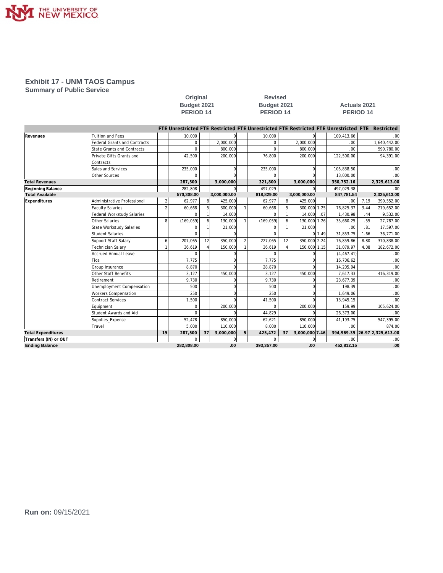

### **Exhibit 17 - UNM TAOS Campus**

**Summary of Public Service**

|                           |                                     |                | Budget 2021<br>PERIOD <sub>14</sub> |    |                | Budget 2021<br>PERIOD <sub>14</sub>                                                             |                  |                |        | <b>Actuals 2021</b><br>PERIOD <sub>14</sub> |      |                                  |  |  |
|---------------------------|-------------------------------------|----------------|-------------------------------------|----|----------------|-------------------------------------------------------------------------------------------------|------------------|----------------|--------|---------------------------------------------|------|----------------------------------|--|--|
|                           |                                     |                |                                     |    |                | FTE Unrestricted FTE Restricted FTE Unrestricted FTE Restricted FTE Unrestricted FTE Restricted |                  |                |        |                                             |      |                                  |  |  |
| Revenues                  | <b>Tuition and Fees</b>             |                | 10,000                              |    |                | 10,000                                                                                          |                  |                |        | 109,413.66                                  |      | .00                              |  |  |
|                           | <b>Federal Grants and Contracts</b> |                | $\mathbf 0$                         |    | 2.000.000      | $\Omega$                                                                                        |                  | 2.000.000      |        | 00.                                         |      | 1.640.442.00                     |  |  |
|                           | State Grants and Contracts          |                | $\Omega$                            |    | 800.000        | $\Omega$                                                                                        |                  | 800,000        |        | .00.                                        |      | 590,780.00                       |  |  |
|                           | Private Gifts Grants and            |                | 42,500                              |    | 200,000        | 76,800                                                                                          |                  | 200,000        |        | 122,500.00                                  |      | 94,391.00                        |  |  |
|                           | Contracts                           |                |                                     |    |                |                                                                                                 |                  |                |        |                                             |      |                                  |  |  |
|                           | Sales and Services                  |                | 235,000                             |    | $\Omega$       | 235,000                                                                                         |                  | $\Omega$       |        | 105,838.50                                  |      | .00                              |  |  |
|                           | Other Sources                       |                | $\Omega$                            |    | $\Omega$       | $\Omega$                                                                                        |                  |                |        | 13,000.00                                   |      | .00                              |  |  |
| <b>Total Revenues</b>     |                                     |                | 287,500                             |    | 3,000,000      | 321,800                                                                                         |                  | 3,000,000      |        | 350,752.16                                  |      | 2,325,613.00                     |  |  |
| Beginning Balance         |                                     |                | 282,808                             |    |                | 497,029                                                                                         |                  |                |        | 497,029.38                                  |      | .00                              |  |  |
| <b>Total Available</b>    |                                     |                | 570,308.00                          |    | 3,000,000.00   | 818,829.00                                                                                      |                  | 3,000,000.00   |        | 847,781.54                                  |      | 2,325,613.00                     |  |  |
| Expenditures              | Administrative Professional         | $\mathfrak{D}$ | 62,977                              | 8  | 425,000        | 62,977                                                                                          | 8 <sup>1</sup>   | 425,000        |        | .00.                                        | 7.19 | 390,552.00                       |  |  |
|                           | <b>Faculty Salaries</b>             | $\overline{2}$ | 60,668                              | 5  | 300,000        | 60,668                                                                                          | 5                | 300,000 1.25   |        | 76,825.37                                   | 3.44 | 219,652.00                       |  |  |
|                           | Federal Workstudy Salaries          |                | $\Omega$                            |    | 14,000         |                                                                                                 |                  | 14,000         | .07    | 1,430.98                                    | .44  | 9,532.00                         |  |  |
|                           | Other Salaries                      | 8              | (169, 059)                          | 6  | 130,000        | (169, 059)                                                                                      | $\boldsymbol{6}$ | 130,000 1.26   |        | 35,660.25                                   | .55  | 27,787.00                        |  |  |
|                           | State Workstudy Salaries            |                | $\Omega$                            |    | 21,000         | $\Omega$                                                                                        |                  | 21,000         |        | .00.                                        | .81  | 17,597.00                        |  |  |
|                           | Student Salaries                    |                | $\Omega$                            |    |                | $\Omega$                                                                                        |                  |                | 0 1.49 | 31,853.75                                   | 1.66 | 36,771.00                        |  |  |
|                           | Support Staff Salary                | 6              | 207,065                             | 12 | 350.000        | 227,065                                                                                         | 12               | 350,000 2.24   |        | 76,859.86                                   | 8.80 | 370,838.00                       |  |  |
|                           | <b>Technician Salary</b>            |                | 36,619                              |    | 150,000        | 36,619                                                                                          |                  | 150,000 1.15   |        | 31,079.97                                   | 4.08 | 182,672.00                       |  |  |
|                           | Accrued Annual Leave                |                | $\Omega$                            |    | $\Omega$       | $\Omega$                                                                                        |                  |                |        | (4, 467.41)                                 |      | .00                              |  |  |
|                           | Fica                                |                | 7,775                               |    | $\Omega$       | 7,775                                                                                           |                  |                |        | 16,706.62                                   |      | .00                              |  |  |
|                           | Group Insurance                     |                | 8,870                               |    |                | 28,870                                                                                          |                  |                |        | 14,205.94                                   |      | .00                              |  |  |
|                           | Other Staff Benefits                |                | 3,127                               |    | 450,000        | 3,127                                                                                           |                  | 450,000        |        | 7,617.33                                    |      | 416,319.00                       |  |  |
|                           | Retirement                          |                | 9,730                               |    | $\Omega$       | 9,730                                                                                           |                  |                |        | 23,677.39                                   |      | .00                              |  |  |
|                           | Unemployment Compensation           |                | 500                                 |    | $\Omega$       | 500                                                                                             |                  | $\Omega$       |        | 198.39                                      |      | .00                              |  |  |
|                           | <b>Workers Compensation</b>         |                | 250                                 |    | $\Omega$       | 250                                                                                             |                  | $\Omega$       |        | 1,649.06                                    |      | .00                              |  |  |
|                           | Contract Services                   |                | 1,500                               |    | $\cap$         | 41,500                                                                                          |                  | $\cap$         |        | 13,945.15                                   |      | .00                              |  |  |
|                           | Equipment                           |                | $\Omega$                            |    | 200,000        | $\cap$                                                                                          |                  | 200,000        |        | 159.99                                      |      | 105,624.00                       |  |  |
|                           | Student Awards and Aid              |                | $\Omega$                            |    | $\Omega$       | 44,829                                                                                          |                  |                |        | 26,373.00                                   |      | .00                              |  |  |
|                           | Supplies_Expense                    |                | 52,478                              |    | 850,000        | 62,621                                                                                          |                  | 850,000        |        | 41, 193. 75                                 |      | 547,395.00                       |  |  |
|                           | Travel                              |                | 5,000                               |    | 110,000        | 8,000                                                                                           |                  | 110,000        |        | .00.                                        |      | 874.00                           |  |  |
| <b>Total Expenditures</b> |                                     | 19             | 287,500                             | 37 | 3,000,000      | 425,472                                                                                         | 37               | 3,000,000 7.46 |        |                                             |      | 394, 969.39 26.97 2, 325, 613.00 |  |  |
| Transfers (IN) or OUT     |                                     |                | 0                                   |    | $\overline{0}$ | 0                                                                                               |                  | $\mathbf 0$    |        | .00.                                        |      | .00                              |  |  |

**Ending Balance 282,808.00 .00 393,357.00 .00 452,812.15 .00**

**Original Revised**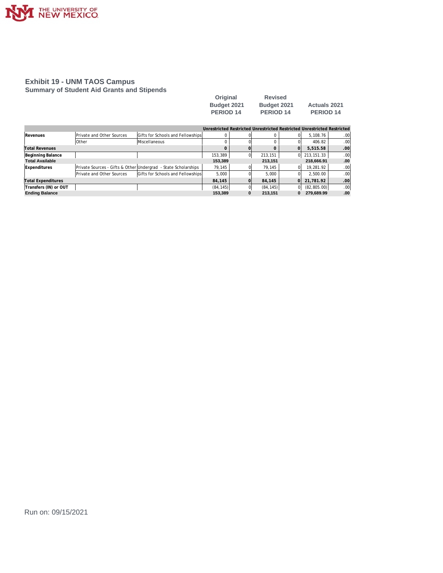

#### **Exhibit 19 - UNM TAOS Campus Summary of Student Aid Grants and Stipends**

| Original         | <b>Revised</b>   |                     |
|------------------|------------------|---------------------|
| Budget 2021      | Budget 2021      | <b>Actuals 2021</b> |
| <b>PERIOD 14</b> | <b>PERIOD 14</b> | <b>PERIOD 14</b>    |

|                           |                           |                                                                |           |   | Unrestricted Restricted Unrestricted Restricted Unrestricted Restricted |          |              |                  |
|---------------------------|---------------------------|----------------------------------------------------------------|-----------|---|-------------------------------------------------------------------------|----------|--------------|------------------|
| Revenues                  | Private and Other Sources | Gifts for Schools and Fellowships                              | 0         |   |                                                                         |          | 5.108.76     | .00              |
|                           | <b>Other</b>              | <b>Miscellaneous</b>                                           |           |   |                                                                         |          | 406.82       | .00              |
| Total Revenues            |                           |                                                                | 0         |   |                                                                         |          | 5.515.58     | .00 <sup>1</sup> |
| Beginning Balance         |                           |                                                                | 153,389   |   | 213, 151                                                                | ΩL       | 213.151.33   | .00              |
| <b>Total Available</b>    |                           |                                                                | 153.389   |   | 213,151                                                                 |          | 218.666.91   | .00              |
| Expenditures              |                           | Private Sources - Gifts & Other Undergrad - State Scholarships | 79.145    |   | 79.145                                                                  |          | 19.281.92    | .00              |
|                           | Private and Other Sources | Gifts for Schools and Fellowships                              | 5.000     |   | 5.000                                                                   |          | 2.500.00     | .00              |
| <b>Total Expenditures</b> |                           |                                                                | 84.145    |   | 84,145                                                                  | ΩL       | 21.781.92    | .00              |
| Transfers (IN) or OUT     |                           |                                                                | (84, 145) |   | (84, 145)                                                               | ΩI       | (82, 805.00) | .00              |
| <b>Ending Balance</b>     |                           |                                                                | 153.389   | 0 | 213.151                                                                 | $\bf{0}$ | 279.689.99   | .00              |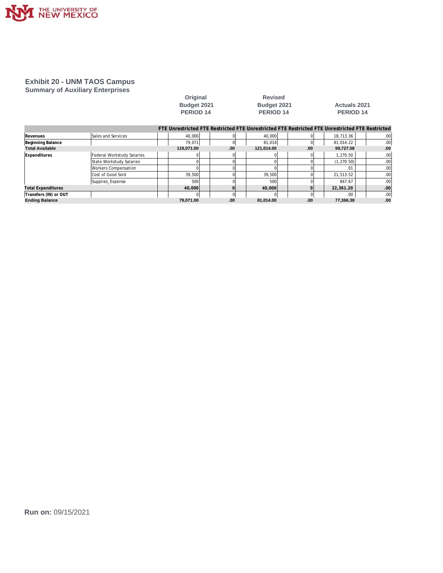

#### **Exhibit 20 - UNM TAOS Campus Summary of Auxiliary Enterprises**

|                           |                            |  | Budget 2021<br>PERIOD <sub>14</sub> |     |  | Budget 2021<br>PERIOD <sub>14</sub> |     | <b>Actuals 2021</b><br>PERIOD 14                                                                |  |     |  |
|---------------------------|----------------------------|--|-------------------------------------|-----|--|-------------------------------------|-----|-------------------------------------------------------------------------------------------------|--|-----|--|
|                           |                            |  |                                     |     |  |                                     |     | FTE Unrestricted FTE Restricted FTE Unrestricted FTE Restricted FTE Unrestricted FTE Restricted |  |     |  |
| Revenues                  | Sales and Services         |  | 40.000                              |     |  | 40.000                              |     | 18,713.36                                                                                       |  | .00 |  |
| Beginning Balance         |                            |  | 79,071                              |     |  | 81,014                              |     | 81.014.22                                                                                       |  | .00 |  |
| <b>Total Available</b>    |                            |  | 119,071.00                          | .00 |  | 121,014.00                          | .00 | 99,727.58                                                                                       |  | .00 |  |
| <b>Expenditures</b>       | Federal Workstudy Salaries |  |                                     |     |  |                                     |     | 1,270.50                                                                                        |  | .00 |  |
|                           | State Workstudy Salaries   |  |                                     |     |  |                                     |     | (1, 270.50)                                                                                     |  | .00 |  |
|                           | Workers Compensation       |  |                                     |     |  |                                     |     | .01                                                                                             |  | .00 |  |
|                           | Cost of Good Sold          |  | 39,500                              |     |  | 39,500                              |     | 21,513.52                                                                                       |  | .00 |  |
|                           | Supplies_Expense           |  | 500                                 |     |  | 500                                 |     | 847.67                                                                                          |  | .00 |  |
| <b>Total Expenditures</b> |                            |  | 40,000                              |     |  | 40,000                              |     | 22,361.20                                                                                       |  | .00 |  |
| Transfers (IN) or OUT     |                            |  |                                     |     |  |                                     |     | .00                                                                                             |  | .00 |  |
| <b>Ending Balance</b>     |                            |  | 79.071.00                           | .00 |  | 81,014.00                           | .00 | 77,366.38                                                                                       |  | .00 |  |

**Original Revised**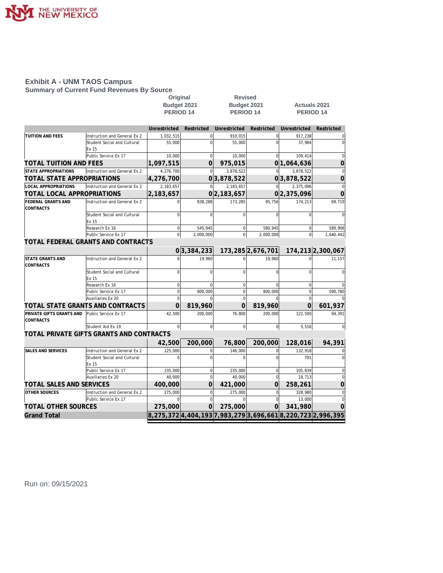

## **Exhibit A - UNM TAOS Campus**

**Summary of Current Fund Revenues By Source**

|                                  |                                          | Original                                                    |                | <b>Revised</b>   |                   |                     |                   |
|----------------------------------|------------------------------------------|-------------------------------------------------------------|----------------|------------------|-------------------|---------------------|-------------------|
|                                  |                                          | Budget 2021                                                 |                | Budget 2021      |                   | <b>Actuals 2021</b> |                   |
|                                  |                                          | PERIOD <sub>14</sub>                                        |                | <b>PERIOD 14</b> |                   | <b>PERIOD 14</b>    |                   |
|                                  |                                          |                                                             |                |                  |                   |                     |                   |
|                                  |                                          | Unrestricted                                                | Restricted     | Unrestricted     | Restricted        | Unrestricted        | Restricted        |
| TUITION AND FEES                 | Instruction and General Ex 2             | 1,032,515                                                   | $\Omega$       | 910,015          | $\Omega$          | 917,238             |                   |
|                                  | Student Social and Cultural              | 55,000                                                      | $\mathcal{C}$  | 55,000           |                   | 37,984              | $\mathbf 0$       |
|                                  | Ex 15                                    |                                                             |                |                  |                   |                     |                   |
|                                  | Public Service Ex 17                     | 10,000                                                      | $\mathbf 0$    | 10,000           | $\Omega$          | 109,414             | 0                 |
| TOTAL TUITION AND FEES           |                                          | 1,097,515                                                   | $\Omega$       | 975,015          | 0                 | 1,064,636           | $\overline{0}$    |
| <b>STATE APPROPRIATIONS</b>      | Instruction and General Ex 2             | 4,276,700                                                   | $\Omega$       | 3,878,522        | $\Omega$          | 3.878.522           | $\mathbf 0$       |
| TOTAL STATE APPROPRIATIONS       |                                          | 4,276,700                                                   |                | 0 3,878,522      |                   | 0 3,878,522         | $\overline{0}$    |
| <b>LOCAL APPROPRIATIONS</b>      | Instruction and General Ex 2             | 2.183.657                                                   | $\Omega$       | 2,183,657        |                   | 2,375,096           | $\mathbf 0$       |
| TOTAL LOCAL APPROPRIATIONS       |                                          | 2,183,657                                                   |                | 0 2,183,657      |                   | 0 2,375,096         | $\Omega$          |
| FEDERAL GRANTS AND               | Instruction and General Ex 2             |                                                             | 838,288        | 173,285          | 95,756            | 174,213             | 69,719            |
| CONTRACTS                        |                                          |                                                             |                |                  |                   |                     |                   |
|                                  | Student Social and Cultural              | $\Omega$                                                    | $\Omega$       | $\Omega$         | $\Omega$          | $\Omega$            | $\Omega$          |
|                                  | Ex 15                                    |                                                             |                |                  |                   |                     |                   |
|                                  | Research Ex 16                           | $\Omega$                                                    | 545,945        | $\Omega$         | 580.945           | $\Omega$            | 589.906           |
|                                  | Public Service Ex 17                     | $\mathbf 0$                                                 | 2,000,000      | $\mathbf 0$      | 2,000,000         | $\overline{0}$      | 1,640,442         |
|                                  | TOTAL FEDERAL GRANTS AND CONTRACTS       |                                                             |                |                  |                   |                     |                   |
|                                  |                                          |                                                             | 0 3,384,233    |                  | 173,285 2,676,701 |                     | 174,213 2,300,067 |
| STATE GRANTS AND                 | Instruction and General Ex 2             |                                                             | 19,960         |                  | 19,960            |                     | 11,157            |
| <b>CONTRACTS</b>                 |                                          |                                                             |                |                  |                   |                     |                   |
|                                  | Student Social and Cultural              | $\Omega$                                                    | $\Omega$       | $\Omega$         |                   | $\Omega$            | $\Omega$          |
|                                  | Ex 15                                    |                                                             |                |                  |                   |                     |                   |
|                                  | Research Ex 16                           | $\mathbf 0$                                                 | 0              | $\mathbf 0$      | $\Omega$          | 0                   |                   |
|                                  | Public Service Ex 17                     | 0                                                           | 800,000        | $\mathbf 0$      | 800,000           | $\pmb{0}$           | 590,780           |
|                                  | Auxiliaries Ex 20                        | $\Omega$                                                    |                | $\Omega$         |                   | $\Omega$            |                   |
| TOTAL STATE GRANTS AND CONTRACTS |                                          | $\Omega$                                                    | 819,960        | $\Omega$         | 819,960           | $\Omega$            | 601,937           |
| PRIVATE GIFTS GRANTS AND         | Public Service Ex 17                     | 42,500                                                      | 200,000        | 76,800           | 200.000           | 122,500             | 94,391            |
| <b>CONTRACTS</b>                 |                                          |                                                             |                |                  |                   |                     |                   |
|                                  | Student Aid Ex 19                        | $\overline{0}$                                              | $\overline{0}$ | $\circ$          | $\overline{0}$    | 5,516               |                   |
|                                  | TOTAL PRIVATE GIFTS GRANTS AND CONTRACTS |                                                             |                |                  |                   |                     |                   |
|                                  |                                          | 42,500                                                      | 200,000        | 76,800           | 200,000           | 128,016             | 94,391            |
| SALES AND SERVICES               | Instruction and General Ex 2             | 125,000                                                     | $\Omega$       | 146,000          | $\Omega$          | 132,918             |                   |
|                                  | Student Social and Cultural              | $\mathbf 0$                                                 | $\sqrt{ }$     | $\Omega$         |                   | 791                 | $\Omega$          |
|                                  | Ex 15                                    |                                                             |                |                  |                   |                     |                   |
|                                  | Public Service Ex 17                     | 235,000                                                     | $\mathbf 0$    | 235,000          | $\mathbf 0$       | 105,839             | $\Omega$          |
|                                  | Auxiliaries Ex 20                        | 40,000                                                      | $\overline{0}$ | 40,000           | $\mathbf 0$       | 18,713              | $\mathbf 0$       |
| <b>TOTAL SALES AND SERVICES</b>  |                                          | 400,000                                                     | 0              | 421,000          | 0                 | 258,261             | $\overline{0}$    |
| OTHER SOURCES                    | Instruction and General Ex 2             | 275,000                                                     | $\mathbf 0$    | 275,000          | $\overline{0}$    | 328,980             | $\mathbf 0$       |
|                                  | Public Service Ex 17                     | $\Omega$                                                    | $\Omega$       | $\Omega$         | $\Omega$          | 13,000              | $\mathbf 0$       |
| TOTAL OTHER SOURCES              |                                          | 275,000                                                     | $\Omega$       | 275,000          | $\Omega$          | 341,980             | $\Omega$          |
| <b>Grand Total</b>               |                                          | 8,275,372 4,404,193 7,983,279 3,696,661 8,220,723 2,996,395 |                |                  |                   |                     |                   |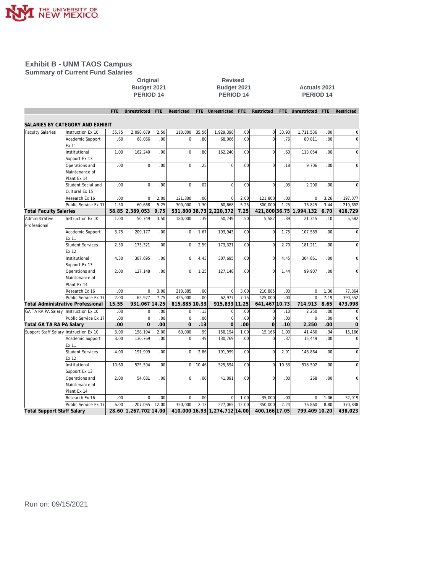

#### **Exhibit B - UNM TAOS Campus Summary of Current Fund Salaries**

## **Original Revised PERIOD 14 PERIOD 14 PERIOD 14**

## **Budget 2021 Budget 2021 Actuals 2021**

| SALARIES BY CATEGORY AND EXHIBIT<br>55.75<br>2,098,079<br>2.50<br>110,000<br>35.56<br>1,929,398<br>33.93<br>1,711,536<br><b>Faculty Salaries</b><br>Instruction Ex 10<br>.00<br>$\mathbf 0$<br>.00<br>0<br>.60<br>.00<br>$\Omega$<br>.80<br>68.066<br>.00<br>$\Omega$<br>.76<br>80.811<br>.00<br>$\Omega$<br>Academic Support<br>68.066<br>Ex 11<br>.00<br>$\overline{0}$<br>Institutional<br>1.00<br>162,240<br>.80<br>162,240<br>.00.<br>$\mathbf 0$<br>113.054<br>.00.<br>$\overline{0}$<br>.60<br>Support Ex 13<br>.00<br>$\Omega$<br>.00<br>$\overline{0}$<br>.25<br>$\Omega$<br>9,706<br>.00<br>Operations and<br>.00.<br>$\mathbf 0$<br>.18<br>$\Omega$<br>Maintenance of<br>Plant Ex 14<br>$\overline{0}$<br>.00<br>$\overline{0}$<br>$\overline{0}$<br>$\mathbf 0$<br>Student Social and<br>.00.<br>.02<br>.00<br>.03<br>2,200<br>.00<br>0<br>Cultural Ex 15<br>.00<br>$\mathbf 0$<br>121,800<br>$\overline{0}$<br>197,077<br>Research Ex 16<br>2.00<br>.00<br>2.00<br>121,800<br>.00<br>$\Omega$<br>3.26<br>1.50<br>5.25<br>1.30<br>60,668<br>5.25<br>300.000<br>1.25<br>76.825<br>3.44<br>Public Service Ex 17<br>60.668<br>300.000<br>219,652<br>58.85 2,389,053<br>9.75<br>531,800 38.73 2,220,372<br>7.25<br>421,800 36.75 1,994,132<br>6.70<br><b>Total Faculty Salaries</b><br>416,729<br>.39<br>Administrative<br>Instruction Ex 10<br>1.00<br>50.749<br>3.50<br>180,000<br>50.749<br>5,582<br>.39<br>21,345<br>.10<br>5,582<br>.50<br>Professional<br>3.75<br>209,177<br>.00<br>$\overline{0}$<br>1.67<br>193,943<br>.00.<br>$\Omega$<br>1.75<br>107,589<br>.00.<br>$\mathbf 0$<br>Academic Support<br>Ex 11<br><b>Student Services</b><br>2.50<br>.00<br>$\overline{0}$<br>2.59<br>173,321<br>173,321<br>.00<br>$\Omega$<br>2.70<br>181,211<br>.00<br>0<br>Ex 12<br>Institutional<br>4.30<br>307,695<br>.00<br>$\overline{0}$<br>4.43<br>307,695<br>.00<br>$\mathbf 0$<br>4.45<br>304,861<br>.00<br>0<br>Support Ex 13<br>.00 <sub>1</sub><br>$\overline{0}$<br>99,907<br>.00<br>Operations and<br>2.00<br>127,148<br>1.25<br>127,148<br>.00<br>$\mathbf 0$<br>1.44<br>$\Omega$<br>Maintenance of<br>Plant Ex 14<br>.00<br>3.00<br>210.885<br>3.00<br>210.885<br>.00<br>1.36<br>77,864<br>Research Ex 16<br>$\Omega$<br>.00<br>$\Omega$<br>$\Omega$<br>2.00<br>7.75<br>62,977<br>$\Omega$<br>7.19<br>Public Service Ex 17<br>62,977<br>425,000<br>.00<br>7.75<br>425.000<br>.00<br>390,552<br>815,885 10.33<br><b>Total Administrative Professional</b><br>15.55<br>931,067 14.25<br>915,833 11.25<br>641.467 10.73<br>714,913<br>8.65<br>473,998<br>.00<br>00<br>.13<br>.00<br>GA TA RA PA Salary Instruction Ex 10<br>$\overline{0}$<br>0<br>$\Omega$<br>.00<br>$\mathbf 0$<br>.10<br>2,250<br>0<br>$\overline{0}$<br>$\mathbf 0$<br>$\mathbf{0}$<br>$\mathbf 0$<br>.00 <sub>1</sub><br>.00<br>.00.<br>.00<br>Public Service Ex 17<br>.00<br>.00<br>$\Omega$<br>$\mathbf 0$<br>$\overline{0}$<br>$\overline{0}$<br>.00 <sub>1</sub><br>$\overline{0}$<br>.00<br>.13<br>$\overline{O}$<br>.00<br>.00<br>Total GA TA RA PA Salary<br>.10<br>2,250<br>$\overline{0}$<br>2.00<br>60,000<br>.99<br>158,194<br>15,166<br>Support Staff Salary Instruction Ex 10<br>3.00<br>158,194<br>1.00<br>15,166<br>1.00<br>41,466<br>.34<br>3.00<br>.00<br>$\overline{0}$<br>.49<br>.00<br>.37<br>15,449<br>.00<br>Academic Support<br>130,769<br>130,769<br>$\Omega$<br>0<br>Ex 11<br>$\overline{0}$<br><b>Student Services</b><br>191,999<br>.00<br>2.86<br>$\overline{0}$<br>.00<br>4.00<br>191,999<br>.00<br>2.91<br>146,864<br>$\overline{0}$<br>Ex 12<br>Institutional<br>.00<br>$\overline{0}$<br>$\mathbf 0$<br>10.60<br>525,594<br>10.46<br>525,594<br>.00<br>10.53<br>518,502<br>.00<br>$\overline{0}$<br>Support Ex 13<br>00<br>$\overline{0}$<br>Operations and<br>2.00<br>54.081<br>.00<br>41.091<br>.00<br>$\overline{0}$<br>.00<br>268<br>.00.<br>0<br>Maintenance of<br>Plant Ex 14<br>.00<br>$\Omega$<br>00 <sub>1</sub><br>$\Omega$<br>$\overline{0}$<br>Research Ex 16<br>.00<br>1.00<br>35,000<br>.00<br>$\Omega$<br>1.06<br>52,019<br>Public Service Ex 17<br>6.00<br>207.065<br>12.00<br>350.000<br>2.13<br>227.065<br>12.00<br>350.000<br>2.24<br>76.860<br>8.80<br>370,838<br>410,000 16.93 1,274,712 14.00<br>799,409 10.20<br><b>Total Support Staff Salary</b><br>28.60 1,267,702 14.00<br>400, 166 17.05 |  | <b>FTE</b> | Unrestricted | <b>FTE</b> | Restricted | FTE Unrestricted | <b>FTE</b> | Restricted | FTE Unrestricted | <b>FTE</b> | Restricted |
|------------------------------------------------------------------------------------------------------------------------------------------------------------------------------------------------------------------------------------------------------------------------------------------------------------------------------------------------------------------------------------------------------------------------------------------------------------------------------------------------------------------------------------------------------------------------------------------------------------------------------------------------------------------------------------------------------------------------------------------------------------------------------------------------------------------------------------------------------------------------------------------------------------------------------------------------------------------------------------------------------------------------------------------------------------------------------------------------------------------------------------------------------------------------------------------------------------------------------------------------------------------------------------------------------------------------------------------------------------------------------------------------------------------------------------------------------------------------------------------------------------------------------------------------------------------------------------------------------------------------------------------------------------------------------------------------------------------------------------------------------------------------------------------------------------------------------------------------------------------------------------------------------------------------------------------------------------------------------------------------------------------------------------------------------------------------------------------------------------------------------------------------------------------------------------------------------------------------------------------------------------------------------------------------------------------------------------------------------------------------------------------------------------------------------------------------------------------------------------------------------------------------------------------------------------------------------------------------------------------------------------------------------------------------------------------------------------------------------------------------------------------------------------------------------------------------------------------------------------------------------------------------------------------------------------------------------------------------------------------------------------------------------------------------------------------------------------------------------------------------------------------------------------------------------------------------------------------------------------------------------------------------------------------------------------------------------------------------------------------------------------------------------------------------------------------------------------------------------------------------------------------------------------------------------------------------------------------------------------------------------------------------------------------------------------------------------------------------------------------------------------------------------------------------------------------------------------------------------------------------------------------------------------------------------------------------------------------------------------------------------------------------------------------------------------------------------------------------------------------------------------------------------------------------------------------------------------------------------------------------------------------------------------------------------------------------------------------|--|------------|--------------|------------|------------|------------------|------------|------------|------------------|------------|------------|
|                                                                                                                                                                                                                                                                                                                                                                                                                                                                                                                                                                                                                                                                                                                                                                                                                                                                                                                                                                                                                                                                                                                                                                                                                                                                                                                                                                                                                                                                                                                                                                                                                                                                                                                                                                                                                                                                                                                                                                                                                                                                                                                                                                                                                                                                                                                                                                                                                                                                                                                                                                                                                                                                                                                                                                                                                                                                                                                                                                                                                                                                                                                                                                                                                                                                                                                                                                                                                                                                                                                                                                                                                                                                                                                                                                                                                                                                                                                                                                                                                                                                                                                                                                                                                                                                                                                                          |  |            |              |            |            |                  |            |            |                  |            |            |
|                                                                                                                                                                                                                                                                                                                                                                                                                                                                                                                                                                                                                                                                                                                                                                                                                                                                                                                                                                                                                                                                                                                                                                                                                                                                                                                                                                                                                                                                                                                                                                                                                                                                                                                                                                                                                                                                                                                                                                                                                                                                                                                                                                                                                                                                                                                                                                                                                                                                                                                                                                                                                                                                                                                                                                                                                                                                                                                                                                                                                                                                                                                                                                                                                                                                                                                                                                                                                                                                                                                                                                                                                                                                                                                                                                                                                                                                                                                                                                                                                                                                                                                                                                                                                                                                                                                                          |  |            |              |            |            |                  |            |            |                  |            |            |
|                                                                                                                                                                                                                                                                                                                                                                                                                                                                                                                                                                                                                                                                                                                                                                                                                                                                                                                                                                                                                                                                                                                                                                                                                                                                                                                                                                                                                                                                                                                                                                                                                                                                                                                                                                                                                                                                                                                                                                                                                                                                                                                                                                                                                                                                                                                                                                                                                                                                                                                                                                                                                                                                                                                                                                                                                                                                                                                                                                                                                                                                                                                                                                                                                                                                                                                                                                                                                                                                                                                                                                                                                                                                                                                                                                                                                                                                                                                                                                                                                                                                                                                                                                                                                                                                                                                                          |  |            |              |            |            |                  |            |            |                  |            |            |
|                                                                                                                                                                                                                                                                                                                                                                                                                                                                                                                                                                                                                                                                                                                                                                                                                                                                                                                                                                                                                                                                                                                                                                                                                                                                                                                                                                                                                                                                                                                                                                                                                                                                                                                                                                                                                                                                                                                                                                                                                                                                                                                                                                                                                                                                                                                                                                                                                                                                                                                                                                                                                                                                                                                                                                                                                                                                                                                                                                                                                                                                                                                                                                                                                                                                                                                                                                                                                                                                                                                                                                                                                                                                                                                                                                                                                                                                                                                                                                                                                                                                                                                                                                                                                                                                                                                                          |  |            |              |            |            |                  |            |            |                  |            |            |
|                                                                                                                                                                                                                                                                                                                                                                                                                                                                                                                                                                                                                                                                                                                                                                                                                                                                                                                                                                                                                                                                                                                                                                                                                                                                                                                                                                                                                                                                                                                                                                                                                                                                                                                                                                                                                                                                                                                                                                                                                                                                                                                                                                                                                                                                                                                                                                                                                                                                                                                                                                                                                                                                                                                                                                                                                                                                                                                                                                                                                                                                                                                                                                                                                                                                                                                                                                                                                                                                                                                                                                                                                                                                                                                                                                                                                                                                                                                                                                                                                                                                                                                                                                                                                                                                                                                                          |  |            |              |            |            |                  |            |            |                  |            |            |
|                                                                                                                                                                                                                                                                                                                                                                                                                                                                                                                                                                                                                                                                                                                                                                                                                                                                                                                                                                                                                                                                                                                                                                                                                                                                                                                                                                                                                                                                                                                                                                                                                                                                                                                                                                                                                                                                                                                                                                                                                                                                                                                                                                                                                                                                                                                                                                                                                                                                                                                                                                                                                                                                                                                                                                                                                                                                                                                                                                                                                                                                                                                                                                                                                                                                                                                                                                                                                                                                                                                                                                                                                                                                                                                                                                                                                                                                                                                                                                                                                                                                                                                                                                                                                                                                                                                                          |  |            |              |            |            |                  |            |            |                  |            |            |
|                                                                                                                                                                                                                                                                                                                                                                                                                                                                                                                                                                                                                                                                                                                                                                                                                                                                                                                                                                                                                                                                                                                                                                                                                                                                                                                                                                                                                                                                                                                                                                                                                                                                                                                                                                                                                                                                                                                                                                                                                                                                                                                                                                                                                                                                                                                                                                                                                                                                                                                                                                                                                                                                                                                                                                                                                                                                                                                                                                                                                                                                                                                                                                                                                                                                                                                                                                                                                                                                                                                                                                                                                                                                                                                                                                                                                                                                                                                                                                                                                                                                                                                                                                                                                                                                                                                                          |  |            |              |            |            |                  |            |            |                  |            |            |
|                                                                                                                                                                                                                                                                                                                                                                                                                                                                                                                                                                                                                                                                                                                                                                                                                                                                                                                                                                                                                                                                                                                                                                                                                                                                                                                                                                                                                                                                                                                                                                                                                                                                                                                                                                                                                                                                                                                                                                                                                                                                                                                                                                                                                                                                                                                                                                                                                                                                                                                                                                                                                                                                                                                                                                                                                                                                                                                                                                                                                                                                                                                                                                                                                                                                                                                                                                                                                                                                                                                                                                                                                                                                                                                                                                                                                                                                                                                                                                                                                                                                                                                                                                                                                                                                                                                                          |  |            |              |            |            |                  |            |            |                  |            |            |
|                                                                                                                                                                                                                                                                                                                                                                                                                                                                                                                                                                                                                                                                                                                                                                                                                                                                                                                                                                                                                                                                                                                                                                                                                                                                                                                                                                                                                                                                                                                                                                                                                                                                                                                                                                                                                                                                                                                                                                                                                                                                                                                                                                                                                                                                                                                                                                                                                                                                                                                                                                                                                                                                                                                                                                                                                                                                                                                                                                                                                                                                                                                                                                                                                                                                                                                                                                                                                                                                                                                                                                                                                                                                                                                                                                                                                                                                                                                                                                                                                                                                                                                                                                                                                                                                                                                                          |  |            |              |            |            |                  |            |            |                  |            |            |
|                                                                                                                                                                                                                                                                                                                                                                                                                                                                                                                                                                                                                                                                                                                                                                                                                                                                                                                                                                                                                                                                                                                                                                                                                                                                                                                                                                                                                                                                                                                                                                                                                                                                                                                                                                                                                                                                                                                                                                                                                                                                                                                                                                                                                                                                                                                                                                                                                                                                                                                                                                                                                                                                                                                                                                                                                                                                                                                                                                                                                                                                                                                                                                                                                                                                                                                                                                                                                                                                                                                                                                                                                                                                                                                                                                                                                                                                                                                                                                                                                                                                                                                                                                                                                                                                                                                                          |  |            |              |            |            |                  |            |            |                  |            |            |
|                                                                                                                                                                                                                                                                                                                                                                                                                                                                                                                                                                                                                                                                                                                                                                                                                                                                                                                                                                                                                                                                                                                                                                                                                                                                                                                                                                                                                                                                                                                                                                                                                                                                                                                                                                                                                                                                                                                                                                                                                                                                                                                                                                                                                                                                                                                                                                                                                                                                                                                                                                                                                                                                                                                                                                                                                                                                                                                                                                                                                                                                                                                                                                                                                                                                                                                                                                                                                                                                                                                                                                                                                                                                                                                                                                                                                                                                                                                                                                                                                                                                                                                                                                                                                                                                                                                                          |  |            |              |            |            |                  |            |            |                  |            |            |
|                                                                                                                                                                                                                                                                                                                                                                                                                                                                                                                                                                                                                                                                                                                                                                                                                                                                                                                                                                                                                                                                                                                                                                                                                                                                                                                                                                                                                                                                                                                                                                                                                                                                                                                                                                                                                                                                                                                                                                                                                                                                                                                                                                                                                                                                                                                                                                                                                                                                                                                                                                                                                                                                                                                                                                                                                                                                                                                                                                                                                                                                                                                                                                                                                                                                                                                                                                                                                                                                                                                                                                                                                                                                                                                                                                                                                                                                                                                                                                                                                                                                                                                                                                                                                                                                                                                                          |  |            |              |            |            |                  |            |            |                  |            |            |
|                                                                                                                                                                                                                                                                                                                                                                                                                                                                                                                                                                                                                                                                                                                                                                                                                                                                                                                                                                                                                                                                                                                                                                                                                                                                                                                                                                                                                                                                                                                                                                                                                                                                                                                                                                                                                                                                                                                                                                                                                                                                                                                                                                                                                                                                                                                                                                                                                                                                                                                                                                                                                                                                                                                                                                                                                                                                                                                                                                                                                                                                                                                                                                                                                                                                                                                                                                                                                                                                                                                                                                                                                                                                                                                                                                                                                                                                                                                                                                                                                                                                                                                                                                                                                                                                                                                                          |  |            |              |            |            |                  |            |            |                  |            |            |
|                                                                                                                                                                                                                                                                                                                                                                                                                                                                                                                                                                                                                                                                                                                                                                                                                                                                                                                                                                                                                                                                                                                                                                                                                                                                                                                                                                                                                                                                                                                                                                                                                                                                                                                                                                                                                                                                                                                                                                                                                                                                                                                                                                                                                                                                                                                                                                                                                                                                                                                                                                                                                                                                                                                                                                                                                                                                                                                                                                                                                                                                                                                                                                                                                                                                                                                                                                                                                                                                                                                                                                                                                                                                                                                                                                                                                                                                                                                                                                                                                                                                                                                                                                                                                                                                                                                                          |  |            |              |            |            |                  |            |            |                  |            |            |
|                                                                                                                                                                                                                                                                                                                                                                                                                                                                                                                                                                                                                                                                                                                                                                                                                                                                                                                                                                                                                                                                                                                                                                                                                                                                                                                                                                                                                                                                                                                                                                                                                                                                                                                                                                                                                                                                                                                                                                                                                                                                                                                                                                                                                                                                                                                                                                                                                                                                                                                                                                                                                                                                                                                                                                                                                                                                                                                                                                                                                                                                                                                                                                                                                                                                                                                                                                                                                                                                                                                                                                                                                                                                                                                                                                                                                                                                                                                                                                                                                                                                                                                                                                                                                                                                                                                                          |  |            |              |            |            |                  |            |            |                  |            |            |
|                                                                                                                                                                                                                                                                                                                                                                                                                                                                                                                                                                                                                                                                                                                                                                                                                                                                                                                                                                                                                                                                                                                                                                                                                                                                                                                                                                                                                                                                                                                                                                                                                                                                                                                                                                                                                                                                                                                                                                                                                                                                                                                                                                                                                                                                                                                                                                                                                                                                                                                                                                                                                                                                                                                                                                                                                                                                                                                                                                                                                                                                                                                                                                                                                                                                                                                                                                                                                                                                                                                                                                                                                                                                                                                                                                                                                                                                                                                                                                                                                                                                                                                                                                                                                                                                                                                                          |  |            |              |            |            |                  |            |            |                  |            |            |
|                                                                                                                                                                                                                                                                                                                                                                                                                                                                                                                                                                                                                                                                                                                                                                                                                                                                                                                                                                                                                                                                                                                                                                                                                                                                                                                                                                                                                                                                                                                                                                                                                                                                                                                                                                                                                                                                                                                                                                                                                                                                                                                                                                                                                                                                                                                                                                                                                                                                                                                                                                                                                                                                                                                                                                                                                                                                                                                                                                                                                                                                                                                                                                                                                                                                                                                                                                                                                                                                                                                                                                                                                                                                                                                                                                                                                                                                                                                                                                                                                                                                                                                                                                                                                                                                                                                                          |  |            |              |            |            |                  |            |            |                  |            |            |
|                                                                                                                                                                                                                                                                                                                                                                                                                                                                                                                                                                                                                                                                                                                                                                                                                                                                                                                                                                                                                                                                                                                                                                                                                                                                                                                                                                                                                                                                                                                                                                                                                                                                                                                                                                                                                                                                                                                                                                                                                                                                                                                                                                                                                                                                                                                                                                                                                                                                                                                                                                                                                                                                                                                                                                                                                                                                                                                                                                                                                                                                                                                                                                                                                                                                                                                                                                                                                                                                                                                                                                                                                                                                                                                                                                                                                                                                                                                                                                                                                                                                                                                                                                                                                                                                                                                                          |  |            |              |            |            |                  |            |            |                  |            |            |
|                                                                                                                                                                                                                                                                                                                                                                                                                                                                                                                                                                                                                                                                                                                                                                                                                                                                                                                                                                                                                                                                                                                                                                                                                                                                                                                                                                                                                                                                                                                                                                                                                                                                                                                                                                                                                                                                                                                                                                                                                                                                                                                                                                                                                                                                                                                                                                                                                                                                                                                                                                                                                                                                                                                                                                                                                                                                                                                                                                                                                                                                                                                                                                                                                                                                                                                                                                                                                                                                                                                                                                                                                                                                                                                                                                                                                                                                                                                                                                                                                                                                                                                                                                                                                                                                                                                                          |  |            |              |            |            |                  |            |            |                  |            |            |
|                                                                                                                                                                                                                                                                                                                                                                                                                                                                                                                                                                                                                                                                                                                                                                                                                                                                                                                                                                                                                                                                                                                                                                                                                                                                                                                                                                                                                                                                                                                                                                                                                                                                                                                                                                                                                                                                                                                                                                                                                                                                                                                                                                                                                                                                                                                                                                                                                                                                                                                                                                                                                                                                                                                                                                                                                                                                                                                                                                                                                                                                                                                                                                                                                                                                                                                                                                                                                                                                                                                                                                                                                                                                                                                                                                                                                                                                                                                                                                                                                                                                                                                                                                                                                                                                                                                                          |  |            |              |            |            |                  |            |            |                  |            |            |
|                                                                                                                                                                                                                                                                                                                                                                                                                                                                                                                                                                                                                                                                                                                                                                                                                                                                                                                                                                                                                                                                                                                                                                                                                                                                                                                                                                                                                                                                                                                                                                                                                                                                                                                                                                                                                                                                                                                                                                                                                                                                                                                                                                                                                                                                                                                                                                                                                                                                                                                                                                                                                                                                                                                                                                                                                                                                                                                                                                                                                                                                                                                                                                                                                                                                                                                                                                                                                                                                                                                                                                                                                                                                                                                                                                                                                                                                                                                                                                                                                                                                                                                                                                                                                                                                                                                                          |  |            |              |            |            |                  |            |            |                  |            |            |
|                                                                                                                                                                                                                                                                                                                                                                                                                                                                                                                                                                                                                                                                                                                                                                                                                                                                                                                                                                                                                                                                                                                                                                                                                                                                                                                                                                                                                                                                                                                                                                                                                                                                                                                                                                                                                                                                                                                                                                                                                                                                                                                                                                                                                                                                                                                                                                                                                                                                                                                                                                                                                                                                                                                                                                                                                                                                                                                                                                                                                                                                                                                                                                                                                                                                                                                                                                                                                                                                                                                                                                                                                                                                                                                                                                                                                                                                                                                                                                                                                                                                                                                                                                                                                                                                                                                                          |  |            |              |            |            |                  |            |            |                  |            |            |
|                                                                                                                                                                                                                                                                                                                                                                                                                                                                                                                                                                                                                                                                                                                                                                                                                                                                                                                                                                                                                                                                                                                                                                                                                                                                                                                                                                                                                                                                                                                                                                                                                                                                                                                                                                                                                                                                                                                                                                                                                                                                                                                                                                                                                                                                                                                                                                                                                                                                                                                                                                                                                                                                                                                                                                                                                                                                                                                                                                                                                                                                                                                                                                                                                                                                                                                                                                                                                                                                                                                                                                                                                                                                                                                                                                                                                                                                                                                                                                                                                                                                                                                                                                                                                                                                                                                                          |  |            |              |            |            |                  |            |            |                  |            |            |
|                                                                                                                                                                                                                                                                                                                                                                                                                                                                                                                                                                                                                                                                                                                                                                                                                                                                                                                                                                                                                                                                                                                                                                                                                                                                                                                                                                                                                                                                                                                                                                                                                                                                                                                                                                                                                                                                                                                                                                                                                                                                                                                                                                                                                                                                                                                                                                                                                                                                                                                                                                                                                                                                                                                                                                                                                                                                                                                                                                                                                                                                                                                                                                                                                                                                                                                                                                                                                                                                                                                                                                                                                                                                                                                                                                                                                                                                                                                                                                                                                                                                                                                                                                                                                                                                                                                                          |  |            |              |            |            |                  |            |            |                  |            |            |
|                                                                                                                                                                                                                                                                                                                                                                                                                                                                                                                                                                                                                                                                                                                                                                                                                                                                                                                                                                                                                                                                                                                                                                                                                                                                                                                                                                                                                                                                                                                                                                                                                                                                                                                                                                                                                                                                                                                                                                                                                                                                                                                                                                                                                                                                                                                                                                                                                                                                                                                                                                                                                                                                                                                                                                                                                                                                                                                                                                                                                                                                                                                                                                                                                                                                                                                                                                                                                                                                                                                                                                                                                                                                                                                                                                                                                                                                                                                                                                                                                                                                                                                                                                                                                                                                                                                                          |  |            |              |            |            |                  |            |            |                  |            |            |
|                                                                                                                                                                                                                                                                                                                                                                                                                                                                                                                                                                                                                                                                                                                                                                                                                                                                                                                                                                                                                                                                                                                                                                                                                                                                                                                                                                                                                                                                                                                                                                                                                                                                                                                                                                                                                                                                                                                                                                                                                                                                                                                                                                                                                                                                                                                                                                                                                                                                                                                                                                                                                                                                                                                                                                                                                                                                                                                                                                                                                                                                                                                                                                                                                                                                                                                                                                                                                                                                                                                                                                                                                                                                                                                                                                                                                                                                                                                                                                                                                                                                                                                                                                                                                                                                                                                                          |  |            |              |            |            |                  |            |            |                  |            |            |
|                                                                                                                                                                                                                                                                                                                                                                                                                                                                                                                                                                                                                                                                                                                                                                                                                                                                                                                                                                                                                                                                                                                                                                                                                                                                                                                                                                                                                                                                                                                                                                                                                                                                                                                                                                                                                                                                                                                                                                                                                                                                                                                                                                                                                                                                                                                                                                                                                                                                                                                                                                                                                                                                                                                                                                                                                                                                                                                                                                                                                                                                                                                                                                                                                                                                                                                                                                                                                                                                                                                                                                                                                                                                                                                                                                                                                                                                                                                                                                                                                                                                                                                                                                                                                                                                                                                                          |  |            |              |            |            |                  |            |            |                  |            |            |
|                                                                                                                                                                                                                                                                                                                                                                                                                                                                                                                                                                                                                                                                                                                                                                                                                                                                                                                                                                                                                                                                                                                                                                                                                                                                                                                                                                                                                                                                                                                                                                                                                                                                                                                                                                                                                                                                                                                                                                                                                                                                                                                                                                                                                                                                                                                                                                                                                                                                                                                                                                                                                                                                                                                                                                                                                                                                                                                                                                                                                                                                                                                                                                                                                                                                                                                                                                                                                                                                                                                                                                                                                                                                                                                                                                                                                                                                                                                                                                                                                                                                                                                                                                                                                                                                                                                                          |  |            |              |            |            |                  |            |            |                  |            |            |
|                                                                                                                                                                                                                                                                                                                                                                                                                                                                                                                                                                                                                                                                                                                                                                                                                                                                                                                                                                                                                                                                                                                                                                                                                                                                                                                                                                                                                                                                                                                                                                                                                                                                                                                                                                                                                                                                                                                                                                                                                                                                                                                                                                                                                                                                                                                                                                                                                                                                                                                                                                                                                                                                                                                                                                                                                                                                                                                                                                                                                                                                                                                                                                                                                                                                                                                                                                                                                                                                                                                                                                                                                                                                                                                                                                                                                                                                                                                                                                                                                                                                                                                                                                                                                                                                                                                                          |  |            |              |            |            |                  |            |            |                  |            |            |
|                                                                                                                                                                                                                                                                                                                                                                                                                                                                                                                                                                                                                                                                                                                                                                                                                                                                                                                                                                                                                                                                                                                                                                                                                                                                                                                                                                                                                                                                                                                                                                                                                                                                                                                                                                                                                                                                                                                                                                                                                                                                                                                                                                                                                                                                                                                                                                                                                                                                                                                                                                                                                                                                                                                                                                                                                                                                                                                                                                                                                                                                                                                                                                                                                                                                                                                                                                                                                                                                                                                                                                                                                                                                                                                                                                                                                                                                                                                                                                                                                                                                                                                                                                                                                                                                                                                                          |  |            |              |            |            |                  |            |            |                  |            |            |
|                                                                                                                                                                                                                                                                                                                                                                                                                                                                                                                                                                                                                                                                                                                                                                                                                                                                                                                                                                                                                                                                                                                                                                                                                                                                                                                                                                                                                                                                                                                                                                                                                                                                                                                                                                                                                                                                                                                                                                                                                                                                                                                                                                                                                                                                                                                                                                                                                                                                                                                                                                                                                                                                                                                                                                                                                                                                                                                                                                                                                                                                                                                                                                                                                                                                                                                                                                                                                                                                                                                                                                                                                                                                                                                                                                                                                                                                                                                                                                                                                                                                                                                                                                                                                                                                                                                                          |  |            |              |            |            |                  |            |            |                  |            |            |
|                                                                                                                                                                                                                                                                                                                                                                                                                                                                                                                                                                                                                                                                                                                                                                                                                                                                                                                                                                                                                                                                                                                                                                                                                                                                                                                                                                                                                                                                                                                                                                                                                                                                                                                                                                                                                                                                                                                                                                                                                                                                                                                                                                                                                                                                                                                                                                                                                                                                                                                                                                                                                                                                                                                                                                                                                                                                                                                                                                                                                                                                                                                                                                                                                                                                                                                                                                                                                                                                                                                                                                                                                                                                                                                                                                                                                                                                                                                                                                                                                                                                                                                                                                                                                                                                                                                                          |  |            |              |            |            |                  |            |            |                  |            |            |
|                                                                                                                                                                                                                                                                                                                                                                                                                                                                                                                                                                                                                                                                                                                                                                                                                                                                                                                                                                                                                                                                                                                                                                                                                                                                                                                                                                                                                                                                                                                                                                                                                                                                                                                                                                                                                                                                                                                                                                                                                                                                                                                                                                                                                                                                                                                                                                                                                                                                                                                                                                                                                                                                                                                                                                                                                                                                                                                                                                                                                                                                                                                                                                                                                                                                                                                                                                                                                                                                                                                                                                                                                                                                                                                                                                                                                                                                                                                                                                                                                                                                                                                                                                                                                                                                                                                                          |  |            |              |            |            |                  |            |            |                  |            |            |
|                                                                                                                                                                                                                                                                                                                                                                                                                                                                                                                                                                                                                                                                                                                                                                                                                                                                                                                                                                                                                                                                                                                                                                                                                                                                                                                                                                                                                                                                                                                                                                                                                                                                                                                                                                                                                                                                                                                                                                                                                                                                                                                                                                                                                                                                                                                                                                                                                                                                                                                                                                                                                                                                                                                                                                                                                                                                                                                                                                                                                                                                                                                                                                                                                                                                                                                                                                                                                                                                                                                                                                                                                                                                                                                                                                                                                                                                                                                                                                                                                                                                                                                                                                                                                                                                                                                                          |  |            |              |            |            |                  |            |            |                  |            |            |
|                                                                                                                                                                                                                                                                                                                                                                                                                                                                                                                                                                                                                                                                                                                                                                                                                                                                                                                                                                                                                                                                                                                                                                                                                                                                                                                                                                                                                                                                                                                                                                                                                                                                                                                                                                                                                                                                                                                                                                                                                                                                                                                                                                                                                                                                                                                                                                                                                                                                                                                                                                                                                                                                                                                                                                                                                                                                                                                                                                                                                                                                                                                                                                                                                                                                                                                                                                                                                                                                                                                                                                                                                                                                                                                                                                                                                                                                                                                                                                                                                                                                                                                                                                                                                                                                                                                                          |  |            |              |            |            |                  |            |            |                  |            |            |
|                                                                                                                                                                                                                                                                                                                                                                                                                                                                                                                                                                                                                                                                                                                                                                                                                                                                                                                                                                                                                                                                                                                                                                                                                                                                                                                                                                                                                                                                                                                                                                                                                                                                                                                                                                                                                                                                                                                                                                                                                                                                                                                                                                                                                                                                                                                                                                                                                                                                                                                                                                                                                                                                                                                                                                                                                                                                                                                                                                                                                                                                                                                                                                                                                                                                                                                                                                                                                                                                                                                                                                                                                                                                                                                                                                                                                                                                                                                                                                                                                                                                                                                                                                                                                                                                                                                                          |  |            |              |            |            |                  |            |            |                  |            |            |
|                                                                                                                                                                                                                                                                                                                                                                                                                                                                                                                                                                                                                                                                                                                                                                                                                                                                                                                                                                                                                                                                                                                                                                                                                                                                                                                                                                                                                                                                                                                                                                                                                                                                                                                                                                                                                                                                                                                                                                                                                                                                                                                                                                                                                                                                                                                                                                                                                                                                                                                                                                                                                                                                                                                                                                                                                                                                                                                                                                                                                                                                                                                                                                                                                                                                                                                                                                                                                                                                                                                                                                                                                                                                                                                                                                                                                                                                                                                                                                                                                                                                                                                                                                                                                                                                                                                                          |  |            |              |            |            |                  |            |            |                  |            |            |
|                                                                                                                                                                                                                                                                                                                                                                                                                                                                                                                                                                                                                                                                                                                                                                                                                                                                                                                                                                                                                                                                                                                                                                                                                                                                                                                                                                                                                                                                                                                                                                                                                                                                                                                                                                                                                                                                                                                                                                                                                                                                                                                                                                                                                                                                                                                                                                                                                                                                                                                                                                                                                                                                                                                                                                                                                                                                                                                                                                                                                                                                                                                                                                                                                                                                                                                                                                                                                                                                                                                                                                                                                                                                                                                                                                                                                                                                                                                                                                                                                                                                                                                                                                                                                                                                                                                                          |  |            |              |            |            |                  |            |            |                  |            |            |
|                                                                                                                                                                                                                                                                                                                                                                                                                                                                                                                                                                                                                                                                                                                                                                                                                                                                                                                                                                                                                                                                                                                                                                                                                                                                                                                                                                                                                                                                                                                                                                                                                                                                                                                                                                                                                                                                                                                                                                                                                                                                                                                                                                                                                                                                                                                                                                                                                                                                                                                                                                                                                                                                                                                                                                                                                                                                                                                                                                                                                                                                                                                                                                                                                                                                                                                                                                                                                                                                                                                                                                                                                                                                                                                                                                                                                                                                                                                                                                                                                                                                                                                                                                                                                                                                                                                                          |  |            |              |            |            |                  |            |            |                  |            |            |
|                                                                                                                                                                                                                                                                                                                                                                                                                                                                                                                                                                                                                                                                                                                                                                                                                                                                                                                                                                                                                                                                                                                                                                                                                                                                                                                                                                                                                                                                                                                                                                                                                                                                                                                                                                                                                                                                                                                                                                                                                                                                                                                                                                                                                                                                                                                                                                                                                                                                                                                                                                                                                                                                                                                                                                                                                                                                                                                                                                                                                                                                                                                                                                                                                                                                                                                                                                                                                                                                                                                                                                                                                                                                                                                                                                                                                                                                                                                                                                                                                                                                                                                                                                                                                                                                                                                                          |  |            |              |            |            |                  |            |            |                  |            |            |
|                                                                                                                                                                                                                                                                                                                                                                                                                                                                                                                                                                                                                                                                                                                                                                                                                                                                                                                                                                                                                                                                                                                                                                                                                                                                                                                                                                                                                                                                                                                                                                                                                                                                                                                                                                                                                                                                                                                                                                                                                                                                                                                                                                                                                                                                                                                                                                                                                                                                                                                                                                                                                                                                                                                                                                                                                                                                                                                                                                                                                                                                                                                                                                                                                                                                                                                                                                                                                                                                                                                                                                                                                                                                                                                                                                                                                                                                                                                                                                                                                                                                                                                                                                                                                                                                                                                                          |  |            |              |            |            |                  |            |            |                  |            |            |
|                                                                                                                                                                                                                                                                                                                                                                                                                                                                                                                                                                                                                                                                                                                                                                                                                                                                                                                                                                                                                                                                                                                                                                                                                                                                                                                                                                                                                                                                                                                                                                                                                                                                                                                                                                                                                                                                                                                                                                                                                                                                                                                                                                                                                                                                                                                                                                                                                                                                                                                                                                                                                                                                                                                                                                                                                                                                                                                                                                                                                                                                                                                                                                                                                                                                                                                                                                                                                                                                                                                                                                                                                                                                                                                                                                                                                                                                                                                                                                                                                                                                                                                                                                                                                                                                                                                                          |  |            |              |            |            |                  |            |            |                  |            |            |
|                                                                                                                                                                                                                                                                                                                                                                                                                                                                                                                                                                                                                                                                                                                                                                                                                                                                                                                                                                                                                                                                                                                                                                                                                                                                                                                                                                                                                                                                                                                                                                                                                                                                                                                                                                                                                                                                                                                                                                                                                                                                                                                                                                                                                                                                                                                                                                                                                                                                                                                                                                                                                                                                                                                                                                                                                                                                                                                                                                                                                                                                                                                                                                                                                                                                                                                                                                                                                                                                                                                                                                                                                                                                                                                                                                                                                                                                                                                                                                                                                                                                                                                                                                                                                                                                                                                                          |  |            |              |            |            |                  |            |            |                  |            |            |
|                                                                                                                                                                                                                                                                                                                                                                                                                                                                                                                                                                                                                                                                                                                                                                                                                                                                                                                                                                                                                                                                                                                                                                                                                                                                                                                                                                                                                                                                                                                                                                                                                                                                                                                                                                                                                                                                                                                                                                                                                                                                                                                                                                                                                                                                                                                                                                                                                                                                                                                                                                                                                                                                                                                                                                                                                                                                                                                                                                                                                                                                                                                                                                                                                                                                                                                                                                                                                                                                                                                                                                                                                                                                                                                                                                                                                                                                                                                                                                                                                                                                                                                                                                                                                                                                                                                                          |  |            |              |            |            |                  |            |            |                  |            |            |
|                                                                                                                                                                                                                                                                                                                                                                                                                                                                                                                                                                                                                                                                                                                                                                                                                                                                                                                                                                                                                                                                                                                                                                                                                                                                                                                                                                                                                                                                                                                                                                                                                                                                                                                                                                                                                                                                                                                                                                                                                                                                                                                                                                                                                                                                                                                                                                                                                                                                                                                                                                                                                                                                                                                                                                                                                                                                                                                                                                                                                                                                                                                                                                                                                                                                                                                                                                                                                                                                                                                                                                                                                                                                                                                                                                                                                                                                                                                                                                                                                                                                                                                                                                                                                                                                                                                                          |  |            |              |            |            |                  |            |            |                  |            | 438,023    |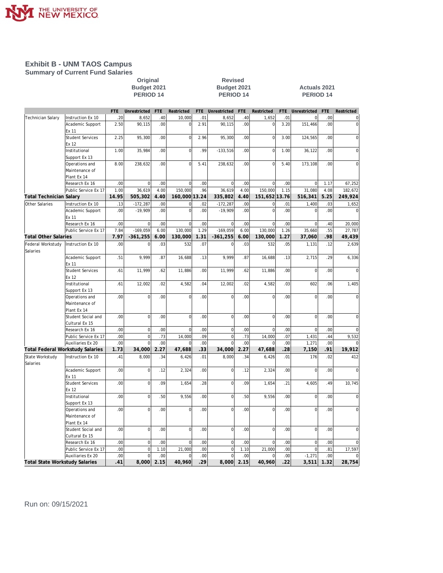

#### **Exhibit B - UNM TAOS Campus Summary of Current Fund Salaries**

## **Original Revised**

#### **Budget 2021 Budget 2021 Actuals 2021 PERIOD 14 PERIOD 14 PERIOD 14**

|                                       |                                  | <b>FTE</b>       | Unrestricted   | <b>FTE</b> | Restricted     | <b>FTE</b> | Unrestricted   | FTE  | Restricted     | <b>FTE</b>       | Unrestricted   | FTE  | Restricted     |
|---------------------------------------|----------------------------------|------------------|----------------|------------|----------------|------------|----------------|------|----------------|------------------|----------------|------|----------------|
| Technician Salary                     | Instruction Ex 10                | .20              | 8,652          | .40        | 10,000         | .01        | 8,652          | .40  | 1,652          | .01              | $\mathbf 0$    | .00  | $\overline{0}$ |
|                                       | Academic Support                 | 2.50             | 90,115         | .00        | $\Omega$       | 2.91       | 90,115         | .00  | $\Omega$       | 3.20             | 151,466        | .00  | $\overline{0}$ |
|                                       | Ex 11                            |                  |                |            |                |            |                |      |                |                  |                |      |                |
|                                       | <b>Student Services</b>          | 2.25             | 95,300         | .00        | $\circ$        | 2.96       | 95,300         | .00  | $\overline{0}$ | 3.00             | 124,565        | .00  | $\mathbf 0$    |
|                                       | Ex 12                            |                  |                |            |                |            |                |      |                |                  |                |      |                |
|                                       | Institutional                    | 1.00             | 35,984         | .00        | $\Omega$       | .99        | $-133,516$     | .00  | $\Omega$       | 1.00             | 36,122         | .00  | $\mathbf 0$    |
|                                       | Support Ex 13                    |                  |                |            |                |            |                |      |                |                  |                |      |                |
|                                       | Operations and                   | 8.00             | 238,632        | .00        | $\overline{0}$ | 5.41       | 238,632        | .00  | $\overline{0}$ | 5.40             | 173,108        | .00  | $\mathbf 0$    |
|                                       | Maintenance of                   |                  |                |            |                |            |                |      |                |                  |                |      |                |
|                                       | Plant Ex 14                      |                  |                |            |                |            |                |      |                |                  |                |      |                |
|                                       | Research Ex 16                   | .00              | $\overline{0}$ | .00        | $\Omega$       | .00        | $\mathbf 0$    | .00  | $\Omega$       | .00              | $\mathbf 0$    | 1.17 | 67,252         |
|                                       | Public Service Ex 17             | 1.00             | 36,619         | 4.00       | 150,000        | .96        | 36,619         | 4.00 | 150,000        | 1.15             | 31,080         | 4.08 | 182,672        |
| <b>Total Technician Salary</b>        |                                  | 14.95            | 505,302        | 4.40       | 160,000 13.24  |            | 335,802        | 4.40 | 151,652 13.76  |                  | 516,341        | 5.25 | 249,924        |
| Other Salaries                        | Instruction Ex 10                | .13              | $-172,287$     | .00        | <sup>0</sup>   | .02        | $-172,287$     | .00  | $\overline{0}$ | .01              | 1,400          | .03  |                |
|                                       |                                  |                  |                |            |                |            |                |      |                |                  |                |      | 1,652          |
|                                       | Academic Support                 | .00              | $-19,909$      | .00        | $\Omega$       | .00        | $-19,909$      | .00  | $\Omega$       | .00.             | $\overline{0}$ | .00  | $\Omega$       |
|                                       | Ex 11                            |                  |                |            |                |            |                |      |                |                  |                |      |                |
|                                       | Research Ex 16                   | .00              | 0              | .00        | $\Omega$       | .00        | $\mathbf 0$    | .00  | $\Omega$       | .00              | $\mathbf 0$    | .40  | 20,000         |
|                                       | Public Service Ex 17             | 7.84             | $-169,059$     | 6.00       | 130,000        | 1.29       | $-169,059$     | 6.00 | 130,000        | 1.26             | 35,660         | .55  | 27,787         |
| <b>Total Other Salaries</b>           |                                  | 7.97             | $-361,255$     | 6.00       | 130,000        | 1.31       | $-361,255$     | 6.00 | 130,000        | 1.27             | 37,060         | .98  | 49,439         |
| Federal Workstudy                     | Instruction Ex 10                | .00.             | $\Omega$       | .03        | 532            | .07        | $\Omega$       | .03  | 532            | .05              | 1,131          | .12  | 2,639          |
| Salaries                              |                                  |                  |                |            |                |            |                |      |                |                  |                |      |                |
|                                       | Academic Support                 | .51              | 9,999          | .87        | 16,688         | .13        | 9,999          | .87  | 16,688         | .13              | 2,715          | .29  | 6,336          |
|                                       | Ex 11                            |                  |                |            |                |            |                |      |                |                  |                |      |                |
|                                       | <b>Student Services</b>          | .61              | 11,999         | .62        | 11,886         | .00        | 11,999         | .62  | 11,886         | .00              | $\mathbf 0$    | .00. | $\overline{0}$ |
|                                       | Ex 12                            |                  |                |            |                |            |                |      |                |                  |                |      |                |
|                                       | Institutional                    | .61              | 12,002         | .02        | 4,582          | .04        | 12,002         | .02  | 4,582          | .03              | 602            | .06  | 1,405          |
|                                       | Support Ex 13                    |                  |                |            |                |            |                |      |                |                  |                |      |                |
|                                       | Operations and                   | .00.             | $\overline{0}$ | .00        | $\mathbf 0$    | .00        | $\overline{0}$ | .00. | $\Omega$       | .00              | $\overline{0}$ | .00  | $\mathbf{0}$   |
|                                       | Maintenance of                   |                  |                |            |                |            |                |      |                |                  |                |      |                |
|                                       | Plant Ex 14                      |                  |                |            |                |            |                |      |                |                  |                |      |                |
|                                       | Student Social and               | .00              | $\mathbf{0}$   | .00        | $\Omega$       | .00        | $\overline{0}$ | .00. | $\Omega$       | .00              | $\mathbf 0$    | .00. | $\mathbf 0$    |
|                                       | Cultural Ex 15                   |                  |                |            |                |            |                |      |                |                  |                |      |                |
|                                       | Research Ex 16                   | .00              | $\overline{0}$ | 00         | $\mathbf 0$    | 00         | $\mathbf 0$    | .00  | $\mathbf 0$    | 00               | $\overline{0}$ | .00  | $\mathbf 0$    |
|                                       | Public Service Ex 17             | .00              | $\overline{0}$ | .73        | 14,000         | .09        | $\overline{0}$ | .73  | 14,000         | .07              | 1,431          | .44  | 9,532          |
|                                       | Auxiliaries Ex 20                | .00              | $\Omega$       | .00        | $\Omega$       | .00        | $\Omega$       | .00. | $\Omega$       | .00              | 1,271          | .00  | $\Omega$       |
|                                       | Total Federal Workstudy Salaries | 1.73             | 34,000         | 2.27       | 47,688         | .33        | 34,000         | 2.27 | 47,688         | .28              | 7,150          | .91  | 19,912         |
|                                       |                                  |                  |                |            |                |            |                |      |                |                  |                |      |                |
| State Workstudy<br>Salaries           | Instruction Ex 10                | .41              | 8,000          | .34        | 6,426          | .01        | 8,000          | .34  | 6,426          | .01              | 176            | .02  | 412            |
|                                       | Academic Support                 | .00 <sub>1</sub> | $\mathbf{0}$   | .12        | 2,324          | .00        | $\mathbf 0$    | .12  | 2,324          | .00 <sub>1</sub> | $\mathbf 0$    | .00  | $\mathbf 0$    |
|                                       | Ex 11                            |                  |                |            |                |            |                |      |                |                  |                |      |                |
|                                       | <b>Student Services</b>          | .00              | 0              | .09        | 1,654          | .28        | $\overline{0}$ | .09  | 1,654          | .21              | 4,605          | .49  | 10,745         |
|                                       | Ex 12                            |                  |                |            |                |            |                |      |                |                  |                |      |                |
|                                       | Institutional                    | .00 <sub>1</sub> | 0              | .50        | 9,556          | .00        | $\overline{0}$ | .50  | 9,556          | .00 <sub>1</sub> | $\mathbf 0$    | .00  | $\mathbf 0$    |
|                                       | Support Ex 13                    |                  |                |            |                |            |                |      |                |                  |                |      |                |
|                                       | Operations and                   | .00 <sub>1</sub> | $\mathbf{0}$   | .00        | $\Omega$       | .00        | $\mathbf 0$    | .00. | $\Omega$       | .00.             | $\mathbf 0$    | .00. | $\mathbf 0$    |
|                                       | Maintenance of                   |                  |                |            |                |            |                |      |                |                  |                |      |                |
|                                       | Plant Ex 14                      |                  |                |            |                |            |                |      |                |                  |                |      |                |
|                                       | Student Social and               | .00 <sub>1</sub> | $\mathbf{0}$   | .00        | $\Omega$       | .00        | $\mathbf 0$    | .00  | $\Omega$       | .00              | $\mathbf 0$    | .00  | $\overline{0}$ |
|                                       | Cultural Ex 15                   |                  |                |            |                |            |                |      |                |                  |                |      |                |
|                                       | Research Ex 16                   | .00              | $\overline{0}$ | .00        | $\Omega$       | .00        | $\mathbf 0$    | .00  | $\Omega$       | .00              | $\mathbf 0$    | .00  | $\mathbf 0$    |
|                                       |                                  | .00              | $\overline{0}$ | 1.10       | 21,000         | .00        | $\overline{0}$ | 1.10 |                | .00              | $\overline{0}$ | .81  | 17,597         |
|                                       | Public Service Ex 17             |                  |                |            |                |            |                |      | 21,000         |                  |                |      |                |
|                                       | Auxiliaries Ex 20                | .00              | $\mathbf 0$    | .00        | $\mathbf 0$    | .00        | $\overline{0}$ | .00  | $\Omega$       | .00              | $-1,271$       | .00  | $\overline{0}$ |
| <b>Total State Workstudy Salaries</b> |                                  | .41              | 000, 8         | 2.15       | 40,960         | 29         | 8,000          | 2.15 | 40,960         | 22               | 3,511          | 1.32 | 28,754         |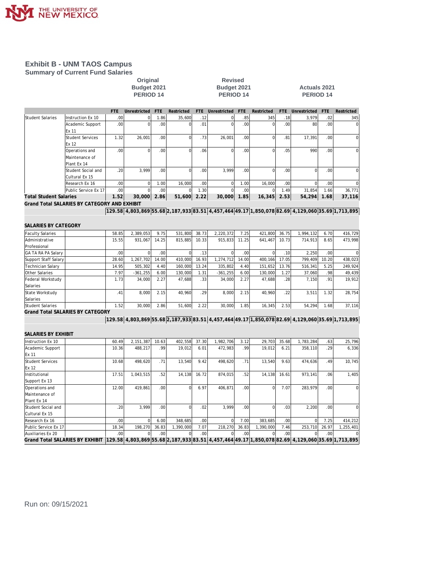

#### **Exhibit B - UNM TAOS Campus Summary of Current Fund Salaries**

# original Revised<br>
Budget 2021 Budget 2021<br>
PERIOD 14 PERIOD 1

#### **Budget 2021 Budget 2021 Actuals 2021 PERIOD 14 PERIOD 14 PERIOD 14**

|                                         |                                              | FTE.  | Unrestricted                                                                                                                                                                                                                                                                   | <b>FTE</b> | Restricted     | <b>FTE</b> | Unrestricted   | <b>FTE</b> | Restricted     | <b>FTE</b> | Unrestricted   | <b>FTE</b> | Restricted  |
|-----------------------------------------|----------------------------------------------|-------|--------------------------------------------------------------------------------------------------------------------------------------------------------------------------------------------------------------------------------------------------------------------------------|------------|----------------|------------|----------------|------------|----------------|------------|----------------|------------|-------------|
| <b>Student Salaries</b>                 | Instruction Ex 10                            | .00   | $\Omega$                                                                                                                                                                                                                                                                       | 1.86       | 35,600         | .12        | $\vert$        | .85        | 345            | .18        | 3,979          | .02        | 345         |
|                                         | Academic Support<br>Ex 11                    | .00   | $\mathbf 0$                                                                                                                                                                                                                                                                    | .00.       | $\overline{0}$ | .01        | $\mathbf 0$    | .00        | $\mathbf 0$    | .00        | 80             | .00.       | $\mathbf 0$ |
|                                         | <b>Student Services</b><br>Ex 12             | 1.32  | 26,001                                                                                                                                                                                                                                                                         | .00        | $\overline{0}$ | .73        | 26,001         | .00        | $\mathbf 0$    | .81        | 17,391         | .00        | $\mathbf 0$ |
|                                         | Operations and<br>Maintenance of             | .00   | $\mathbf 0$                                                                                                                                                                                                                                                                    | .00        | $\Omega$       | .06        | $\overline{0}$ | .00        | $\mathbf 0$    | .05        | 990            | .00        | $\mathbf 0$ |
|                                         | Plant Ex 14                                  |       |                                                                                                                                                                                                                                                                                |            |                |            |                |            |                |            |                |            |             |
|                                         | Student Social and<br>Cultural Ex 15         | .20   | 3,999                                                                                                                                                                                                                                                                          | .00        | $\overline{0}$ | .00        | 3,999          | .00        | $\overline{0}$ | .00        | $\overline{0}$ | .00        | $\mathbf 0$ |
|                                         | Research Ex 16                               | .00   | $\pmb{0}$                                                                                                                                                                                                                                                                      | 1.00       | 16,000         | .00        | $\vert$        | 1.00       | 16,000         | .00        | $\mathbf 0$    | .00        |             |
|                                         | Public Service Ex 17                         | .00   | $\Omega$                                                                                                                                                                                                                                                                       | .00        | $\overline{0}$ | 1.30       | $\Omega$       | .00        | $\mathbf 0$    | 1.49       | 31,854         | 1.66       | 36,771      |
| <b>Total Student Salaries</b>           |                                              | 1.52  | 30,000                                                                                                                                                                                                                                                                         | 2.86       | 51,600         | 2.22       | 30,000         | 1.85       | 16,345         | 2.53       | 54,294         | 1.68       | 37,116      |
|                                         | Grand Total SALARIES BY CATEGORY AND EXHIBIT |       |                                                                                                                                                                                                                                                                                |            |                |            |                |            |                |            |                |            |             |
|                                         |                                              |       | $[129.58]4,803,869]55.68]2,187,933 \big[83.51]4,457,464 \big[49.17\big]1,850,078 \big[82.69\big]4,129,060 \big]35.69 \big[1,713,895\big]1,199,1000 \big]1,10000 \big[1,100000 \big]1,100000 \big]2,1000000 \big[1,100000 \big]2,100000 \big[1,100000 \big]35.69 \big[1,100000$ |            |                |            |                |            |                |            |                |            |             |
|                                         |                                              |       |                                                                                                                                                                                                                                                                                |            |                |            |                |            |                |            |                |            |             |
| SALARIES BY CATEGORY                    |                                              |       |                                                                                                                                                                                                                                                                                |            |                |            |                |            |                |            |                |            |             |
| <b>Faculty Salaries</b>                 |                                              | 58.85 | 2,389,053                                                                                                                                                                                                                                                                      | 9.75       | 531,800        | 38.73      | 2,220,372      | 7.25       | 421,800        | 36.75      | 1,994,132      | 6.70       | 416,729     |
| Administrative                          |                                              | 15.55 | 931,067                                                                                                                                                                                                                                                                        | 14.25      | 815,885        | 10.33      | 915,833        | 11.25      | 641,467        | 10.73      | 714,913        | 8.65       | 473,998     |
| Professional                            |                                              |       |                                                                                                                                                                                                                                                                                |            |                |            |                |            |                |            |                |            |             |
| GA TA RA PA Salary                      |                                              | .00   | $\mathbf{0}$                                                                                                                                                                                                                                                                   | .00        | $\overline{0}$ | .13        | $\overline{0}$ | .00        | $\mathbf 0$    | .10        | 2,250          | .00        | $\Omega$    |
| Support Staff Salary                    |                                              | 28.60 | 1,267,702                                                                                                                                                                                                                                                                      | 14.00      | 410,000        | 16.93      | 1,274,712      | 14.00      | 400,166        | 17.05      | 799,409        | 10.20      | 438,023     |
| Technician Salary                       |                                              | 14.95 | 505,302                                                                                                                                                                                                                                                                        | 4.40       | 160,000        | 13.24      | 335,802        | 4.40       | 151,652        | 13.76      | 516,341        | 5.25       | 249,924     |
| Other Salaries                          |                                              | 7.97  | $-361, 255$                                                                                                                                                                                                                                                                    | 6.00       | 130,000        | 1.31       | $-361,255$     | 6.00       | 130,000        | 1.27       | 37,060         | .98        | 49,439      |
| Federal Workstudy                       |                                              | 1.73  | 34,000                                                                                                                                                                                                                                                                         | 2.27       | 47,688         | .33        | 34,000         | 2.27       | 47,688         | .28        | 7,150          | .91        | 19,912      |
| Salaries                                |                                              |       |                                                                                                                                                                                                                                                                                |            |                |            |                |            |                |            |                |            |             |
| State Workstudy                         |                                              | .41   | 8,000                                                                                                                                                                                                                                                                          | 2.15       | 40,960         | .29        | 8,000          | 2.15       | 40,960         | .22        | 3,511          | 1.32       | 28,754      |
| Salaries<br><b>Student Salaries</b>     |                                              | 1.52  | 30,000                                                                                                                                                                                                                                                                         | 2.86       | 51,600         | 2.22       | 30,000         | 1.85       | 16,345         | 2.53       | 54,294         | 1.68       |             |
| <b>Grand Total SALARIES BY CATEGORY</b> |                                              |       |                                                                                                                                                                                                                                                                                |            |                |            |                |            |                |            |                |            | 37,116      |
|                                         |                                              |       | 129.58 4,803,869 55.68 2,187,933 83.51 4,457,464 49.17 1,850,078 82.69 4,129,060 35.69 1,713,895                                                                                                                                                                               |            |                |            |                |            |                |            |                |            |             |
|                                         |                                              |       |                                                                                                                                                                                                                                                                                |            |                |            |                |            |                |            |                |            |             |
| SALARIES BY EXHIBIT                     |                                              |       |                                                                                                                                                                                                                                                                                |            |                |            |                |            |                |            |                |            |             |
| Instruction Ex 10                       |                                              | 60.49 | 2,151,387                                                                                                                                                                                                                                                                      | 10.63      | 402,558        | 37.30      | 1,982,706      | 3.12       | 29,703         | 35.68      | 1,783,284      | .63        | 25,796      |
| Academic Support                        |                                              | 10.36 | 488,217                                                                                                                                                                                                                                                                        | .99        | 19,012         | 6.01       | 472,983        | .99        | 19,012         | 6.21       | 358,110        | .29        | 6,336       |
| Ex 11                                   |                                              |       |                                                                                                                                                                                                                                                                                |            |                |            |                |            |                |            |                |            |             |
| <b>Student Services</b>                 |                                              | 10.68 | 498,620                                                                                                                                                                                                                                                                        | .71        | 13,540         | 9.42       | 498,620        | .71        | 13,540         | 9.63       | 474,636        | .49        | 10,745      |
| Ex 12                                   |                                              |       |                                                                                                                                                                                                                                                                                |            |                |            |                |            |                |            |                |            |             |
| Institutional                           |                                              | 17.51 | 1,043,515                                                                                                                                                                                                                                                                      | .52        | 14,138         | 16.72      | 874,015        | .52        | 14,138         | 16.61      | 973,141        | .06        | 1,405       |
| Support Ex 13                           |                                              |       |                                                                                                                                                                                                                                                                                |            |                |            |                |            |                |            |                |            |             |
| Operations and                          |                                              | 12.00 | 419,861                                                                                                                                                                                                                                                                        | .00        | $\Omega$       | 6.97       | 406,871        | .00        | $\mathbf 0$    | 7.07       | 283,979        | .00        | $\mathbf 0$ |
| Maintenance of                          |                                              |       |                                                                                                                                                                                                                                                                                |            |                |            |                |            |                |            |                |            |             |
| Plant Ex 14                             |                                              |       |                                                                                                                                                                                                                                                                                |            |                |            |                |            |                |            |                |            |             |
| Student Social and                      |                                              | .20   | 3,999                                                                                                                                                                                                                                                                          | .00        | $\overline{0}$ | .02        | 3,999          | .00        | $\mathbf 0$    | .03        | 2,200          | .00        | $\Omega$    |
| Cultural Ex 15                          |                                              |       |                                                                                                                                                                                                                                                                                |            |                |            |                |            |                |            |                |            |             |
| Research Ex 16                          |                                              | .00   | $\Omega$                                                                                                                                                                                                                                                                       | 6.00       | 348,685        | .00        | $\Omega$       | 7.00       | 383,685        | .00        | $\mathbf 0$    | 7.25       | 414,212     |
| Public Service Ex 17                    |                                              | 18.34 | 198,270                                                                                                                                                                                                                                                                        | 36.83      | 1,390,000      | 7.07       | 218,270        | 36.83      | 1,390,000      | 7.46       | 253,710        | 26.97      | 1,255,401   |
| Auxiliaries Ex 20                       |                                              | .00   |                                                                                                                                                                                                                                                                                | .00        |                | .00        |                | .00        |                | .00        |                | .00        |             |
| <b>Grand Total SALARIES BY EXHIBIT</b>  |                                              |       | 129.58 4,803,869 55.68 2,187,933 83.51 4,457,464 49.17 1,850,078 82.69 4,129,060 35.69 1,713,895                                                                                                                                                                               |            |                |            |                |            |                |            |                |            |             |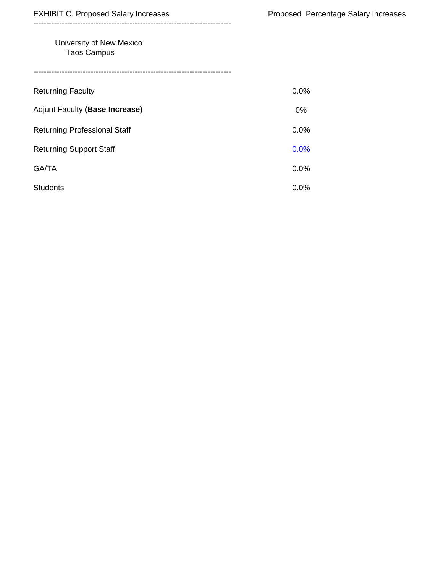#### University of New Mexico Taos Campus

----------------------------------------------------------------------------

| <b>Returning Faculty</b>            | 0.0%  |
|-------------------------------------|-------|
| Adjunt Faculty (Base Increase)      | $0\%$ |
| <b>Returning Professional Staff</b> | 0.0%  |
| <b>Returning Support Staff</b>      | 0.0%  |
| GA/TA                               | 0.0%  |
| <b>Students</b>                     | 0.0%  |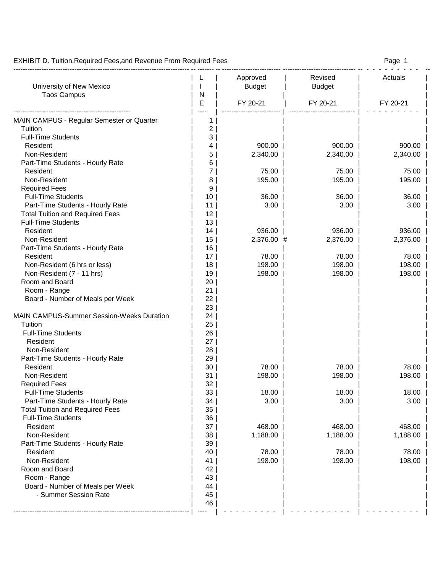EXHIBIT D. Tuition, Required Fees, and Revenue From Required Fees **Page 1** All 2008 1

#### --------------------------------------------------------------------------- -- ------- -- ------------------------- ------------------------------- -- - - - - - - - - - -- L | Approved | Revised | Actuals University of New Mexico  $\vert \ \vert$  | | Budget | Budget Taos Campus | N | E | FY 20-21 | FY 20-21 | FY 20-21 | -------------------------------------------------- | ---- | ------------------------- | ---------------------------- | - - - - - - - - - | MAIN CAMPUS - Regular Semester or Quarter | 1 Tuition | 2 | | | | Full-Time Students and a late students and a late students and a late students and a late students and a late students and a late students are studied as  $\vert$  and  $\vert$  and  $\vert$  and  $\vert$  and  $\vert$  and  $\vert$  and  $\vert$  and  $\vert$  Resident | 4 | 900.00 | 900.00 | 900.00 | Non-Resident | 5 | 2,340.00 | 2,340.00 | 2,340.00 | Part-Time Students - Hourly Rate | 6 | Resident | 7 | 75.00 | 75.00 | 75.00 | Non-Resident | 8 | 195.00 | 195.00 | 195.00 | Required Fees | 9 | | | | Full-Time Students | 10 | 36.00 | 36.00 | 36.00 | Part-Time Students - Hourly Rate | 11 | 3.00 | 3.00 | 3.00 | 3.00 | 3.00 | Total Tuition and Required Fees | 12 | Full-Time Students | 13 | | | | Resident | 14 | 936.00 | 936.00 | 936.00 | Non-Resident | 15 | 2,376.00 # 2,376.00 | 2,376.00 | Part-Time Students - Hourly Rate | 16 | Resident | 17 | 78.00 | 78.00 | 78.00 | Non-Resident (6 hrs or less) | 18 | 18 | 198.00 | 198.00 | 198.00 | 198.00 Non-Resident (7 - 11 hrs)  $\vert$  19 | 198.00 | 198.00 | 198.00 | 198.00 Room and Board **and Exercise 1** and 20 | | 20 | Room - Range | 21 | 21 | Board - Number of Meals per Week | 22 | | 23 | | | | MAIN CAMPUS-Summer Session-Weeks Duration | 24 | Tuition | 25 | | | | Full-Time Students | 26 | Resident | 27 | | | | | Non-Resident | 28 | | | | Part-Time Students - Hourly Rate | 29 | Resident | 30 | 78.00 | 78.00 | 78.00 | Non-Resident | 31 | 198.00 | 198.00 | 198.00 | Required Fees | 32 | | | | Full-Time Students **18.00** | 33 | 18.00 | 18.00 | 18.00 | 18.00 | 18.00 Part-Time Students - Hourly Rate | 34 | 3.00 | 3.00 | 3.00 | 3.00 | 3.00 Total Tuition and Required Fees | 35 | Full-Time Students | 36 | Resident | 37 | 468.00 | 468.00 | 468.00 | Non-Resident | 38 | 1,188.00 | 1,188.00 | 1,188.00 | Part-Time Students - Hourly Rate | 39 | Resident | 40 | 78.00 | 78.00 | 78.00 | Non-Resident | 41 | 198.00 | 198.00 | 198.00 | Room and Board **and Exercise 20** | 42 | Room - Range | 43 | | | | Board - Number of Meals per Week | 44 | - Summer Session Rate | 45 | | 46 | | | | --------------------------------------------------------------------------- | ---- | - - - - - - - - - | - - - - - - - - - - | - - - - - - - - - |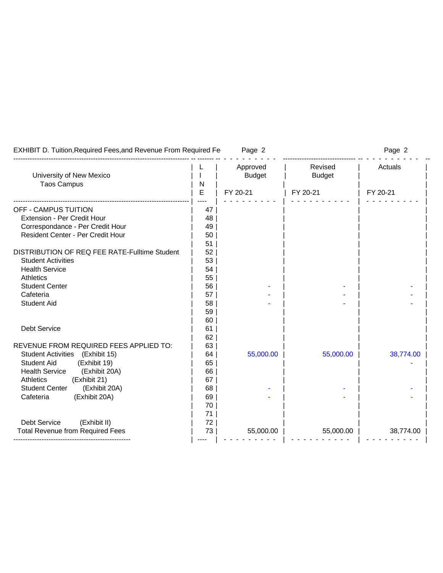| <b>EXHIBIT D. Tuition, Required Fees, and Revenue From Required Fe</b> |    | Page 2        |               | Page 2    |
|------------------------------------------------------------------------|----|---------------|---------------|-----------|
|                                                                        |    | Approved      | Revised       | Actuals   |
| University of New Mexico                                               |    | <b>Budget</b> | <b>Budget</b> |           |
| <b>Taos Campus</b>                                                     | N  |               |               |           |
|                                                                        | E  | FY 20-21      | FY 20-21      | FY 20-21  |
| <b>OFF - CAMPUS TUITION</b>                                            | 47 |               |               |           |
| Extension - Per Credit Hour                                            | 48 |               |               |           |
| Correspondance - Per Credit Hour                                       | 49 |               |               |           |
| Resident Center - Per Credit Hour                                      | 50 |               |               |           |
|                                                                        | 51 |               |               |           |
| DISTRIBUTION OF REQ FEE RATE-Fulltime Student                          | 52 |               |               |           |
| <b>Student Activities</b>                                              | 53 |               |               |           |
| <b>Health Service</b>                                                  | 54 |               |               |           |
| <b>Athletics</b>                                                       | 55 |               |               |           |
| <b>Student Center</b>                                                  | 56 |               |               |           |
| Cafeteria                                                              | 57 |               |               |           |
| <b>Student Aid</b>                                                     | 58 |               |               |           |
|                                                                        | 59 |               |               |           |
|                                                                        | 60 |               |               |           |
| Debt Service                                                           | 61 |               |               |           |
|                                                                        | 62 |               |               |           |
| REVENUE FROM REQUIRED FEES APPLIED TO:                                 | 63 |               |               |           |
| (Exhibit 15)<br><b>Student Activities</b>                              | 64 | 55,000.00     | 55,000.00     | 38,774.00 |
| <b>Student Aid</b><br>(Exhibit 19)                                     | 65 |               |               |           |
| <b>Health Service</b><br>(Exhibit 20A)                                 | 66 |               |               |           |
| <b>Athletics</b><br>(Exhibit 21)                                       | 67 |               |               |           |
| <b>Student Center</b><br>(Exhibit 20A)                                 | 68 |               |               |           |
| (Exhibit 20A)<br>Cafeteria                                             | 69 |               |               |           |
|                                                                        | 70 |               |               |           |
|                                                                        | 71 |               |               |           |
| (Exhibit II)<br><b>Debt Service</b>                                    | 72 |               |               |           |
| <b>Total Revenue from Required Fees</b>                                | 73 | 55,000.00     | 55,000.00     | 38,774.00 |
|                                                                        |    |               |               |           |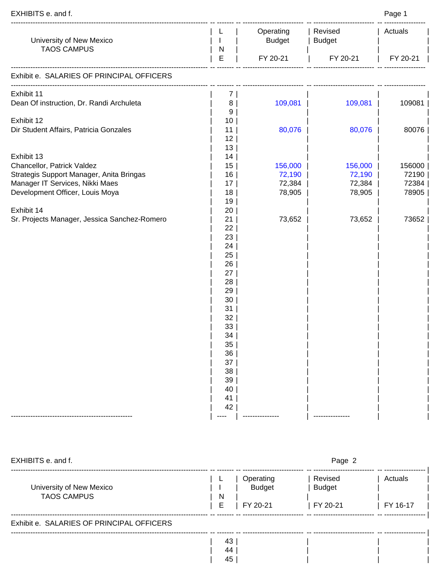| EXHIBITS e. and f.                                                          |                       |                            |                          | Page 1         |  |
|-----------------------------------------------------------------------------|-----------------------|----------------------------|--------------------------|----------------|--|
| University of New Mexico<br><b>TAOS CAMPUS</b>                              | J.<br>N               | Operating<br><b>Budget</b> | Revised<br><b>Budget</b> | Actuals        |  |
|                                                                             | $\mathsf E$           | FY 20-21                   | FY 20-21                 | FY 20-21       |  |
| Exhibit e. SALARIES OF PRINCIPAL OFFICERS                                   |                       |                            |                          |                |  |
| Exhibit 11<br>Dean Of instruction, Dr. Randi Archuleta                      | 7  <br>8<br>9         | 109,081                    | 109,081                  | 109081         |  |
| Exhibit 12<br>Dir Student Affairs, Patricia Gonzales                        | 10 <sup>°</sup><br>11 | 80,076                     | 80,076                   | 80076          |  |
| Exhibit 13                                                                  | 12<br>13<br>14        |                            |                          |                |  |
| Chancellor, Patrick Valdez                                                  | 15                    | 156,000                    | 156,000                  | 156000         |  |
| Strategis Support Manager, Anita Bringas<br>Manager IT Services, Nikki Maes | 16<br>17              | 72,190<br>72,384           | 72,190<br>72,384         | 72190<br>72384 |  |
| Development Officer, Louis Moya                                             | 18                    | 78,905                     | 78,905                   | 78905          |  |
|                                                                             | 19                    |                            |                          |                |  |
| Exhibit 14                                                                  | 20                    |                            |                          |                |  |
| Sr. Projects Manager, Jessica Sanchez-Romero                                | 21                    | 73,652                     | 73,652                   | 73652          |  |
|                                                                             | 22                    |                            |                          |                |  |
|                                                                             | 23                    |                            |                          |                |  |
|                                                                             | 24<br>25              |                            |                          |                |  |
|                                                                             | 26                    |                            |                          |                |  |
|                                                                             | 27                    |                            |                          |                |  |
|                                                                             | 28                    |                            |                          |                |  |
|                                                                             | 29                    |                            |                          |                |  |
|                                                                             | 30                    |                            |                          |                |  |
|                                                                             | 31                    |                            |                          |                |  |
|                                                                             | 32                    |                            |                          |                |  |
|                                                                             | 33                    |                            |                          |                |  |
|                                                                             | 34<br>35              |                            |                          |                |  |
|                                                                             | 36                    |                            |                          |                |  |
|                                                                             | 37                    |                            |                          |                |  |
|                                                                             | 38                    |                            |                          |                |  |
|                                                                             | 39                    |                            |                          |                |  |
|                                                                             | 40                    |                            |                          |                |  |
|                                                                             | 41                    |                            |                          |                |  |
|                                                                             | 42                    |                            |                          |                |  |
|                                                                             |                       |                            |                          |                |  |

| EXHIBITS e. and f.                             |                                                  | Page 2                               |                     |
|------------------------------------------------|--------------------------------------------------|--------------------------------------|---------------------|
| University of New Mexico<br><b>TAOS CAMPUS</b> | Operating<br><b>Budget</b><br>N<br>Е<br>FY 20-21 | Revised<br><b>Budget</b><br>FY 20-21 | Actuals<br>FY 16-17 |
| Exhibit e. SALARIES OF PRINCIPAL OFFICERS      |                                                  |                                      |                     |
|                                                | 43<br>44<br>45                                   |                                      |                     |